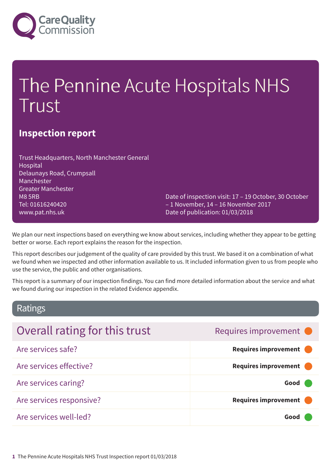

# The Pennine Acute Hospitals NHS Trust

### **Inspection report**

Trust Headquarters, North Manchester General Hospital Delaunays Road, Crumpsall Manchester Greater Manchester M8 5RB Tel: 01616240420 www.pat.nhs.uk

Date of inspection visit: 17 – 19 October, 30 October – 1 November, 14 – 16 November 2017 Date of publication: 01/03/2018

We plan our next inspections based on everything we know about services, including whether they appear to be getting better or worse. Each report explains the reason for the inspection.

This report describes our judgement of the quality of care provided by this trust. We based it on a combination of what we found when we inspected and other information available to us. It included information given to us from people who use the service, the public and other organisations.

This report is a summary of our inspection findings. You can find more detailed information about the service and what we found during our inspection in the related Evidence appendix.

### Ratings

| Overall rating for this trust | Requires improvement •      |
|-------------------------------|-----------------------------|
| Are services safe?            | Requires improvement        |
| Are services effective?       | <b>Requires improvement</b> |
| Are services caring?          | Good                        |
| Are services responsive?      | <b>Requires improvement</b> |
| Are services well-led?        | Good                        |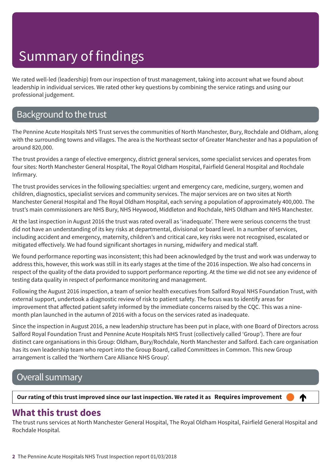We rated well-led (leadership) from our inspection of trust management, taking into account what we found about leadership in individual services. We rated other key questions by combining the service ratings and using our professional judgement.

### Background to the trust

The Pennine Acute Hospitals NHS Trust serves the communities of North Manchester, Bury, Rochdale and Oldham, along with the surrounding towns and villages. The area is the Northeast sector of Greater Manchester and has a population of around 820,000.

The trust provides a range of elective emergency, district general services, some specialist services and operates from four sites: North Manchester General Hospital, The Royal Oldham Hospital, Fairfield General Hospital and Rochdale Infirmary.

The trust provides services in the following specialties: urgent and emergency care, medicine, surgery, women and children, diagnostics, specialist services and community services. The major services are on two sites at North Manchester General Hospital and The Royal Oldham Hospital, each serving a population of approximately 400,000. The trust's main commissioners are NHS Bury, NHS Heywood, Middleton and Rochdale, NHS Oldham and NHS Manchester.

At the last inspection in August 2016 the trust was rated overall as 'inadequate'. There were serious concerns the trust did not have an understanding of its key risks at departmental, divisional or board level. In a number of services, including accident and emergency, maternity, children's and critical care, key risks were not recognised, escalated or mitigated effectively. We had found significant shortages in nursing, midwifery and medical staff.

We found performance reporting was inconsistent; this had been acknowledged by the trust and work was underway to address this, however, this work was still in its early stages at the time of the 2016 inspection. We also had concerns in respect of the quality of the data provided to support performance reporting. At the time we did not see any evidence of testing data quality in respect of performance monitoring and management.

Following the August 2016 inspection, a team of senior health executives from Salford Royal NHS Foundation Trust, with external support, undertook a diagnostic review of risk to patient safety. The focus was to identify areas for improvement that affected patient safety informed by the immediate concerns raised by the CQC. This was a ninemonth plan launched in the autumn of 2016 with a focus on the services rated as inadequate.

Since the inspection in August 2016, a new leadership structure has been put in place, with one Board of Directors across Salford Royal Foundation Trust and Pennine Acute Hospitals NHS Trust (collectively called 'Group'). There are four distinct care organisations in this Group: Oldham, Bury/Rochdale, North Manchester and Salford. Each care organisation has its own leadership team who report into the Group Board, called Committees in Common. This new Group arrangement is called the 'Northern Care Alliance NHS Group'.

### Overall summary

Our rating of this trust improved since our last inspection. We rated it as Requires improvement

### **What this trust does**

The trust runs services at North Manchester General Hospital, The Royal Oldham Hospital, Fairfield General Hospital and Rochdale Hospital.

4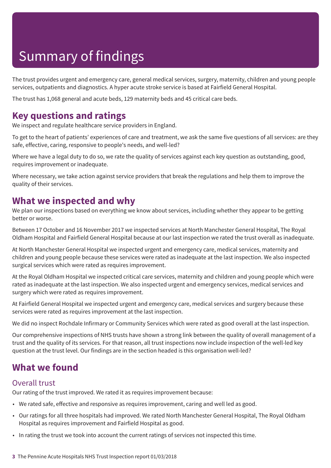The trust provides urgent and emergency care, general medical services, surgery, maternity, children and young people services, outpatients and diagnostics. A hyper acute stroke service is based at Fairfield General Hospital.

The trust has 1,068 general and acute beds, 129 maternity beds and 45 critical care beds.

### **Key questions and ratings**

We inspect and regulate healthcare service providers in England.

To get to the heart of patients' experiences of care and treatment, we ask the same five questions of all services: are they safe, effective, caring, responsive to people's needs, and well-led?

Where we have a legal duty to do so, we rate the quality of services against each key question as outstanding, good, requires improvement or inadequate.

Where necessary, we take action against service providers that break the regulations and help them to improve the quality of their services.

### **What we inspected and why**

We plan our inspections based on everything we know about services, including whether they appear to be getting better or worse.

Between 17 October and 16 November 2017 we inspected services at North Manchester General Hospital, The Royal Oldham Hospital and Fairfield General Hospital because at our last inspection we rated the trust overall as inadequate.

At North Manchester General Hospital we inspected urgent and emergency care, medical services, maternity and children and young people because these services were rated as inadequate at the last inspection. We also inspected surgical services which were rated as requires improvement.

At the Royal Oldham Hospital we inspected critical care services, maternity and children and young people which were rated as inadequate at the last inspection. We also inspected urgent and emergency services, medical services and surgery which were rated as requires improvement.

At Fairfield General Hospital we inspected urgent and emergency care, medical services and surgery because these services were rated as requires improvement at the last inspection.

We did no inspect Rochdale Infirmary or Community Services which were rated as good overall at the last inspection.

Our comprehensive inspections of NHS trusts have shown a strong link between the quality of overall management of a trust and the quality of its services. For that reason, all trust inspections now include inspection of the well-led key question at the trust level. Our findings are in the section headed is this organisation well-led?

### **What we found**

#### Overall trust

Our rating of the trust improved. We rated it as requires improvement because:

- We rated safe, effective and responsive as requires improvement, caring and well led as good.
- Our ratings for all three hospitals had improved. We rated North Manchester General Hospital, The Royal Oldham Hospital as requires improvement and Fairfield Hospital as good.
- In rating the trust we took into account the current ratings of services not inspected this time.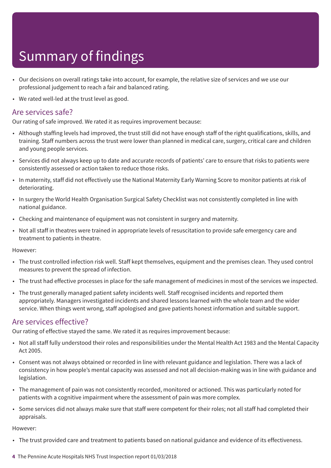- Our decisions on overall ratings take into account, for example, the relative size of services and we use our professional judgement to reach a fair and balanced rating.
- We rated well-led at the trust level as good.

#### Are services safe?

Our rating of safe improved. We rated it as requires improvement because:

- Although staffing levels had improved, the trust still did not have enough staff of the right qualifications, skills, and training. Staff numbers across the trust were lower than planned in medical care, surgery, critical care and children and young people services.
- Services did not always keep up to date and accurate records of patients' care to ensure that risks to patients were consistently assessed or action taken to reduce those risks.
- In maternity, staff did not effectively use the National Maternity Early Warning Score to monitor patients at risk of deteriorating.
- In surgery the World Health Organisation Surgical Safety Checklist was not consistently completed in line with national guidance.
- Checking and maintenance of equipment was not consistent in surgery and maternity.
- Not all staff in theatres were trained in appropriate levels of resuscitation to provide safe emergency care and treatment to patients in theatre.

However:

- The trust controlled infection risk well. Staff kept themselves, equipment and the premises clean. They used control measures to prevent the spread of infection.
- The trust had effective processes in place for the safe management of medicines in most of the services we inspected.
- The trust generally managed patient safety incidents well. Staff recognised incidents and reported them appropriately. Managers investigated incidents and shared lessons learned with the whole team and the wider service. When things went wrong, staff apologised and gave patients honest information and suitable support.

#### Are services effective?

Our rating of effective stayed the same. We rated it as requires improvement because:

- Not all staff fully understood their roles and responsibilities under the Mental Health Act 1983 and the Mental Capacity Act 2005.
- Consent was not always obtained or recorded in line with relevant guidance and legislation. There was a lack of consistency in how people's mental capacity was assessed and not all decision-making was in line with guidance and legislation.
- The management of pain was not consistently recorded, monitored or actioned. This was particularly noted for patients with a cognitive impairment where the assessment of pain was more complex.
- Some services did not always make sure that staff were competent for their roles; not all staff had completed their appraisals.

However:

- The trust provided care and treatment to patients based on national guidance and evidence of its effectiveness.
- **4** The Pennine Acute Hospitals NHS Trust Inspection report 01/03/2018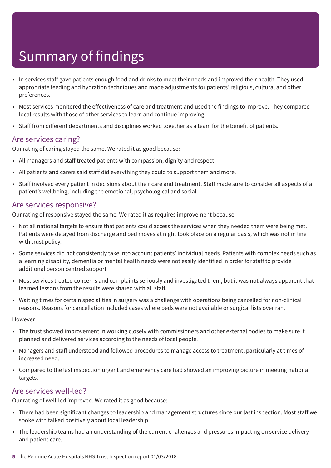- In services staff gave patients enough food and drinks to meet their needs and improved their health. They used appropriate feeding and hydration techniques and made adjustments for patients' religious, cultural and other preferences.
- Most services monitored the effectiveness of care and treatment and used the findings to improve. They compared local results with those of other services to learn and continue improving.
- Staff from different departments and disciplines worked together as a team for the benefit of patients.

#### Are services caring?

Our rating of caring stayed the same. We rated it as good because:

- All managers and staff treated patients with compassion, dignity and respect.
- All patients and carers said staff did everything they could to support them and more.
- Staff involved every patient in decisions about their care and treatment. Staff made sure to consider all aspects of a patient's wellbeing, including the emotional, psychological and social.

#### Are services responsive?

Our rating of responsive stayed the same. We rated it as requires improvement because:

- Not all national targets to ensure that patients could access the services when they needed them were being met. Patients were delayed from discharge and bed moves at night took place on a regular basis, which was not in line with trust policy.
- Some services did not consistently take into account patients' individual needs. Patients with complex needs such as a learning disability, dementia or mental health needs were not easily identified in order for staff to provide additional person centred support
- Most services treated concerns and complaints seriously and investigated them, but it was not always apparent that learned lessons from the results were shared with all staff.
- Waiting times for certain specialities in surgery was a challenge with operations being cancelled for non-clinical reasons. Reasons for cancellation included cases where beds were not available or surgical lists over ran.

However

- The trust showed improvement in working closely with commissioners and other external bodies to make sure it planned and delivered services according to the needs of local people.
- Managers and staff understood and followed procedures to manage access to treatment, particularly at times of increased need.
- Compared to the last inspection urgent and emergency care had showed an improving picture in meeting national targets.

#### Are services well-led?

Our rating of well-led improved. We rated it as good because:

- There had been significant changes to leadership and management structures since our last inspection. Most staff we spoke with talked positively about local leadership.
- The leadership teams had an understanding of the current challenges and pressures impacting on service delivery and patient care.
- **5** The Pennine Acute Hospitals NHS Trust Inspection report 01/03/2018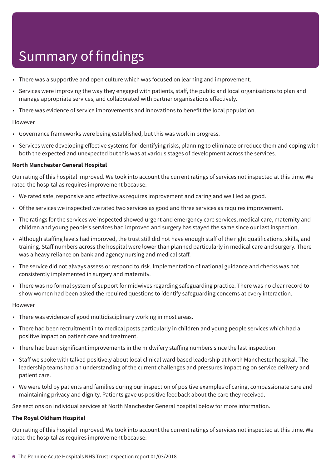- There was a supportive and open culture which was focused on learning and improvement.
- Services were improving the way they engaged with patients, staff, the public and local organisations to plan and manage appropriate services, and collaborated with partner organisations effectively.
- There was evidence of service improvements and innovations to benefit the local population.

#### However

- Governance frameworks were being established, but this was work in progress.
- Services were developing effective systems for identifying risks, planning to eliminate or reduce them and coping with both the expected and unexpected but this was at various stages of development across the services.

#### **North Manchester General Hospital**

Our rating of this hospital improved. We took into account the current ratings of services not inspected at this time. We rated the hospital as requires improvement because:

- We rated safe, responsive and effective as requires improvement and caring and well led as good.
- Of the services we inspected we rated two services as good and three services as requires improvement.
- The ratings for the services we inspected showed urgent and emergency care services, medical care, maternity and children and young people's services had improved and surgery has stayed the same since our last inspection.
- Although staffing levels had improved, the trust still did not have enough staff of the right qualifications, skills, and training. Staff numbers across the hospital were lower than planned particularly in medical care and surgery. There was a heavy reliance on bank and agency nursing and medical staff.
- The service did not always assess or respond to risk. Implementation of national guidance and checks was not consistently implemented in surgery and maternity.
- There was no formal system of support for midwives regarding safeguarding practice. There was no clear record to show women had been asked the required questions to identify safeguarding concerns at every interaction.

#### However

- There was evidence of good multidisciplinary working in most areas.
- There had been recruitment in to medical posts particularly in children and young people services which had a positive impact on patient care and treatment.
- There had been significant improvements in the midwifery staffing numbers since the last inspection.
- Staff we spoke with talked positively about local clinical ward based leadership at North Manchester hospital. The leadership teams had an understanding of the current challenges and pressures impacting on service delivery and patient care.
- We were told by patients and families during our inspection of positive examples of caring, compassionate care and maintaining privacy and dignity. Patients gave us positive feedback about the care they received.

See sections on individual services at North Manchester General hospital below for more information.

#### **The Royal Oldham Hospital**

Our rating of this hospital improved. We took into account the current ratings of services not inspected at this time. We rated the hospital as requires improvement because: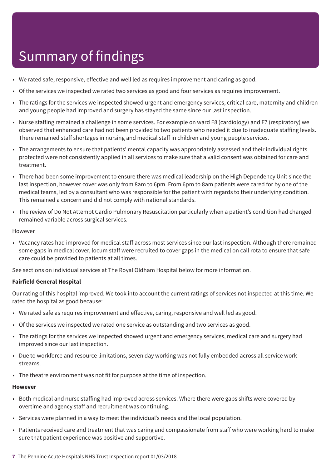- We rated safe, responsive, effective and well led as requires improvement and caring as good.
- Of the services we inspected we rated two services as good and four services as requires improvement.
- The ratings for the services we inspected showed urgent and emergency services, critical care, maternity and children and young people had improved and surgery has stayed the same since our last inspection.
- Nurse staffing remained a challenge in some services. For example on ward F8 (cardiology) and F7 (respiratory) we observed that enhanced care had not been provided to two patients who needed it due to inadequate staffing levels. There remained staff shortages in nursing and medical staff in children and young people services.
- The arrangements to ensure that patients' mental capacity was appropriately assessed and their individual rights protected were not consistently applied in all services to make sure that a valid consent was obtained for care and treatment.
- There had been some improvement to ensure there was medical leadership on the High Dependency Unit since the last inspection, however cover was only from 8am to 6pm. From 6pm to 8am patients were cared for by one of the medical teams, led by a consultant who was responsible for the patient with regards to their underlying condition. This remained a concern and did not comply with national standards.
- The review of Do Not Attempt Cardio Pulmonary Resuscitation particularly when a patient's condition had changed remained variable across surgical services.

#### However

• Vacancy rates had improved for medical staff across most services since our last inspection. Although there remained some gaps in medical cover, locum staff were recruited to cover gaps in the medical on call rota to ensure that safe care could be provided to patients at all times.

See sections on individual services at The Royal Oldham Hospital below for more information.

#### **Fairfield General Hospital**

Our rating of this hospital improved. We took into account the current ratings of services not inspected at this time. We rated the hospital as good because:

- We rated safe as requires improvement and effective, caring, responsive and well led as good.
- Of the services we inspected we rated one service as outstanding and two services as good.
- The ratings for the services we inspected showed urgent and emergency services, medical care and surgery had improved since our last inspection.
- Due to workforce and resource limitations, seven day working was not fully embedded across all service work streams.
- The theatre environment was not fit for purpose at the time of inspection.

#### **However**

- Both medical and nurse staffing had improved across services. Where there were gaps shifts were covered by overtime and agency staff and recruitment was continuing.
- Services were planned in a way to meet the individual's needs and the local population.
- Patients received care and treatment that was caring and compassionate from staff who were working hard to make sure that patient experience was positive and supportive.
- **7** The Pennine Acute Hospitals NHS Trust Inspection report 01/03/2018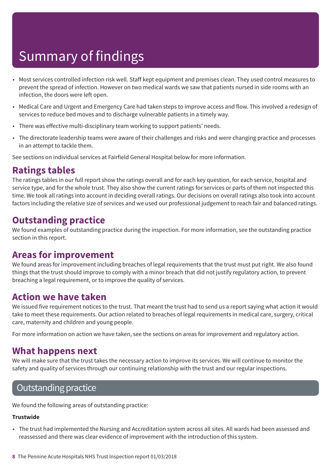- Most services controlled infection risk well. Staff kept equipment and premises clean. They used control measures to prevent the spread of infection. However on two medical wards we saw that patients nursed in side rooms with an infection, the doors were left open.
- Medical Care and Urgent and Emergency Care had taken steps to improve access and flow. This involved a redesign of services to reduce bed moves and to discharge vulnerable patients in a timely way.
- There was effective multi-disciplinary team working to support patients' needs.
- The directorate leadership teams were aware of their challenges and risks and were changing practice and processes in an attempt to tackle them.

See sections on individual services at Fairfield General Hospital below for more information.

### **Ratings tables**

The ratings tables in our full report show the ratings overall and for each key question, for each service, hospital and service type, and for the whole trust. They also show the current ratings for services or parts of them not inspected this time. We took all ratings into account in deciding overall ratings. Our decisions on overall ratings also took into account factors including the relative size of services and we used our professional judgement to reach fair and balanced ratings.

### **Outstanding practice**

We found examples of outstanding practice during the inspection. For more information, see the outstanding practice section in this report.

### **Areas for improvement**

We found areas for improvement including breaches of legal requirements that the trust must put right. We also found things that the trust should improve to comply with a minor breach that did not justify regulatory action, to prevent breaching a legal requirement, or to improve the quality of services.

### **Action we have taken**

We issued five requirement notices to the trust. That meant the trust had to send us a report saying what action it would take to meet these requirements. Our action related to breaches of legal requirements in medical care, surgery, critical care, maternity and children and young people.

For more information on action we have taken, see the sections on areas for improvement and regulatory action.

### **What happens next**

We will make sure that the trust takes the necessary action to improve its services. We will continue to monitor the safety and quality of services through our continuing relationship with the trust and our regular inspections.

### **Outstanding practice**

We found the following areas of outstanding practice:

#### **Trustwide**

• The trust had implemented the Nursing and Accreditation system across all sites. All wards had been assessed and reassessed and there was clear evidence of improvement with the introduction of this system.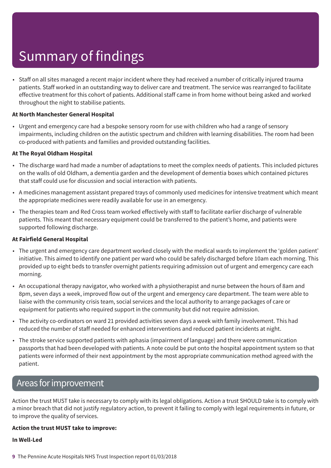• Staff on all sites managed a recent major incident where they had received a number of critically injured trauma patients. Staff worked in an outstanding way to deliver care and treatment. The service was rearranged to facilitate effective treatment for this cohort of patients. Additional staff came in from home without being asked and worked throughout the night to stabilise patients.

#### **At North Manchester General Hospital**

• Urgent and emergency care had a bespoke sensory room for use with children who had a range of sensory impairments, including children on the autistic spectrum and children with learning disabilities. The room had been co-produced with patients and families and provided outstanding facilities.

#### **At The Royal Oldham Hospital**

- The discharge ward had made a number of adaptations to meet the complex needs of patients. This included pictures on the walls of old Oldham, a dementia garden and the development of dementia boxes which contained pictures that staff could use for discussion and social interaction with patients.
- A medicines management assistant prepared trays of commonly used medicines for intensive treatment which meant the appropriate medicines were readily available for use in an emergency.
- The therapies team and Red Cross team worked effectively with staff to facilitate earlier discharge of vulnerable patients. This meant that necessary equipment could be transferred to the patient's home, and patients were supported following discharge.

#### **At Fairfield General Hospital**

- The urgent and emergency care department worked closely with the medical wards to implement the 'golden patient' initiative. This aimed to identify one patient per ward who could be safely discharged before 10am each morning. This provided up to eight beds to transfer overnight patients requiring admission out of urgent and emergency care each morning.
- An occupational therapy navigator, who worked with a physiotherapist and nurse between the hours of 8am and 8pm, seven days a week, improved flow out of the urgent and emergency care department. The team were able to liaise with the community crisis team, social services and the local authority to arrange packages of care or equipment for patients who required support in the community but did not require admission.
- The activity co-ordinators on ward 21 provided activities seven days a week with family involvement. This had reduced the number of staff needed for enhanced interventions and reduced patient incidents at night.
- The stroke service supported patients with aphasia (impairment of language) and there were communication passports that had been developed with patients. A note could be put onto the hospital appointment system so that patients were informed of their next appointment by the most appropriate communication method agreed with the patient.

### Areas forimprovement

Action the trust MUST take is necessary to comply with its legal obligations. Action a trust SHOULD take is to comply with a minor breach that did not justify regulatory action, to prevent it failing to comply with legal requirements in future, or to improve the quality of services.

#### **Action the trust MUST take to improve:**

#### **In Well-Led**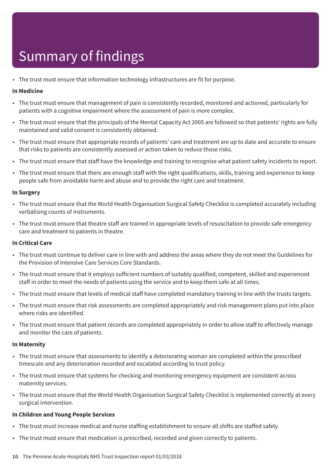• The trust must ensure that information technology infrastructures are fit for purpose.

#### **In Medicine**

- The trust must ensure that management of pain is consistently recorded, monitored and actioned, particularly for patients with a cognitive impairment where the assessment of pain is more complex.
- The trust must ensure that the principals of the Mental Capacity Act 2005 are followed so that patients' rights are fully maintained and valid consent is consistently obtained.
- The trust must ensure that appropriate records of patients' care and treatment are up to date and accurate to ensure that risks to patients are consistently assessed or action taken to reduce those risks.
- The trust must ensure that staff have the knowledge and training to recognise what patient safety incidents to report.
- The trust must ensure that there are enough staff with the right qualifications, skills, training and experience to keep people safe from avoidable harm and abuse and to provide the right care and treatment.

#### **In Surgery**

- The trust must ensure that the World Health Organisation Surgical Safety Checklist is completed accurately including verbalising counts of instruments.
- The trust must ensure that theatre staff are trained in appropriate levels of resuscitation to provide safe emergency care and treatment to patients in theatre.

#### **In Critical Care**

- The trust must continue to deliver care in line with and address the areas where they do not meet the Guidelines for the Provision of Intensive Care Services Core Standards.
- The trust must ensure that it employs sufficient numbers of suitably qualified, competent, skilled and experienced staff in order to meet the needs of patients using the service and to keep them safe at all times.
- The trust must ensure that levels of medical staff have completed mandatory training in line with the trusts targets.
- The trust must ensure that risk assessments are completed appropriately and risk management plans put into place where risks are identified.
- The trust must ensure that patient records are completed appropriately in order to allow staff to effectively manage and monitor the care of patients.

#### **In Maternity**

- The trust must ensure that assessments to identify a deteriorating woman are completed within the prescribed timescale and any deterioration recorded and escalated according to trust policy.
- The trust must ensure that systems for checking and monitoring emergency equipment are consistent across maternity services.
- The trust must ensure that the World Health Organisation Surgical Safety Checklist is implemented correctly at every surgical intervention.

#### **In Children and Young People Services**

- The trust must increase medical and nurse staffing establishment to ensure all shifts are staffed safely.
- The trust must ensure that medication is prescribed, recorded and given correctly to patients.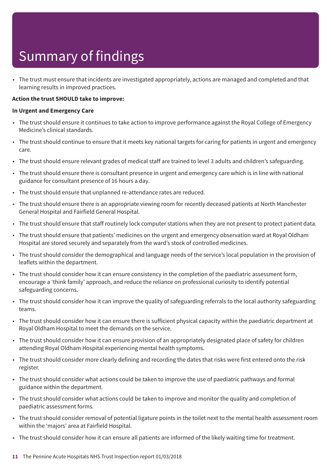• The trust must ensure that incidents are investigated appropriately, actions are managed and completed and that learning results in improved practices.

#### **Action the trust SHOULD take to improve:**

#### **In Urgent and Emergency Care**

- The trust should ensure it continues to take action to improve performance against the Royal College of Emergency Medicine's clinical standards.
- The trust should continue to ensure that it meets key national targets for caring for patients in urgent and emergency care.
- The trust should ensure relevant grades of medical staff are trained to level 3 adults and children's safeguarding.
- The trust should ensure there is consultant presence in urgent and emergency care which is in line with national guidance for consultant presence of 16 hours a day.
- The trust should ensure that unplanned re-attendance rates are reduced.
- The trust should ensure there is an appropriate viewing room for recently deceased patients at North Manchester General Hospital and Fairfield General Hospital.
- The trust should ensure that staff routinely lock computer stations when they are not present to protect patient data.
- The trust should ensure that patients' medicines on the urgent and emergency observation ward at Royal Oldham Hospital are stored securely and separately from the ward's stock of controlled medicines.
- The trust should consider the demographical and language needs of the service's local population in the provision of leaflets within the department.
- The trust should consider how it can ensure consistency in the completion of the paediatric assessment form, encourage a 'think family' approach, and reduce the reliance on professional curiosity to identify potential safeguarding concerns.
- The trust should consider how it can improve the quality of safeguarding referrals to the local authority safeguarding teams.
- The trust should consider how it can ensure there is sufficient physical capacity within the paediatric department at Royal Oldham Hospital to meet the demands on the service.
- The trust should consider how it can ensure provision of an appropriately designated place of safety for children attending Royal Oldham Hospital experiencing mental health symptoms.
- The trust should consider more clearly defining and recording the dates that risks were first entered onto the risk register.
- The trust should consider what actions could be taken to improve the use of paediatric pathways and formal guidance within the department.
- The trust should consider what actions could be taken to improve and monitor the quality and completion of paediatric assessment forms.
- The trust should consider removal of potential ligature points in the toilet next to the mental health assessment room within the 'majors' area at Fairfield Hospital.
- The trust should consider how it can ensure all patients are informed of the likely waiting time for treatment.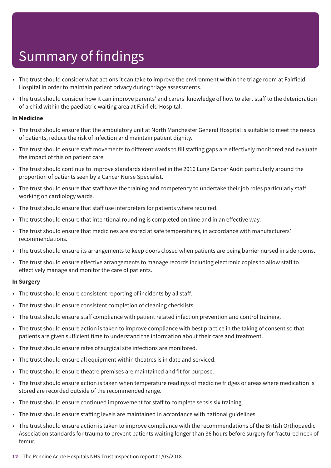- The trust should consider what actions it can take to improve the environment within the triage room at Fairfield Hospital in order to maintain patient privacy during triage assessments.
- The trust should consider how it can improve parents' and carers' knowledge of how to alert staff to the deterioration of a child within the paediatric waiting area at Fairfield Hospital.

#### **In Medicine**

- The trust should ensure that the ambulatory unit at North Manchester General Hospital is suitable to meet the needs of patients, reduce the risk of infection and maintain patient dignity.
- The trust should ensure staff movements to different wards to fill staffing gaps are effectively monitored and evaluate the impact of this on patient care.
- The trust should continue to improve standards identified in the 2016 Lung Cancer Audit particularly around the proportion of patients seen by a Cancer Nurse Specialist.
- The trust should ensure that staff have the training and competency to undertake their job roles particularly staff working on cardiology wards.
- The trust should ensure that staff use interpreters for patients where required.
- The trust should ensure that intentional rounding is completed on time and in an effective way.
- The trust should ensure that medicines are stored at safe temperatures, in accordance with manufacturers' recommendations.
- The trust should ensure its arrangements to keep doors closed when patients are being barrier nursed in side rooms.
- The trust should ensure effective arrangements to manage records including electronic copies to allow staff to effectively manage and monitor the care of patients.

#### **In Surgery**

- The trust should ensure consistent reporting of incidents by all staff.
- The trust should ensure consistent completion of cleaning checklists.
- The trust should ensure staff compliance with patient related infection prevention and control training.
- The trust should ensure action is taken to improve compliance with best practice in the taking of consent so that patients are given sufficient time to understand the information about their care and treatment.
- The trust should ensure rates of surgical site infections are monitored.
- The trust should ensure all equipment within theatres is in date and serviced.
- The trust should ensure theatre premises are maintained and fit for purpose.
- The trust should ensure action is taken when temperature readings of medicine fridges or areas where medication is stored are recorded outside of the recommended range.
- The trust should ensure continued improvement for staff to complete sepsis six training.
- The trust should ensure staffing levels are maintained in accordance with national guidelines.
- The trust should ensure action is taken to improve compliance with the recommendations of the British Orthopaedic Association standards for trauma to prevent patients waiting longer than 36 hours before surgery for fractured neck of femur.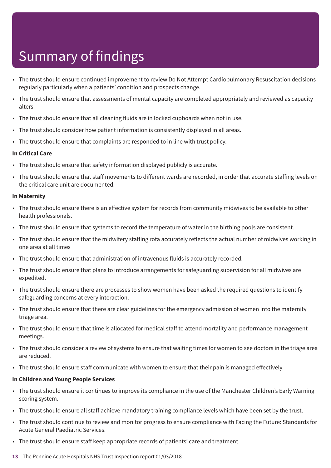- The trust should ensure continued improvement to review Do Not Attempt Cardiopulmonary Resuscitation decisions regularly particularly when a patients' condition and prospects change.
- The trust should ensure that assessments of mental capacity are completed appropriately and reviewed as capacity alters.
- The trust should ensure that all cleaning fluids are in locked cupboards when not in use.
- The trust should consider how patient information is consistently displayed in all areas.
- The trust should ensure that complaints are responded to in line with trust policy.

#### **In Critical Care**

- The trust should ensure that safety information displayed publicly is accurate.
- The trust should ensure that staff movements to different wards are recorded, in order that accurate staffing levels on the critical care unit are documented.

#### **In Maternity**

- The trust should ensure there is an effective system for records from community midwives to be available to other health professionals.
- The trust should ensure that systems to record the temperature of water in the birthing pools are consistent.
- The trust should ensure that the midwifery staffing rota accurately reflects the actual number of midwives working in one area at all times
- The trust should ensure that administration of intravenous fluids is accurately recorded.
- The trust should ensure that plans to introduce arrangements for safeguarding supervision for all midwives are expedited.
- The trust should ensure there are processes to show women have been asked the required questions to identify safeguarding concerns at every interaction.
- The trust should ensure that there are clear guidelines for the emergency admission of women into the maternity triage area.
- The trust should ensure that time is allocated for medical staff to attend mortality and performance management meetings.
- The trust should consider a review of systems to ensure that waiting times for women to see doctors in the triage area are reduced.
- The trust should ensure staff communicate with women to ensure that their pain is managed effectively.

#### **In Children and Young People Services**

- The trust should ensure it continues to improve its compliance in the use of the Manchester Children's Early Warning scoring system.
- The trust should ensure all staff achieve mandatory training compliance levels which have been set by the trust.
- The trust should continue to review and monitor progress to ensure compliance with Facing the Future: Standards for Acute General Paediatric Services.
- The trust should ensure staff keep appropriate records of patients' care and treatment.
- **13** The Pennine Acute Hospitals NHS Trust Inspection report 01/03/2018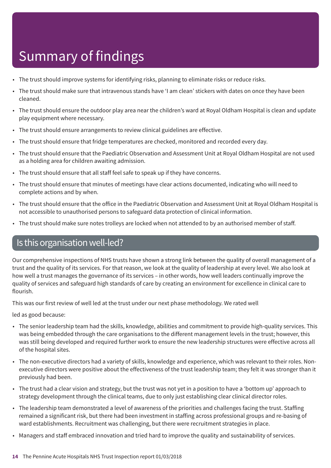- The trust should improve systems for identifying risks, planning to eliminate risks or reduce risks.
- The trust should make sure that intravenous stands have 'I am clean' stickers with dates on once they have been cleaned.
- The trust should ensure the outdoor play area near the children's ward at Royal Oldham Hospital is clean and update play equipment where necessary.
- The trust should ensure arrangements to review clinical guidelines are effective.
- The trust should ensure that fridge temperatures are checked, monitored and recorded every day.
- The trust should ensure that the Paediatric Observation and Assessment Unit at Royal Oldham Hospital are not used as a holding area for children awaiting admission.
- The trust should ensure that all staff feel safe to speak up if they have concerns.
- The trust should ensure that minutes of meetings have clear actions documented, indicating who will need to complete actions and by when.
- The trust should ensure that the office in the Paediatric Observation and Assessment Unit at Royal Oldham Hospital is not accessible to unauthorised persons to safeguard data protection of clinical information.
- The trust should make sure notes trolleys are locked when not attended to by an authorised member of staff.

### Is this organisation well-led?

Our comprehensive inspections of NHS trusts have shown a strong link between the quality of overall management of a trust and the quality of its services. For that reason, we look at the quality of leadership at every level. We also look at how well a trust manages the governance of its services – in other words, how well leaders continually improve the quality of services and safeguard high standards of care by creating an environment for excellence in clinical care to flourish.

This was our first review of well led at the trust under our next phase methodology. We rated well

led as good because:

- The senior leadership team had the skills, knowledge, abilities and commitment to provide high-quality services. This was being embedded through the care organisations to the different management levels in the trust; however, this was still being developed and required further work to ensure the new leadership structures were effective across all of the hospital sites.
- The non-executive directors had a variety of skills, knowledge and experience, which was relevant to their roles. Nonexecutive directors were positive about the effectiveness of the trust leadership team; they felt it was stronger than it previously had been.
- The trust had a clear vision and strategy, but the trust was not yet in a position to have a 'bottom up' approach to strategy development through the clinical teams, due to only just establishing clear clinical director roles.
- The leadership team demonstrated a level of awareness of the priorities and challenges facing the trust. Staffing remained a significant risk, but there had been investment in staffing across professional groups and re-basing of ward establishments. Recruitment was challenging, but there were recruitment strategies in place.
- Managers and staff embraced innovation and tried hard to improve the quality and sustainability of services.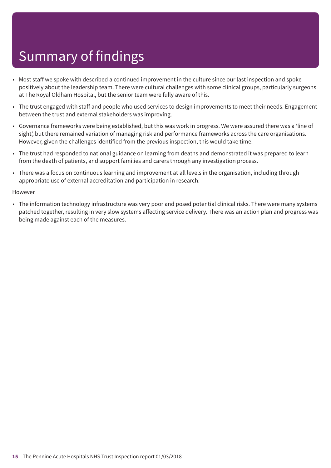- Most staff we spoke with described a continued improvement in the culture since our last inspection and spoke positively about the leadership team. There were cultural challenges with some clinical groups, particularly surgeons at The Royal Oldham Hospital, but the senior team were fully aware of this.
- The trust engaged with staff and people who used services to design improvements to meet their needs. Engagement between the trust and external stakeholders was improving.
- Governance frameworks were being established, but this was work in progress. We were assured there was a 'line of sight', but there remained variation of managing risk and performance frameworks across the care organisations. However, given the challenges identified from the previous inspection, this would take time.
- The trust had responded to national guidance on learning from deaths and demonstrated it was prepared to learn from the death of patients, and support families and carers through any investigation process.
- There was a focus on continuous learning and improvement at all levels in the organisation, including through appropriate use of external accreditation and participation in research.

However

• The information technology infrastructure was very poor and posed potential clinical risks. There were many systems patched together, resulting in very slow systems affecting service delivery. There was an action plan and progress was being made against each of the measures.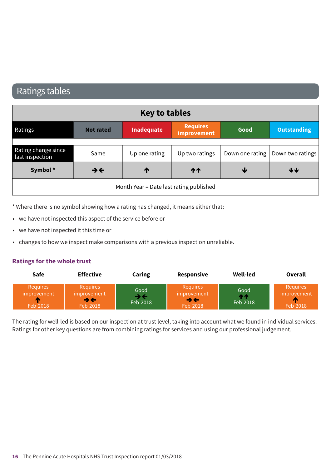### Ratings tables

| <b>Key to tables</b>                    |                          |                   |                                |      |                                    |
|-----------------------------------------|--------------------------|-------------------|--------------------------------|------|------------------------------------|
| Ratings                                 | <b>Not rated</b>         | <b>Inadequate</b> | <b>Requires</b><br>improvement | Good | <b>Outstanding</b>                 |
|                                         |                          |                   |                                |      |                                    |
| Rating change since<br>last inspection  | Same                     | Up one rating     | Up two ratings                 |      | Down one rating   Down two ratings |
| Symbol*                                 | $\rightarrow \leftarrow$ | T                 | <b>11</b>                      | ₩    | ↓↓                                 |
| Month Year = Date last rating published |                          |                   |                                |      |                                    |

\* Where there is no symbol showing how a rating has changed, it means either that:

- we have not inspected this aspect of the service before or
- we have not inspected it this time or
- changes to how we inspect make comparisons with a previous inspection unreliable.

#### **Ratings for the whole trust**

| <b>Safe</b>                                            | <b>Effective</b>                                                       | Caring                 | <b>Responsive</b>                                                      | Well-led               | Overall                                          |
|--------------------------------------------------------|------------------------------------------------------------------------|------------------------|------------------------------------------------------------------------|------------------------|--------------------------------------------------|
| <b>Requires</b><br><i>improvement</i><br>m<br>Feb 2018 | <b>Requires</b><br>improvement<br>$\rightarrow \leftarrow$<br>Feb 2018 | Good<br>→←<br>Feb 2018 | <b>Requires</b><br>improvement<br>$\rightarrow \leftarrow$<br>Feb 2018 | Good<br>ለሉ<br>Feb 2018 | <b>Requires</b><br>improvement<br>гπ<br>Feb 2018 |

The rating for well-led is based on our inspection at trust level, taking into account what we found in individual services. Ratings for other key questions are from combining ratings for services and using our professional judgement.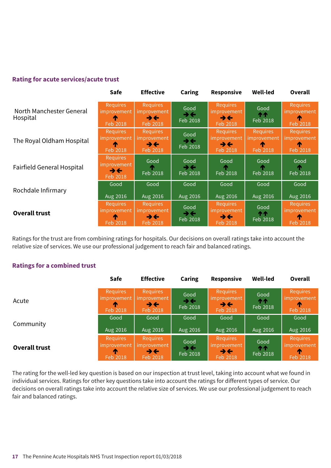#### **Rating for acute services/acute trust**

|                                      | <b>Safe</b>                                             | <b>Effective</b>                                   | <b>Caring</b>                                | <b>Responsive</b>                                                             | <b>Well-led</b>                                 | Overall                                           |
|--------------------------------------|---------------------------------------------------------|----------------------------------------------------|----------------------------------------------|-------------------------------------------------------------------------------|-------------------------------------------------|---------------------------------------------------|
| North Manchester General<br>Hospital | <b>Requires</b><br>improvement<br>T<br>Feb 2018         | <b>Requires</b><br>improvement<br>→←<br>Feb 2018   | Good<br>$\rightarrow \leftarrow$<br>Feb 2018 | <b>Requires</b><br><i>improvement</i><br>$\rightarrow \leftarrow$<br>Feb 2018 | Good<br><b>111</b><br>Feb 2018                  | <b>Requires</b><br>improvement<br><b>Feb 2018</b> |
| The Royal Oldham Hospital            | <b>Requires</b><br>improvement<br>T<br>Feb 2018         | <b>Requires</b><br>improvement '<br>→←<br>Feb 2018 | Good<br>$\rightarrow \leftarrow$<br>Feb 2018 | <b>Requires</b><br>improvement<br>$\rightarrow \leftarrow$<br>Feb 2018        | <b>Requires</b><br>improvement<br>T<br>Feb 2018 | Requires<br>improvement<br>T<br><b>Feb 2018</b>   |
| <b>Fairfield General Hospital</b>    | <b>Requires</b><br><i>improvement</i><br>→←<br>Feb 2018 | Good<br>Feb 2018                                   | Good<br>$\rightarrow \leftarrow$<br>Feb 2018 | Good<br>Feb 2018                                                              | Good<br>Feb 2018                                | Good<br>Feb 2018                                  |
| Rochdale Infirmary                   | Good<br>Aug 2016                                        | Good<br>Aug 2016                                   | Good<br>Aug 2016                             | Good<br>Aug 2016                                                              | Good<br>Aug 2016                                | Good<br>Aug 2016                                  |
| <b>Overall trust</b>                 | <b>Requires</b><br>improvement<br>Æ<br>Feb 2018         | <b>Requires</b><br>improvement<br>→←<br>Feb 2018   | Good<br>うそ<br>Feb 2018                       | <b>Requires</b><br><i>improvement</i><br>うそ<br>Feb 2018                       | Good<br>ተተ<br>Feb 2018                          | <b>Requires</b><br>improvement<br>Feb 2018        |

Ratings for the trust are from combining ratings for hospitals. Our decisions on overall ratings take into account the relative size of services. We use our professional judgement to reach fair and balanced ratings.

#### **Ratings for a combined trust**

|                      | <b>Safe</b>                                     | <b>Effective</b>                                                                | Caring                                         | <b>Responsive</b>                                                        | <b>Well-led</b>               | Overall                                                |
|----------------------|-------------------------------------------------|---------------------------------------------------------------------------------|------------------------------------------------|--------------------------------------------------------------------------|-------------------------------|--------------------------------------------------------|
| Acute                | <b>Requires</b><br>improvement<br>T<br>Feb 2018 | <b>Requires</b><br><i>improvement</i><br>$\rightarrow$ $\leftarrow$<br>Feb 2018 | Good<br>$\rightarrow \leftarrow$<br>Feb 2018   | <b>Requires</b><br>improvement<br>$\rightarrow$ $\leftarrow$<br>Feb 2018 | Good<br><b>ተተ</b><br>Feb 2018 | <b>Requires</b><br><i>improvement</i><br>T<br>Feb 2018 |
| Community            | Good<br>Aug 2016                                | Good<br>Aug 2016                                                                | Good<br>Aug 2016                               | Good<br>Aug 2016                                                         | Good<br>Aug 2016              | Good<br>Aug 2016                                       |
| <b>Overall trust</b> | <b>Requires</b><br>improvement<br>m<br>Feb 2018 | <b>Requires</b><br><i>improvement</i><br>$\rightarrow \leftarrow$<br>Feb 2018   | Good<br>$\rightarrow$ $\leftarrow$<br>Feb 2018 | <b>Requires</b><br>improvement<br>$\rightarrow \leftarrow$<br>Feb 2018   | Good<br>ጥጥ<br>Feb 2018        | <b>Requires</b><br>improvement<br>T<br>Feb 2018        |

The rating for the well-led key question is based on our inspection at trust level, taking into account what we found in individual services. Ratings for other key questions take into account the ratings for different types of service. Our decisions on overall ratings take into account the relative size of services. We use our professional judgement to reach fair and balanced ratings.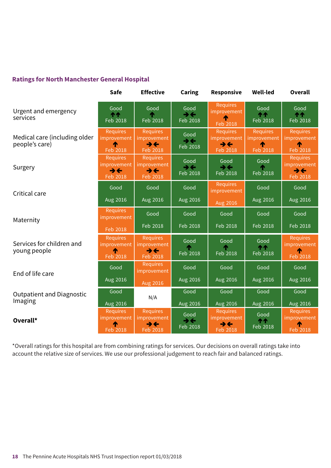#### **Ratings for North Manchester General Hospital**

|                                                 | <b>Safe</b>                                             | <b>Effective</b>                                                              | Caring                                       | <b>Responsive</b>                                   | <b>Well-led</b>                            | <b>Overall</b>                                                         |
|-------------------------------------------------|---------------------------------------------------------|-------------------------------------------------------------------------------|----------------------------------------------|-----------------------------------------------------|--------------------------------------------|------------------------------------------------------------------------|
| Urgent and emergency<br>services                | Good<br><b>11</b><br>Feb 2018                           | Good<br>Feb 2018                                                              | Good<br>$\rightarrow$<br>Feb 2018            | <b>Requires</b><br>improvement<br><b>Feb 2018</b>   | Good<br><b>11</b><br>Feb 2018              | Good<br><b>11</b><br>Feb 2018                                          |
| Medical care (including older<br>people's care) | <b>Requires</b><br><i>improvement</i><br>Feb 2018       | <b>Requires</b><br>improvement<br>$\rightarrow \leftarrow$<br>Feb 2018        | Good<br>$\rightarrow$<br>Feb 2018            | <b>Requires</b><br>improvement<br>うそ<br>Feb 2018    | <b>Requires</b><br>improvement<br>Feb 2018 | <b>Requires</b><br>improvement<br>Feb 2018                             |
| Surgery                                         | <b>Requires</b><br><i>improvement</i><br>→←<br>Feb 2018 | <b>Requires</b><br>improvement<br>$\rightarrow \leftarrow$<br>Feb 2018        | Good<br>$\rightarrow \leftarrow$<br>Feb 2018 | Good<br>$\rightarrow \leftarrow$<br><b>Feb 2018</b> | Good<br>Feb 2018                           | <b>Requires</b><br>improvement<br>$\rightarrow \leftarrow$<br>Feb 2018 |
| Critical care                                   | Good                                                    | Good                                                                          | Good                                         | Requires<br>improvement                             | Good                                       | Good                                                                   |
|                                                 | Aug 2016                                                | Aug 2016                                                                      | Aug 2016                                     | Aug 2016                                            | Aug 2016                                   | Aug 2016                                                               |
| Maternity                                       | <b>Requires</b><br>improvement                          | Good                                                                          | Good                                         | Good                                                | Good                                       | Good                                                                   |
|                                                 | Feb 2018                                                | Feb 2018                                                                      | Feb 2018                                     | Feb 2018                                            | Feb 2018                                   | Feb 2018                                                               |
| Services for children and<br>young people       | <b>Requires</b><br>improvement<br>́↑<br>Feb 2018        | <b>Requires</b><br><i>improvement</i><br>$\rightarrow \leftarrow$<br>Feb 2018 | Good<br>Feb 2018                             | Good<br>Feb 2018                                    | Good<br><b>11</b><br>Feb 2018              | <b>Requires</b><br>improvement<br>Feb 2018                             |
| End of life care                                | Good                                                    | <b>Requires</b><br>improvement                                                | Good                                         | Good                                                | Good                                       | Good                                                                   |
|                                                 | Aug 2016                                                | Aug 2016                                                                      | Aug 2016                                     | Aug 2016                                            | Aug 2016                                   | Aug 2016                                                               |
| <b>Outpatient and Diagnostic</b><br>Imaging     | Good<br>Aug 2016                                        | N/A                                                                           | Good<br>Aug 2016                             | Good<br>Aug 2016                                    | Good<br>Aug 2016                           | Good<br>Aug 2016                                                       |
| Overall*                                        | <b>Requires</b><br><i>improvement</i>                   | <b>Requires</b><br>improvement                                                | Good<br>$\rightarrow \leftarrow$             | <b>Requires</b><br><i>improvement</i>               | Good<br><b>11</b>                          | <b>Requires</b><br>improvement                                         |
|                                                 | ↑<br>Feb 2018                                           | $\rightarrow \leftarrow$<br>Feb 2018                                          | Feb 2018                                     | うそ<br>Feb 2018                                      | Feb 2018                                   | ́↑<br>Feb 2018                                                         |

\*Overall ratings for this hospital are from combining ratings for services. Our decisions on overall ratings take into account the relative size of services. We use our professional judgement to reach fair and balanced ratings.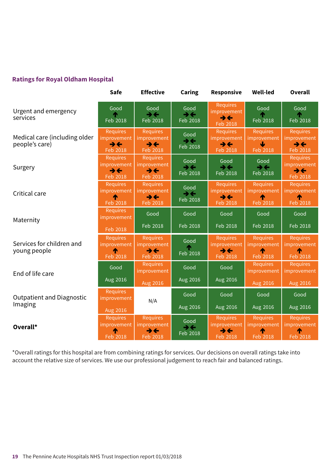#### **Ratings for Royal Oldham Hospital**

|                                                 | <b>Safe</b>                                                            | <b>Effective</b>                                                         | Caring                                       | <b>Responsive</b>                                                      | <b>Well-led</b>                                 | <b>Overall</b>                                                         |
|-------------------------------------------------|------------------------------------------------------------------------|--------------------------------------------------------------------------|----------------------------------------------|------------------------------------------------------------------------|-------------------------------------------------|------------------------------------------------------------------------|
| Urgent and emergency<br>services                | Good<br>Feb 2018                                                       | Good<br>$\rightarrow \leftarrow$<br>Feb 2018                             | Good<br>$\rightarrow$<br>Feb 2018            | <b>Requires</b><br>improvement<br>$\rightarrow \leftarrow$<br>Feb 2018 | Good<br>Feb 2018                                | Good<br>⋔<br>Feb 2018                                                  |
| Medical care (including older<br>people's care) | <b>Requires</b><br>improvement<br>→←<br>Feb 2018                       | <b>Requires</b><br>improvement<br>$\rightarrow \leftarrow$<br>Feb 2018   | Good<br>$\rightarrow \leftarrow$<br>Feb 2018 | <b>Requires</b><br>improvement<br>$\rightarrow \leftarrow$<br>Feb 2018 | <b>Requires</b><br>improvement<br>J<br>Feb 2018 | <b>Requires</b><br>improvement<br>$\rightarrow \leftarrow$<br>Feb 2018 |
| Surgery                                         | <b>Requires</b><br>improvement<br>$\rightarrow \leftarrow$<br>Feb 2018 | <b>Requires</b><br>improvement<br>$\rightarrow \leftarrow$<br>Feb 2018   | Good<br>$\rightarrow \leftarrow$<br>Feb 2018 | Good<br>$\rightarrow \leftarrow$<br>Feb 2018                           | Good<br>$\rightarrow \leftarrow$<br>Feb 2018    | <b>Requires</b><br>improvement<br>$\rightarrow \leftarrow$<br>Feb 2018 |
| Critical care                                   | <b>Requires</b><br>improvement<br>Feb 2018                             | <b>Requires</b><br>improvement<br>$\rightarrow$ $\leftarrow$<br>Feb 2018 | Good<br>$\rightarrow \leftarrow$<br>Feb 2018 | Requires<br>improvement<br>$\rightarrow \leftarrow$<br>Feb 2018        | <b>Requires</b><br>improvement<br>Feb 2018      | <b>Requires</b><br>improvement<br>́↑<br>Feb 2018                       |
| Maternity                                       | <b>Requires</b><br>improvement                                         | Good                                                                     | Good                                         | Good                                                                   | Good                                            | Good                                                                   |
|                                                 | Feb 2018                                                               | Feb 2018                                                                 | Feb 2018                                     | Feb 2018                                                               | Feb 2018                                        | Feb 2018                                                               |
| Services for children and<br>young people       | <b>Requires</b><br>improvement<br>Feb 2018                             | <b>Requires</b><br>improvement<br>$\rightarrow$ $\leftarrow$<br>Feb 2018 | Good<br>Feb 2018                             | <b>Requires</b><br>improvement<br>うそ<br>Feb 2018                       | <b>Requires</b><br>improvement<br>Feb 2018      | <b>Requires</b><br>improvement<br>́↑<br>Feb 2018                       |
| End of life care                                | Good                                                                   | <b>Requires</b><br>improvement                                           | Good                                         | Good                                                                   | <b>Requires</b><br>improvement                  | <b>Requires</b><br>improvement                                         |
|                                                 | Aug 2016                                                               | Aug 2016                                                                 | Aug 2016                                     | Aug 2016                                                               | Aug 2016                                        | Aug 2016                                                               |
| <b>Outpatient and Diagnostic</b>                | <b>Requires</b><br>improvement                                         | N/A                                                                      | Good                                         | Good                                                                   | Good                                            | Good                                                                   |
| Imaging                                         | Aug 2016                                                               |                                                                          | Aug 2016                                     | Aug 2016                                                               | Aug 2016                                        | Aug 2016                                                               |
| Overall*                                        | <b>Requires</b><br>improvement                                         | <b>Requires</b><br>improvement<br>$\rightarrow \leftarrow$               | Good<br>$\rightarrow \leftarrow$<br>Feb 2018 | Requires<br>improvement<br>$\rightarrow \leftarrow$                    | <b>Requires</b><br>improvement                  | <b>Requires</b><br>improvement<br>↑                                    |
|                                                 | Feb 2018                                                               | <b>Feb 2018</b>                                                          |                                              | Feb 2018                                                               | Feb 2018                                        | Feb 2018                                                               |

\*Overall ratings for this hospital are from combining ratings for services. Our decisions on overall ratings take into account the relative size of services. We use our professional judgement to reach fair and balanced ratings.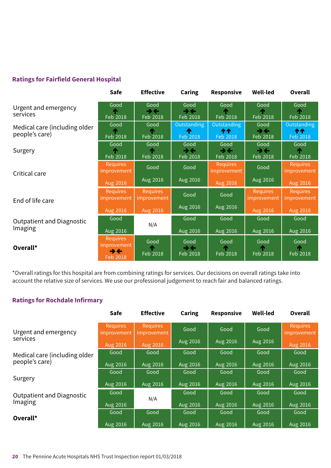#### **Ratings for Fairfield General Hospital**

|                                                 | Safe                                      | <b>Effective</b>                             | <b>Caring</b>                                | Responsive                                     | <b>Well-led</b>                              | <b>Overall</b>                 |
|-------------------------------------------------|-------------------------------------------|----------------------------------------------|----------------------------------------------|------------------------------------------------|----------------------------------------------|--------------------------------|
| Urgent and emergency<br>services                | Good<br>Feb 2018                          | Good<br>$\rightarrow \leftarrow$<br>Feb 2018 | Good<br>$\rightarrow \leftarrow$<br>Feb 2018 | Good<br>Feb 2018                               | Good<br>Feb 2018                             | Good<br>Feb 2018               |
| Medical care (including older<br>people's care) | Good<br>Feb 2018                          | Good<br>Feb 2018                             | Outstanding<br>T<br>Feb 2018                 | Outstanding<br><b>111</b><br>Feb 2018          | Good<br>$\rightarrow \leftarrow$<br>Feb 2018 | Outstanding<br>ተተ<br>Feb 2018  |
| Surgery                                         | Good<br>Feb 2018                          | Good<br>Feb 2018                             | Good<br>$\rightarrow \leftarrow$<br>Feb 2018 | Good<br>$\rightarrow$ $\leftarrow$<br>Feb 2018 | Good<br>→←<br>Feb 2018                       | Good<br>Feb 2018               |
| Critical care<br>End of life care               | <b>Requires</b><br>improvement            | Good                                         | Good                                         | <b>Requires</b><br>improvement                 | Good                                         | <b>Requires</b><br>improvement |
|                                                 | Aug 2016                                  | Aug 2016                                     | Aug 2016                                     | Aug 2016                                       | Aug 2016                                     | Aug 2016                       |
|                                                 | Requires<br>improvement                   | <b>Requires</b><br>improvement               | Good                                         | Good                                           | <b>Requires</b><br>improvement               | <b>Requires</b><br>improvement |
|                                                 | Aug 2016                                  | Aug 2016                                     | Aug 2016                                     | Aug 2016                                       | Aug 2016                                     | Aug 2016                       |
| <b>Outpatient and Diagnostic</b>                | Good                                      | N/A                                          | Good                                         | Good                                           | Good                                         | Good                           |
| Imaging                                         | Aug 2016                                  |                                              | Aug 2016                                     | Aug 2016                                       | Aug 2016                                     | Aug 2016                       |
| Overall*                                        | Requires<br>improvement<br>→←<br>Feb 2018 | Good<br>Feb 2018                             | Good<br>$\rightarrow \leftarrow$<br>Feb 2018 | Good<br>Feb 2018                               | Good<br>Feb 2018                             | Good<br>Feb 2018               |

\*Overall ratings for this hospital are from combining ratings for services. Our decisions on overall ratings take into account the relative size of services. We use our professional judgement to reach fair and balanced ratings.

#### **Ratings for Rochdale Infirmary**

|                                  | <b>Safe</b>                    | <b>Effective</b>               | Caring   | <b>Responsive</b> | <b>Well-led</b> | Overall                        |
|----------------------------------|--------------------------------|--------------------------------|----------|-------------------|-----------------|--------------------------------|
| Urgent and emergency             | <b>Requires</b><br>improvement | <b>Requires</b><br>improvement | Good     | Good              | Good            | <b>Requires</b><br>improvement |
| services                         | Aug 2016                       | Aug 2016                       | Aug 2016 | Aug 2016          | Aug 2016        | Aug 2016                       |
| Medical care (including older    | Good                           | Good                           | Good     | Good              | Good            | Good                           |
| people's care)                   | Aug 2016                       | Aug 2016                       | Aug 2016 | Aug 2016          | Aug 2016        | Aug 2016                       |
| Surgery                          | Good                           | Good                           | Good     | Good              | Good            | Good                           |
|                                  | Aug 2016                       | Aug 2016                       | Aug 2016 | Aug 2016          | Aug 2016        | Aug 2016                       |
| <b>Outpatient and Diagnostic</b> | Good                           | N/A                            | Good     | Good              | Good            | Good                           |
| Imaging                          | Aug 2016                       |                                | Aug 2016 | Aug 2016          | Aug 2016        | Aug 2016                       |
| Overall*                         | Good                           | Good                           | Good     | Good              | Good            | Good                           |
|                                  | Aug 2016                       | Aug 2016                       | Aug 2016 | Aug 2016          | Aug 2016        | Aug 2016                       |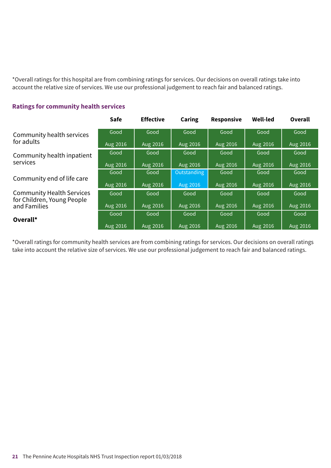\*Overall ratings for this hospital are from combining ratings for services. Our decisions on overall ratings take into account the relative size of services. We use our professional judgement to reach fair and balanced ratings.

|                                                                | <b>Safe</b> | <b>Effective</b> | Caring      | <b>Responsive</b> | <b>Well-led</b> | Overall  |
|----------------------------------------------------------------|-------------|------------------|-------------|-------------------|-----------------|----------|
| Community health services                                      | Good        | Good             | Good        | Good              | Good            | Good     |
| for adults                                                     | Aug 2016    | Aug 2016         | Aug 2016    | Aug 2016          | Aug 2016        | Aug 2016 |
| Community health inpatient                                     | Good        | Good             | Good        | Good              | Good            | Good     |
| services                                                       | Aug 2016    | Aug 2016         | Aug 2016    | Aug 2016          | Aug 2016        | Aug 2016 |
|                                                                | Good        | Good             | Outstanding | Good              | Good            | Good     |
| Community end of life care                                     | Aug 2016    | Aug 2016         | Aug 2016    | Aug 2016          | Aug 2016        | Aug 2016 |
| <b>Community Health Services</b><br>for Children, Young People | Good        | Good             | Good        | Good              | Good            | Good     |
| and Families                                                   | Aug 2016    | Aug 2016         | Aug 2016    | Aug 2016          | Aug 2016        | Aug 2016 |
| Overall*                                                       | Good        | Good             | Good        | Good              | Good            | Good     |
|                                                                | Aug 2016    | Aug 2016         | Aug 2016    | Aug 2016          | Aug 2016        | Aug 2016 |

#### **Ratings for community health services**

\*Overall ratings for community health services are from combining ratings for services. Our decisions on overall ratings take into account the relative size of services. We use our professional judgement to reach fair and balanced ratings.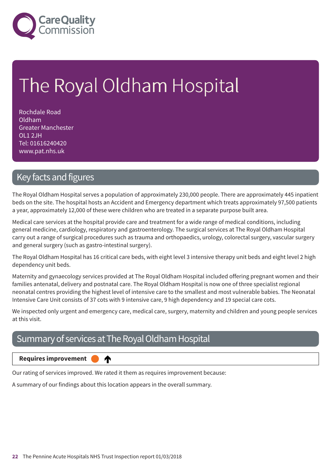

# The Royal Oldham Hospital

Rochdale Road Oldham Greater Manchester OL1 2JH Tel: 01616240420 www.pat.nhs.uk

### Key facts and figures

The Royal Oldham Hospital serves a population of approximately 230,000 people. There are approximately 445 inpatient beds on the site. The hospital hosts an Accident and Emergency department which treats approximately 97,500 patients a year, approximately 12,000 of these were children who are treated in a separate purpose built area.

Medical care services at the hospital provide care and treatment for a wide range of medical conditions, including general medicine, cardiology, respiratory and gastroenterology. The surgical services at The Royal Oldham Hospital carry out a range of surgical procedures such as trauma and orthopaedics, urology, colorectal surgery, vascular surgery and general surgery (such as gastro-intestinal surgery).

The Royal Oldham Hospital has 16 critical care beds, with eight level 3 intensive therapy unit beds and eight level 2 high dependency unit beds.

Maternity and gynaecology services provided at The Royal Oldham Hospital included offering pregnant women and their families antenatal, delivery and postnatal care. The Royal Oldham Hospital is now one of three specialist regional neonatal centres providing the highest level of intensive care to the smallest and most vulnerable babies. The Neonatal Intensive Care Unit consists of 37 cots with 9 intensive care, 9 high dependency and 19 special care cots.

We inspected only urgent and emergency care, medical care, surgery, maternity and children and young people services at this visit.

### Summary of services at The Royal Oldham Hospital

♠

#### **Requires improvement**

Our rating of services improved. We rated it them as requires improvement because:

A summary of our findings about this location appears in the overall summary.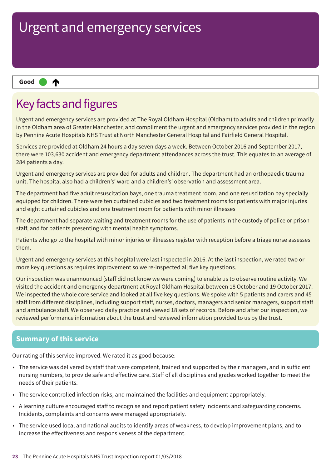#### ₳ **Up one rating Good –––**

### Key facts and figures

Urgent and emergency services are provided at The Royal Oldham Hospital (Oldham) to adults and children primarily in the Oldham area of Greater Manchester, and compliment the urgent and emergency services provided in the region by Pennine Acute Hospitals NHS Trust at North Manchester General Hospital and Fairfield General Hospital.

Services are provided at Oldham 24 hours a day seven days a week. Between October 2016 and September 2017, there were 103,630 accident and emergency department attendances across the trust. This equates to an average of 284 patients a day.

Urgent and emergency services are provided for adults and children. The department had an orthopaedic trauma unit. The hospital also had a children's' ward and a children's' observation and assessment area.

The department had five adult resuscitation bays, one trauma treatment room, and one resuscitation bay specially equipped for children. There were ten curtained cubicles and two treatment rooms for patients with major injuries and eight curtained cubicles and one treatment room for patients with minor illnesses

The department had separate waiting and treatment rooms for the use of patients in the custody of police or prison staff, and for patients presenting with mental health symptoms.

Patients who go to the hospital with minor injuries or illnesses register with reception before a triage nurse assesses them.

Urgent and emergency services at this hospital were last inspected in 2016. At the last inspection, we rated two or more key questions as requires improvement so we re-inspected all five key questions.

Our inspection was unannounced (staff did not know we were coming) to enable us to observe routine activity. We visited the accident and emergency department at Royal Oldham Hospital between 18 October and 19 October 2017. We inspected the whole core service and looked at all five key questions. We spoke with 5 patients and carers and 45 staff from different disciplines, including support staff, nurses, doctors, managers and senior managers, support staff and ambulance staff. We observed daily practice and viewed 18 sets of records. Before and after our inspection, we reviewed performance information about the trust and reviewed information provided to us by the trust.

#### **Summary of this service**

Our rating of this service improved. We rated it as good because:

- The service was delivered by staff that were competent, trained and supported by their managers, and in sufficient nursing numbers, to provide safe and effective care. Staff of all disciplines and grades worked together to meet the needs of their patients.
- The service controlled infection risks, and maintained the facilities and equipment appropriately.
- A learning culture encouraged staff to recognise and report patient safety incidents and safeguarding concerns. Incidents, complaints and concerns were managed appropriately.
- The service used local and national audits to identify areas of weakness, to develop improvement plans, and to increase the effectiveness and responsiveness of the department.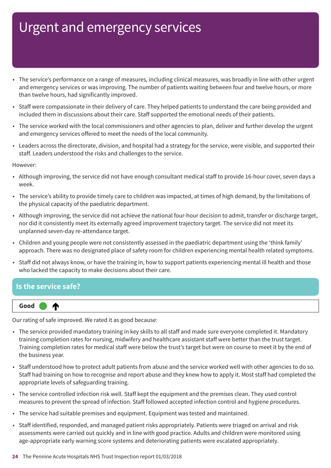- The service's performance on a range of measures, including clinical measures, was broadly in line with other urgent and emergency services or was improving. The number of patients waiting between four and twelve hours, or more than twelve hours, had significantly improved.
- Staff were compassionate in their delivery of care. They helped patients to understand the care being provided and included them in discussions about their care. Staff supported the emotional needs of their patients.
- The service worked with the local commissioners and other agencies to plan, deliver and further develop the urgent and emergency services offered to meet the needs of the local community.
- Leaders across the directorate, division, and hospital had a strategy for the service, were visible, and supported their staff. Leaders understood the risks and challenges to the service.

However:

- Although improving, the service did not have enough consultant medical staff to provide 16-hour cover, seven days a week.
- The service's ability to provide timely care to children was impacted, at times of high demand, by the limitations of the physical capacity of the paediatric department.
- Although improving, the service did not achieve the national four-hour decision to admit, transfer or discharge target, nor did it consistently meet its externally agreed improvement trajectory target. The service did not meet its unplanned seven-day re-attendance target.
- Children and young people were not consistently assessed in the paediatric department using the 'think family' approach. There was no designated place of safety room for children experiencing mental health related symptoms.
- Staff did not always know, or have the training in, how to support patients experiencing mental ill health and those who lacked the capacity to make decisions about their care.

#### **Is the service safe?**



Our rating of safe improved. We rated it as good because:

- The service provided mandatory training in key skills to all staff and made sure everyone completed it. Mandatory training completion rates for nursing, midwifery and healthcare assistant staff were better than the trust target. Training completion rates for medical staff were below the trust's target but were on course to meet it by the end of the business year.
- Staff understood how to protect adult patients from abuse and the service worked well with other agencies to do so. Staff had training on how to recognise and report abuse and they knew how to apply it. Most staff had completed the appropriate levels of safeguarding training.
- The service controlled infection risk well. Staff kept the equipment and the premises clean. They used control measures to prevent the spread of infection. Staff followed accepted infection control and hygiene procedures.
- The service had suitable premises and equipment. Equipment was tested and maintained.
- Staff identified, responded, and managed patient risks appropriately. Patients were triaged on arrival and risk assessments were carried out quickly and in line with good practice. Adults and children were monitored using age-appropriate early warning score systems and deteriorating patients were escalated appropriately.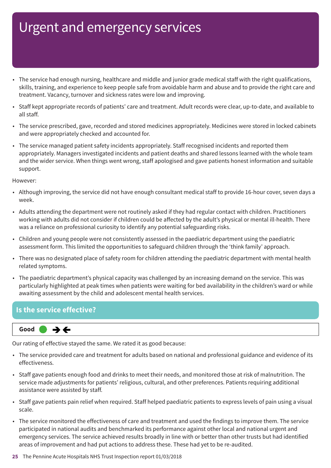- The service had enough nursing, healthcare and middle and junior grade medical staff with the right qualifications, skills, training, and experience to keep people safe from avoidable harm and abuse and to provide the right care and treatment. Vacancy, turnover and sickness rates were low and improving.
- Staff kept appropriate records of patients' care and treatment. Adult records were clear, up-to-date, and available to all staff.
- The service prescribed, gave, recorded and stored medicines appropriately. Medicines were stored in locked cabinets and were appropriately checked and accounted for.
- The service managed patient safety incidents appropriately. Staff recognised incidents and reported them appropriately. Managers investigated incidents and patient deaths and shared lessons learned with the whole team and the wider service. When things went wrong, staff apologised and gave patients honest information and suitable support.

However:

- Although improving, the service did not have enough consultant medical staff to provide 16-hour cover, seven days a week.
- Adults attending the department were not routinely asked if they had regular contact with children. Practitioners working with adults did not consider if children could be affected by the adult's physical or mental ill-health. There was a reliance on professional curiosity to identify any potential safeguarding risks.
- Children and young people were not consistently assessed in the paediatric department using the paediatric assessment form. This limited the opportunities to safeguard children through the 'think family' approach.
- There was no designated place of safety room for children attending the paediatric department with mental health related symptoms.
- The paediatric department's physical capacity was challenged by an increasing demand on the service. This was particularly highlighted at peak times when patients were waiting for bed availability in the children's ward or while awaiting assessment by the child and adolescent mental health services.

#### **Is the service effective?**



Our rating of effective stayed the same. We rated it as good because:

- The service provided care and treatment for adults based on national and professional guidance and evidence of its effectiveness.
- Staff gave patients enough food and drinks to meet their needs, and monitored those at risk of malnutrition. The service made adjustments for patients' religious, cultural, and other preferences. Patients requiring additional assistance were assisted by staff.
- Staff gave patients pain relief when required. Staff helped paediatric patients to express levels of pain using a visual scale.
- The service monitored the effectiveness of care and treatment and used the findings to improve them. The service participated in national audits and benchmarked its performance against other local and national urgent and emergency services. The service achieved results broadly in line with or better than other trusts but had identified areas of improvement and had put actions to address these. These had yet to be re-audited.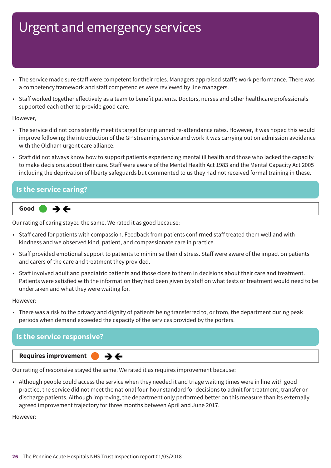- The service made sure staff were competent for their roles. Managers appraised staff's work performance. There was a competency framework and staff competencies were reviewed by line managers.
- Staff worked together effectively as a team to benefit patients. Doctors, nurses and other healthcare professionals supported each other to provide good care.

However,

- The service did not consistently meet its target for unplanned re-attendance rates. However, it was hoped this would improve following the introduction of the GP streaming service and work it was carrying out on admission avoidance with the Oldham urgent care alliance.
- Staff did not always know how to support patients experiencing mental ill health and those who lacked the capacity to make decisions about their care. Staff were aware of the Mental Health Act 1983 and the Mental Capacity Act 2005 including the deprivation of liberty safeguards but commented to us they had not received formal training in these.

## **Is the service caring?**



Our rating of caring stayed the same. We rated it as good because:

- Staff cared for patients with compassion. Feedback from patients confirmed staff treated them well and with kindness and we observed kind, patient, and compassionate care in practice.
- Staff provided emotional support to patients to minimise their distress. Staff were aware of the impact on patients and carers of the care and treatment they provided.
- Staff involved adult and paediatric patients and those close to them in decisions about their care and treatment. Patients were satisfied with the information they had been given by staff on what tests or treatment would need to be undertaken and what they were waiting for.

However:

• There was a risk to the privacy and dignity of patients being transferred to, or from, the department during peak periods when demand exceeded the capacity of the services provided by the porters.

#### **Is the service responsive?**



Our rating of responsive stayed the same. We rated it as requires improvement because:

 $\rightarrow$   $\leftarrow$ 

• Although people could access the service when they needed it and triage waiting times were in line with good practice, the service did not meet the national four-hour standard for decisions to admit for treatment, transfer or discharge patients. Although improving, the department only performed better on this measure than its externally agreed improvement trajectory for three months between April and June 2017.

However: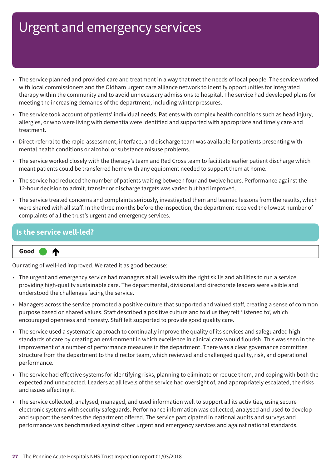- The service planned and provided care and treatment in a way that met the needs of local people. The service worked with local commissioners and the Oldham urgent care alliance network to identify opportunities for integrated therapy within the community and to avoid unnecessary admissions to hospital. The service had developed plans for meeting the increasing demands of the department, including winter pressures.
- The service took account of patients' individual needs. Patients with complex health conditions such as head injury, allergies, or who were living with dementia were identified and supported with appropriate and timely care and treatment.
- Direct referral to the rapid assessment, interface, and discharge team was available for patients presenting with mental health conditions or alcohol or substance misuse problems.
- The service worked closely with the therapy's team and Red Cross team to facilitate earlier patient discharge which meant patients could be transferred home with any equipment needed to support them at home.
- The service had reduced the number of patients waiting between four and twelve hours. Performance against the 12-hour decision to admit, transfer or discharge targets was varied but had improved.
- The service treated concerns and complaints seriously, investigated them and learned lessons from the results, which were shared with all staff. In the three months before the inspection, the department received the lowest number of complaints of all the trust's urgent and emergency services.

#### **Is the service well-led?**

♠



Our rating of well-led improved. We rated it as good because:

- The urgent and emergency service had managers at all levels with the right skills and abilities to run a service providing high-quality sustainable care. The departmental, divisional and directorate leaders were visible and understood the challenges facing the service.
- Managers across the service promoted a positive culture that supported and valued staff, creating a sense of common purpose based on shared values. Staff described a positive culture and told us they felt 'listened to', which encouraged openness and honesty. Staff felt supported to provide good quality care.
- The service used a systematic approach to continually improve the quality of its services and safeguarded high standards of care by creating an environment in which excellence in clinical care would flourish. This was seen in the improvement of a number of performance measures in the department. There was a clear governance committee structure from the department to the director team, which reviewed and challenged quality, risk, and operational performance.
- The service had effective systems for identifying risks, planning to eliminate or reduce them, and coping with both the expected and unexpected. Leaders at all levels of the service had oversight of, and appropriately escalated, the risks and issues affecting it.
- The service collected, analysed, managed, and used information well to support all its activities, using secure electronic systems with security safeguards. Performance information was collected, analysed and used to develop and support the services the department offered. The service participated in national audits and surveys and performance was benchmarked against other urgent and emergency services and against national standards.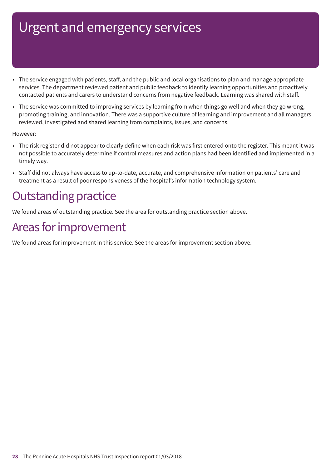- The service engaged with patients, staff, and the public and local organisations to plan and manage appropriate services. The department reviewed patient and public feedback to identify learning opportunities and proactively contacted patients and carers to understand concerns from negative feedback. Learning was shared with staff.
- The service was committed to improving services by learning from when things go well and when they go wrong, promoting training, and innovation. There was a supportive culture of learning and improvement and all managers reviewed, investigated and shared learning from complaints, issues, and concerns.

#### However:

- The risk register did not appear to clearly define when each risk was first entered onto the register. This meant it was not possible to accurately determine if control measures and action plans had been identified and implemented in a timely way.
- Staff did not always have access to up-to-date, accurate, and comprehensive information on patients' care and treatment as a result of poor responsiveness of the hospital's information technology system.

### **Outstanding practice**

We found areas of outstanding practice. See the area for outstanding practice section above.

### Areas for improvement

We found areas for improvement in this service. See the areas for improvement section above.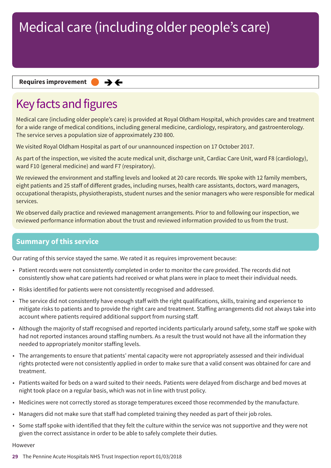#### **Requires improvement**  $\rightarrow$   $\leftarrow$

### Key facts and figures

Medical care (including older people's care) is provided at Royal Oldham Hospital, which provides care and treatment for a wide range of medical conditions, including general medicine, cardiology, respiratory, and gastroenterology. The service serves a population size of approximately 230 800.

We visited Royal Oldham Hospital as part of our unannounced inspection on 17 October 2017.

As part of the inspection, we visited the acute medical unit, discharge unit, Cardiac Care Unit, ward F8 (cardiology), ward F10 (general medicine) and ward F7 (respiratory).

We reviewed the environment and staffing levels and looked at 20 care records. We spoke with 12 family members, eight patients and 25 staff of different grades, including nurses, health care assistants, doctors, ward managers, occupational therapists, physiotherapists, student nurses and the senior managers who were responsible for medical services.

We observed daily practice and reviewed management arrangements. Prior to and following our inspection, we reviewed performance information about the trust and reviewed information provided to us from the trust.

#### **Summary of this service**

Our rating of this service stayed the same. We rated it as requires improvement because:

- Patient records were not consistently completed in order to monitor the care provided. The records did not consistently show what care patients had received or what plans were in place to meet their individual needs.
- Risks identified for patients were not consistently recognised and addressed.
- The service did not consistently have enough staff with the right qualifications, skills, training and experience to mitigate risks to patients and to provide the right care and treatment. Staffing arrangements did not always take into account where patients required additional support from nursing staff.
- Although the majority of staff recognised and reported incidents particularly around safety, some staff we spoke with had not reported instances around staffing numbers. As a result the trust would not have all the information they needed to appropriately monitor staffing levels.
- The arrangements to ensure that patients' mental capacity were not appropriately assessed and their individual rights protected were not consistently applied in order to make sure that a valid consent was obtained for care and treatment.
- Patients waited for beds on a ward suited to their needs. Patients were delayed from discharge and bed moves at night took place on a regular basis, which was not in line with trust policy.
- Medicines were not correctly stored as storage temperatures exceed those recommended by the manufacture.
- Managers did not make sure that staff had completed training they needed as part of their job roles.
- Some staff spoke with identified that they felt the culture within the service was not supportive and they were not given the correct assistance in order to be able to safely complete their duties.

#### However

**29** The Pennine Acute Hospitals NHS Trust Inspection report 01/03/2018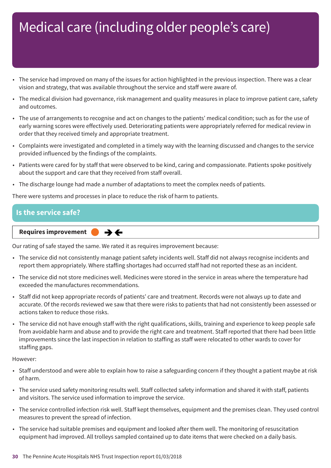- The service had improved on many of the issues for action highlighted in the previous inspection. There was a clear vision and strategy, that was available throughout the service and staff were aware of.
- The medical division had governance, risk management and quality measures in place to improve patient care, safety and outcomes.
- The use of arrangements to recognise and act on changes to the patients' medical condition; such as for the use of early warning scores were effectively used. Deteriorating patients were appropriately referred for medical review in order that they received timely and appropriate treatment.
- Complaints were investigated and completed in a timely way with the learning discussed and changes to the service provided influenced by the findings of the complaints.
- Patients were cared for by staff that were observed to be kind, caring and compassionate. Patients spoke positively about the support and care that they received from staff overall.
- The discharge lounge had made a number of adaptations to meet the complex needs of patients.

There were systems and processes in place to reduce the risk of harm to patients.

#### **Is the service safe?**

**Requires improvement**  $\rightarrow$   $\leftarrow$ 

Our rating of safe stayed the same. We rated it as requires improvement because:

- The service did not consistently manage patient safety incidents well. Staff did not always recognise incidents and report them appropriately. Where staffing shortages had occurred staff had not reported these as an incident.
- The service did not store medicines well. Medicines were stored in the service in areas where the temperature had exceeded the manufactures recommendations.
- Staff did not keep appropriate records of patients' care and treatment. Records were not always up to date and accurate. Of the records reviewed we saw that there were risks to patients that had not consistently been assessed or actions taken to reduce those risks.
- The service did not have enough staff with the right qualifications, skills, training and experience to keep people safe from avoidable harm and abuse and to provide the right care and treatment. Staff reported that there had been little improvements since the last inspection in relation to staffing as staff were relocated to other wards to cover for staffing gaps.

However:

- Staff understood and were able to explain how to raise a safeguarding concern if they thought a patient maybe at risk of harm.
- The service used safety monitoring results well. Staff collected safety information and shared it with staff, patients and visitors. The service used information to improve the service.
- The service controlled infection risk well. Staff kept themselves, equipment and the premises clean. They used control measures to prevent the spread of infection.
- The service had suitable premises and equipment and looked after them well. The monitoring of resuscitation equipment had improved. All trolleys sampled contained up to date items that were checked on a daily basis.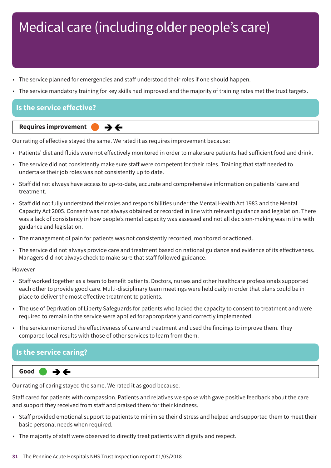- The service planned for emergencies and staff understood their roles if one should happen.
- The service mandatory training for key skills had improved and the majority of training rates met the trust targets.

#### **Is the service effective?**



Our rating of effective stayed the same. We rated it as requires improvement because:

- Patients' diet and fluids were not effectively monitored in order to make sure patients had sufficient food and drink.
- The service did not consistently make sure staff were competent for their roles. Training that staff needed to undertake their job roles was not consistently up to date.
- Staff did not always have access to up-to-date, accurate and comprehensive information on patients' care and treatment.
- Staff did not fully understand their roles and responsibilities under the Mental Health Act 1983 and the Mental Capacity Act 2005. Consent was not always obtained or recorded in line with relevant guidance and legislation. There was a lack of consistency in how people's mental capacity was assessed and not all decision-making was in line with guidance and legislation.
- The management of pain for patients was not consistently recorded, monitored or actioned.
- The service did not always provide care and treatment based on national guidance and evidence of its effectiveness. Managers did not always check to make sure that staff followed guidance.

However

- Staff worked together as a team to benefit patients. Doctors, nurses and other healthcare professionals supported each other to provide good care. Multi-disciplinary team meetings were held daily in order that plans could be in place to deliver the most effective treatment to patients.
- The use of Deprivation of Liberty Safeguards for patients who lacked the capacity to consent to treatment and were required to remain in the service were applied for appropriately and correctly implemented.
- The service monitored the effectiveness of care and treatment and used the findings to improve them. They compared local results with those of other services to learn from them.

#### **Is the service caring?**



Our rating of caring stayed the same. We rated it as good because:

Staff cared for patients with compassion. Patients and relatives we spoke with gave positive feedback about the care and support they received from staff and praised them for their kindness.

- Staff provided emotional support to patients to minimise their distress and helped and supported them to meet their basic personal needs when required.
- The majority of staff were observed to directly treat patients with dignity and respect.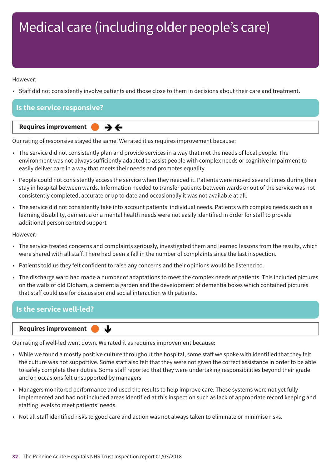#### However;

• Staff did not consistently involve patients and those close to them in decisions about their care and treatment.

| Is the service responsive?                                                                 |
|--------------------------------------------------------------------------------------------|
| Requires improvement<br>___<br>그 사람들은 그 사람들은 그 사람들은 그 사람들을 지르며 아주 있다. 그 사람들은 그 사람들은 아주 있다. |

Our rating of responsive stayed the same. We rated it as requires improvement because:

- The service did not consistently plan and provide services in a way that met the needs of local people. The environment was not always sufficiently adapted to assist people with complex needs or cognitive impairment to easily deliver care in a way that meets their needs and promotes equality.
- People could not consistently access the service when they needed it. Patients were moved several times during their stay in hospital between wards. Information needed to transfer patients between wards or out of the service was not consistently completed, accurate or up to date and occasionally it was not available at all.
- The service did not consistently take into account patients' individual needs. Patients with complex needs such as a learning disability, dementia or a mental health needs were not easily identified in order for staff to provide additional person centred support

However:

- The service treated concerns and complaints seriously, investigated them and learned lessons from the results, which were shared with all staff. There had been a fall in the number of complaints since the last inspection.
- Patients told us they felt confident to raise any concerns and their opinions would be listened to.
- The discharge ward had made a number of adaptations to meet the complex needs of patients. This included pictures on the walls of old Oldham, a dementia garden and the development of dementia boxes which contained pictures that staff could use for discussion and social interaction with patients.

#### **Is the service well-led?**

#### **Requires improvement**

Our rating of well-led went down. We rated it as requires improvement because:

↓

- While we found a mostly positive culture throughout the hospital, some staff we spoke with identified that they felt the culture was not supportive. Some staff also felt that they were not given the correct assistance in order to be able to safely complete their duties. Some staff reported that they were undertaking responsibilities beyond their grade and on occasions felt unsupported by managers
- Managers monitored performance and used the results to help improve care. These systems were not yet fully implemented and had not included areas identified at this inspection such as lack of appropriate record keeping and staffing levels to meet patients' needs.
- Not all staff identified risks to good care and action was not always taken to eliminate or minimise risks.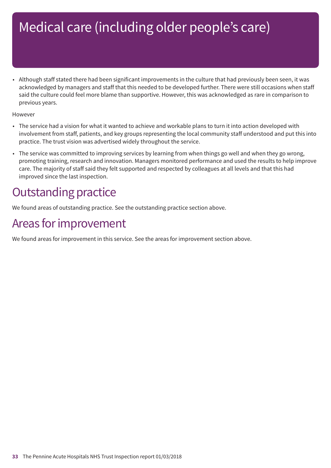• Although staff stated there had been significant improvements in the culture that had previously been seen, it was acknowledged by managers and staff that this needed to be developed further. There were still occasions when staff said the culture could feel more blame than supportive. However, this was acknowledged as rare in comparison to previous years.

#### However

- The service had a vision for what it wanted to achieve and workable plans to turn it into action developed with involvement from staff, patients, and key groups representing the local community staff understood and put this into practice. The trust vision was advertised widely throughout the service.
- The service was committed to improving services by learning from when things go well and when they go wrong, promoting training, research and innovation. Managers monitored performance and used the results to help improve care. The majority of staff said they felt supported and respected by colleagues at all levels and that this had improved since the last inspection.

### **Outstanding practice**

We found areas of outstanding practice. See the outstanding practice section above.

### Areas for improvement

We found areas for improvement in this service. See the areas for improvement section above.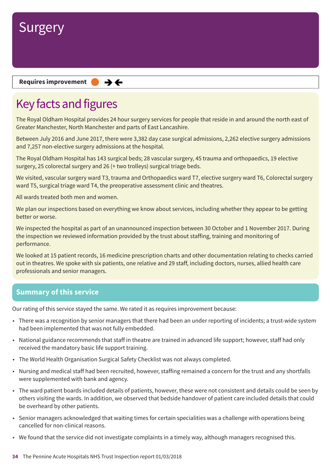

**Requires improvement**  $\rightarrow$   $\leftarrow$ 

### Key facts and figures

The Royal Oldham Hospital provides 24 hour surgery services for people that reside in and around the north east of Greater Manchester, North Manchester and parts of East Lancashire.

Between July 2016 and June 2017, there were 3,382 day case surgical admissions, 2,262 elective surgery admissions and 7,257 non-elective surgery admissions at the hospital.

The Royal Oldham Hospital has 143 surgical beds; 28 vascular surgery, 45 trauma and orthopaedics, 19 elective surgery, 25 colorectal surgery and 26 (+ two trolleys) surgical triage beds.

We visited, vascular surgery ward T3, trauma and Orthopaedics ward T7, elective surgery ward T6, Colorectal surgery ward T5, surgical triage ward T4, the preoperative assessment clinic and theatres.

All wards treated both men and women.

We plan our inspections based on everything we know about services, including whether they appear to be getting better or worse.

We inspected the hospital as part of an unannounced inspection between 30 October and 1 November 2017. During the inspection we reviewed information provided by the trust about staffing, training and monitoring of performance.

We looked at 15 patient records, 16 medicine prescription charts and other documentation relating to checks carried out in theatres. We spoke with six patients, one relative and 29 staff, including doctors, nurses, allied health care professionals and senior managers.

#### **Summary of this service**

Our rating of this service stayed the same. We rated it as requires improvement because:

- There was a recognition by senior managers that there had been an under reporting of incidents; a trust-wide system had been implemented that was not fully embedded.
- National guidance recommends that staff in theatre are trained in advanced life support; however, staff had only received the mandatory basic life support training.
- The World Health Organisation Surgical Safety Checklist was not always completed.
- Nursing and medical staff had been recruited, however, staffing remained a concern for the trust and any shortfalls were supplemented with bank and agency.
- The ward patient boards included details of patients, however, these were not consistent and details could be seen by others visiting the wards. In addition, we observed that bedside handover of patient care included details that could be overheard by other patients.
- Senior managers acknowledged that waiting times for certain specialities was a challenge with operations being cancelled for non-clinical reasons.
- We found that the service did not investigate complaints in a timely way, although managers recognised this.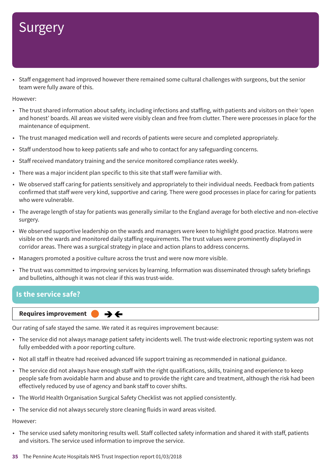## **Surgery**

• Staff engagement had improved however there remained some cultural challenges with surgeons, but the senior team were fully aware of this.

However:

- The trust shared information about safety, including infections and staffing, with patients and visitors on their 'open and honest' boards. All areas we visited were visibly clean and free from clutter. There were processes in place for the maintenance of equipment.
- The trust managed medication well and records of patients were secure and completed appropriately.
- Staff understood how to keep patients safe and who to contact for any safeguarding concerns.
- Staff received mandatory training and the service monitored compliance rates weekly.
- There was a major incident plan specific to this site that staff were familiar with.
- We observed staff caring for patients sensitively and appropriately to their individual needs. Feedback from patients confirmed that staff were very kind, supportive and caring. There were good processes in place for caring for patients who were vulnerable.
- The average length of stay for patients was generally similar to the England average for both elective and non-elective surgery.
- We observed supportive leadership on the wards and managers were keen to highlight good practice. Matrons were visible on the wards and monitored daily staffing requirements. The trust values were prominently displayed in corridor areas. There was a surgical strategy in place and action plans to address concerns.
- Managers promoted a positive culture across the trust and were now more visible.
- The trust was committed to improving services by learning. Information was disseminated through safety briefings and bulletins, although it was not clear if this was trust-wide.

#### **Is the service safe?**

#### **Requires improvement** ⇛⇐

Our rating of safe stayed the same. We rated it as requires improvement because:

- The service did not always manage patient safety incidents well. The trust-wide electronic reporting system was not fully embedded with a poor reporting culture.
- Not all staff in theatre had received advanced life support training as recommended in national guidance.
- The service did not always have enough staff with the right qualifications, skills, training and experience to keep people safe from avoidable harm and abuse and to provide the right care and treatment, although the risk had been effectively reduced by use of agency and bank staff to cover shifts.
- The World Health Organisation Surgical Safety Checklist was not applied consistently.
- The service did not always securely store cleaning fluids in ward areas visited.

#### However:

• The service used safety monitoring results well. Staff collected safety information and shared it with staff, patients and visitors. The service used information to improve the service.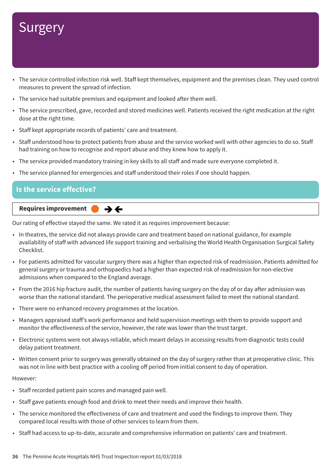## **Surgery**

- The service controlled infection risk well. Staff kept themselves, equipment and the premises clean. They used control measures to prevent the spread of infection.
- The service had suitable premises and equipment and looked after them well.
- The service prescribed, gave, recorded and stored medicines well. Patients received the right medication at the right dose at the right time.
- Staff kept appropriate records of patients' care and treatment.
- Staff understood how to protect patients from abuse and the service worked well with other agencies to do so. Staff had training on how to recognise and report abuse and they knew how to apply it.
- The service provided mandatory training in key skills to all staff and made sure everyone completed it.
- The service planned for emergencies and staff understood their roles if one should happen.

#### **Is the service effective?**

#### **Requires improvement**  $\rightarrow$   $\leftarrow$

Our rating of effective stayed the same. We rated it as requires improvement because:

- In theatres, the service did not always provide care and treatment based on national guidance, for example availability of staff with advanced life support training and verbalising the World Health Organisation Surgical Safety Checklist.
- For patients admitted for vascular surgery there was a higher than expected risk of readmission. Patients admitted for general surgery or trauma and orthopaedics had a higher than expected risk of readmission for non-elective admissions when compared to the England average.
- From the 2016 hip fracture audit, the number of patients having surgery on the day of or day after admission was worse than the national standard. The perioperative medical assessment failed to meet the national standard.
- There were no enhanced recovery programmes at the location.
- Managers appraised staff's work performance and held supervision meetings with them to provide support and monitor the effectiveness of the service, however, the rate was lower than the trust target.
- Electronic systems were not always reliable, which meant delays in accessing results from diagnostic tests could delay patient treatment.
- Written consent prior to surgery was generally obtained on the day of surgery rather than at preoperative clinic. This was not in line with best practice with a cooling off period from initial consent to day of operation.

#### However:

- Staff recorded patient pain scores and managed pain well.
- Staff gave patients enough food and drink to meet their needs and improve their health.
- The service monitored the effectiveness of care and treatment and used the findings to improve them. They compared local results with those of other services to learn from them.
- Staff had access to up-to-date, accurate and comprehensive information on patients' care and treatment.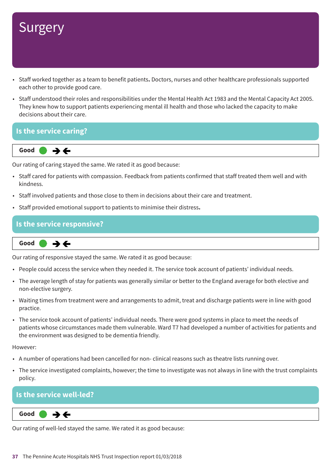- Staff worked together as a team to benefit patients**.** Doctors, nurses and other healthcare professionals supported each other to provide good care.
- Staff understood their roles and responsibilities under the Mental Health Act 1983 and the Mental Capacity Act 2005. They knew how to support patients experiencing mental ill health and those who lacked the capacity to make decisions about their care.

### **Is the service caring?**



Our rating of caring stayed the same. We rated it as good because:

- Staff cared for patients with compassion. Feedback from patients confirmed that staff treated them well and with kindness.
- Staff involved patients and those close to them in decisions about their care and treatment.
- Staff provided emotional support to patients to minimise their distress**.**

### **Is the service responsive?**

**Same–––rating Good –––**

Our rating of responsive stayed the same. We rated it as good because:

- People could access the service when they needed it. The service took account of patients' individual needs.
- The average length of stay for patients was generally similar or better to the England average for both elective and non-elective surgery.
- Waiting times from treatment were and arrangements to admit, treat and discharge patients were in line with good practice.
- The service took account of patients' individual needs. There were good systems in place to meet the needs of patients whose circumstances made them vulnerable. Ward T7 had developed a number of activities for patients and the environment was designed to be dementia friendly.

However:

- A number of operations had been cancelled for non- clinical reasons such as theatre lists running over.
- The service investigated complaints, however; the time to investigate was not always in line with the trust complaints policy.

### **Is the service well-led?**

**Same–––rating Good –––**  $\rightarrow$   $\leftarrow$ 

Our rating of well-led stayed the same. We rated it as good because: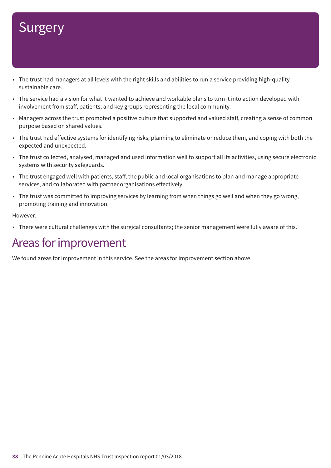- The trust had managers at all levels with the right skills and abilities to run a service providing high-quality sustainable care.
- The service had a vision for what it wanted to achieve and workable plans to turn it into action developed with involvement from staff, patients, and key groups representing the local community.
- Managers across the trust promoted a positive culture that supported and valued staff, creating a sense of common purpose based on shared values.
- The trust had effective systems for identifying risks, planning to eliminate or reduce them, and coping with both the expected and unexpected.
- The trust collected, analysed, managed and used information well to support all its activities, using secure electronic systems with security safeguards.
- The trust engaged well with patients, staff, the public and local organisations to plan and manage appropriate services, and collaborated with partner organisations effectively.
- The trust was committed to improving services by learning from when things go well and when they go wrong, promoting training and innovation.

### However:

• There were cultural challenges with the surgical consultants; the senior management were fully aware of this.

## Areas for improvement

We found areas for improvement in this service. See the areas for improvement section above.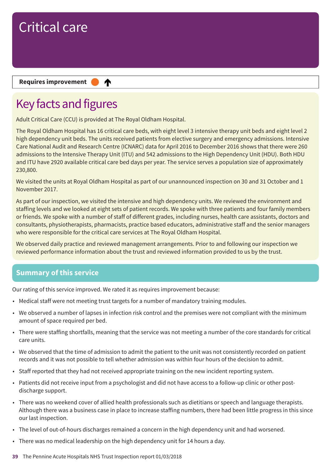### **Requires improvement**

## Key facts and figures

Adult Critical Care (CCU) is provided at The Royal Oldham Hospital.

₳

The Royal Oldham Hospital has 16 critical care beds, with eight level 3 intensive therapy unit beds and eight level 2 high dependency unit beds. The units received patients from elective surgery and emergency admissions. Intensive Care National Audit and Research Centre (ICNARC) data for April 2016 to December 2016 shows that there were 260 admissions to the Intensive Therapy Unit (ITU) and 542 admissions to the High Dependency Unit (HDU). Both HDU and ITU have 2920 available critical care bed days per year. The service serves a population size of approximately 230,800.

We visited the units at Royal Oldham Hospital as part of our unannounced inspection on 30 and 31 October and 1 November 2017.

As part of our inspection, we visited the intensive and high dependency units. We reviewed the environment and staffing levels and we looked at eight sets of patient records. We spoke with three patients and four family members or friends. We spoke with a number of staff of different grades, including nurses, health care assistants, doctors and consultants, physiotherapists, pharmacists, practice based educators, administrative staff and the senior managers who were responsible for the critical care services at The Royal Oldham Hospital.

We observed daily practice and reviewed management arrangements. Prior to and following our inspection we reviewed performance information about the trust and reviewed information provided to us by the trust.

## **Summary of this service**

Our rating of this service improved. We rated it as requires improvement because:

- Medical staff were not meeting trust targets for a number of mandatory training modules.
- We observed a number of lapses in infection risk control and the premises were not compliant with the minimum amount of space required per bed.
- There were staffing shortfalls, meaning that the service was not meeting a number of the core standards for critical care units.
- We observed that the time of admission to admit the patient to the unit was not consistently recorded on patient records and it was not possible to tell whether admission was within four hours of the decision to admit.
- Staff reported that they had not received appropriate training on the new incident reporting system.
- Patients did not receive input from a psychologist and did not have access to a follow-up clinic or other postdischarge support.
- There was no weekend cover of allied health professionals such as dietitians or speech and language therapists. Although there was a business case in place to increase staffing numbers, there had been little progress in this since our last inspection.
- The level of out-of-hours discharges remained a concern in the high dependency unit and had worsened.
- There was no medical leadership on the high dependency unit for 14 hours a day.
- **39** The Pennine Acute Hospitals NHS Trust Inspection report 01/03/2018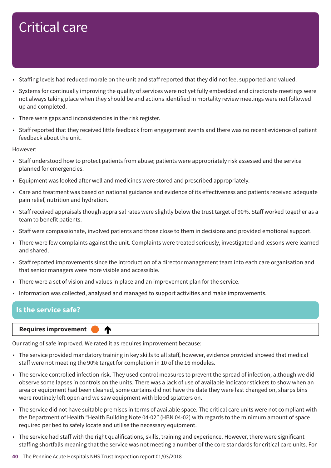- Staffing levels had reduced morale on the unit and staff reported that they did not feel supported and valued.
- Systems for continually improving the quality of services were not yet fully embedded and directorate meetings were not always taking place when they should be and actions identified in mortality review meetings were not followed up and completed.
- There were gaps and inconsistencies in the risk register.
- Staff reported that they received little feedback from engagement events and there was no recent evidence of patient feedback about the unit.

However:

- Staff understood how to protect patients from abuse; patients were appropriately risk assessed and the service planned for emergencies.
- Equipment was looked after well and medicines were stored and prescribed appropriately.
- Care and treatment was based on national guidance and evidence of its effectiveness and patients received adequate pain relief, nutrition and hydration.
- Staff received appraisals though appraisal rates were slightly below the trust target of 90%. Staff worked together as a team to benefit patients.
- Staff were compassionate, involved patients and those close to them in decisions and provided emotional support.
- There were few complaints against the unit. Complaints were treated seriously, investigated and lessons were learned and shared.
- Staff reported improvements since the introduction of a director management team into each care organisation and that senior managers were more visible and accessible.
- There were a set of vision and values in place and an improvement plan for the service.
- Information was collected, analysed and managed to support activities and make improvements.

### **Is the service safe?**

### **Up one rating Requires improvement –––**

Our rating of safe improved. We rated it as requires improvement because:

♠

- The service provided mandatory training in key skills to all staff, however, evidence provided showed that medical staff were not meeting the 90% target for completion in 10 of the 16 modules.
- The service controlled infection risk. They used control measures to prevent the spread of infection, although we did observe some lapses in controls on the units. There was a lack of use of available indicator stickers to show when an area or equipment had been cleaned, some curtains did not have the date they were last changed on, sharps bins were routinely left open and we saw equipment with blood splatters on.
- The service did not have suitable premises in terms of available space. The critical care units were not compliant with the Department of Health "Health Building Note 04-02" (HBN 04-02) with regards to the minimum amount of space required per bed to safely locate and utilise the necessary equipment.
- The service had staff with the right qualifications, skills, training and experience. However, there were significant staffing shortfalls meaning that the service was not meeting a number of the core standards for critical care units. For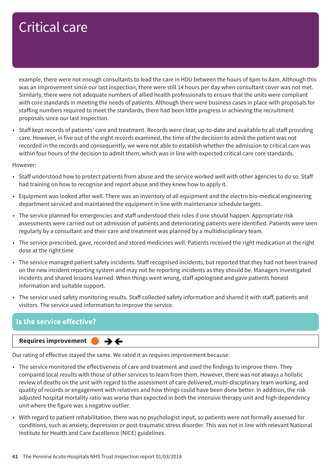example, there were not enough consultants to lead the care in HDU between the hours of 6pm to 8am. Although this was an improvement since our last inspection, there were still 14 hours per day when consultant cover was not met. Similarly, there were not adequate numbers of allied health professionals to ensure that the units were compliant with core standards in meeting the needs of patients. Although there were business cases in place with proposals for staffing numbers required to meet the standards, there had been little progress in achieving the recruitment proposals since our last inspection.

• Staff kept records of patients' care and treatment. Records were clear, up-to-date and available to all staff providing care. However, in five out of the eight records examined, the time of the decision to admit the patient was not recorded in the records and consequently, we were not able to establish whether the admission to critical care was within four hours of the decision to admit them, which was in line with expected critical care core standards.

However:

- Staff understood how to protect patients from abuse and the service worked well with other agencies to do so. Staff had training on how to recognise and report abuse and they knew how to apply it.
- Equipment was looked after well. There was an inventory of all equipment and the electro bio-medical engineering department serviced and maintained the equipment in line with maintenance schedule targets.
- The service planned for emergencies and staff understood their roles if one should happen. Appropriate risk assessments were carried out on admission of patients and deteriorating patients were identified. Patients were seen regularly by a consultant and their care and treatment was planned by a multidisciplinary team.
- The service prescribed, gave, recorded and stored medicines well. Patients received the right medication at the right dose at the right time
- The service managed patient safety incidents. Staff recognised incidents, but reported that they had not been trained on the new incident reporting system and may not be reporting incidents as they should be. Managers investigated incidents and shared lessons learned. When things went wrong, staff apologised and gave patients honest information and suitable support.
- The service used safety monitoring results. Staff collected safety information and shared it with staff, patients and visitors. The service used information to improve the service.

## **Is the service effective?**

### **Requires improvement**

Our rating of effective stayed the same. We rated it as requires improvement because:

 $\rightarrow$   $\leftarrow$ 

- The service monitored the effectiveness of care and treatment and used the findings to improve them. They compared local results with those of other services to learn from them. However, there was not always a holistic review of deaths on the unit with regard to the assessment of care delivered, multi-disciplinary team working, and quality of records or engagement with relatives and how things could have been done better. In addition, the risk adjusted hospital mortality ratio was worse than expected in both the intensive therapy unit and high dependency unit where the figure was a negative outlier.
- With regard to patient rehabilitation, there was no psychologist input, so patients were not formally assessed for conditions, such as anxiety, depression or post-traumatic stress disorder. This was not in line with relevant National Institute for Health and Care Excellence (NICE) guidelines.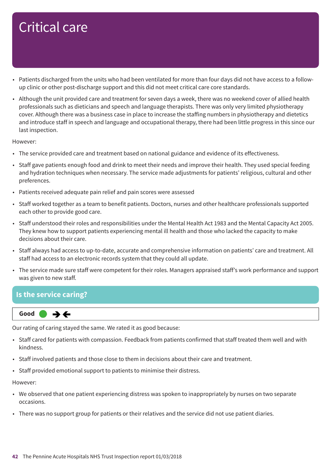- Patients discharged from the units who had been ventilated for more than four days did not have access to a followup clinic or other post-discharge support and this did not meet critical care core standards.
- Although the unit provided care and treatment for seven days a week, there was no weekend cover of allied health professionals such as dieticians and speech and language therapists. There was only very limited physiotherapy cover. Although there was a business case in place to increase the staffing numbers in physiotherapy and dietetics and introduce staff in speech and language and occupational therapy, there had been little progress in this since our last inspection.

### However:

- The service provided care and treatment based on national guidance and evidence of its effectiveness.
- Staff gave patients enough food and drink to meet their needs and improve their health. They used special feeding and hydration techniques when necessary. The service made adjustments for patients' religious, cultural and other preferences.
- Patients received adequate pain relief and pain scores were assessed
- Staff worked together as a team to benefit patients. Doctors, nurses and other healthcare professionals supported each other to provide good care.
- Staff understood their roles and responsibilities under the Mental Health Act 1983 and the Mental Capacity Act 2005. They knew how to support patients experiencing mental ill health and those who lacked the capacity to make decisions about their care.
- Staff always had access to up-to-date, accurate and comprehensive information on patients' care and treatment. All staff had access to an electronic records system that they could all update.
- The service made sure staff were competent for their roles. Managers appraised staff's work performance and support was given to new staff.

### **Is the service caring?**

**Same–––rating Good –––** →←

Our rating of caring stayed the same. We rated it as good because:

- Staff cared for patients with compassion. Feedback from patients confirmed that staff treated them well and with kindness.
- Staff involved patients and those close to them in decisions about their care and treatment.
- Staff provided emotional support to patients to minimise their distress.

### However:

- We observed that one patient experiencing distress was spoken to inappropriately by nurses on two separate occasions.
- There was no support group for patients or their relatives and the service did not use patient diaries.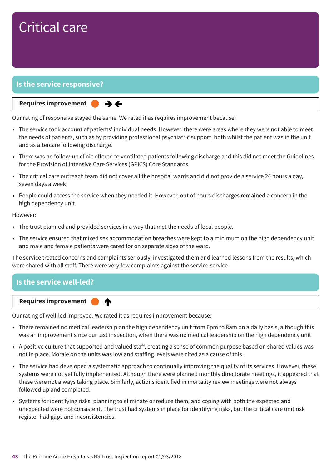## **Is the service responsive?**

### **Same–––rating Requires improvement –––**

Our rating of responsive stayed the same. We rated it as requires improvement because:

 $\rightarrow$   $\leftarrow$ 

- The service took account of patients' individual needs. However, there were areas where they were not able to meet the needs of patients, such as by providing professional psychiatric support, both whilst the patient was in the unit and as aftercare following discharge.
- There was no follow-up clinic offered to ventilated patients following discharge and this did not meet the Guidelines for the Provision of Intensive Care Services (GPICS) Core Standards.
- The critical care outreach team did not cover all the hospital wards and did not provide a service 24 hours a day, seven days a week.
- People could access the service when they needed it. However, out of hours discharges remained a concern in the high dependency unit.

#### However:

- The trust planned and provided services in a way that met the needs of local people.
- The service ensured that mixed sex accommodation breaches were kept to a minimum on the high dependency unit and male and female patients were cared for on separate sides of the ward.

The service treated concerns and complaints seriously, investigated them and learned lessons from the results, which were shared with all staff. There were very few complaints against the service.service

## **Is the service well-led?** ♠ **Up one rating Requires improvement –––**

Our rating of well-led improved. We rated it as requires improvement because:

- There remained no medical leadership on the high dependency unit from 6pm to 8am on a daily basis, although this was an improvement since our last inspection, when there was no medical leadership on the high dependency unit.
- A positive culture that supported and valued staff, creating a sense of common purpose based on shared values was not in place. Morale on the units was low and staffing levels were cited as a cause of this.
- The service had developed a systematic approach to continually improving the quality of its services. However, these systems were not yet fully implemented. Although there were planned monthly directorate meetings, it appeared that these were not always taking place. Similarly, actions identified in mortality review meetings were not always followed up and completed.
- Systems for identifying risks, planning to eliminate or reduce them, and coping with both the expected and unexpected were not consistent. The trust had systems in place for identifying risks, but the critical care unit risk register had gaps and inconsistencies.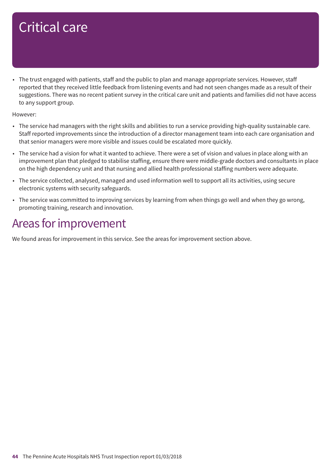• The trust engaged with patients, staff and the public to plan and manage appropriate services. However, staff reported that they received little feedback from listening events and had not seen changes made as a result of their suggestions. There was no recent patient survey in the critical care unit and patients and families did not have access to any support group.

However:

- The service had managers with the right skills and abilities to run a service providing high-quality sustainable care. Staff reported improvements since the introduction of a director management team into each care organisation and that senior managers were more visible and issues could be escalated more quickly.
- The service had a vision for what it wanted to achieve. There were a set of vision and values in place along with an improvement plan that pledged to stabilise staffing, ensure there were middle-grade doctors and consultants in place on the high dependency unit and that nursing and allied health professional staffing numbers were adequate.
- The service collected, analysed, managed and used information well to support all its activities, using secure electronic systems with security safeguards.
- The service was committed to improving services by learning from when things go well and when they go wrong, promoting training, research and innovation.

## Areas for improvement

We found areas for improvement in this service. See the areas for improvement section above.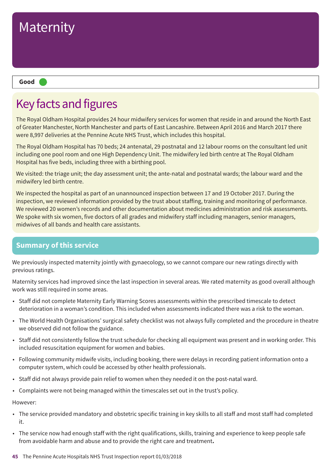

## Key facts and figures

The Royal Oldham Hospital provides 24 hour midwifery services for women that reside in and around the North East of Greater Manchester, North Manchester and parts of East Lancashire. Between April 2016 and March 2017 there were 8,997 deliveries at the Pennine Acute NHS Trust, which includes this hospital.

The Royal Oldham Hospital has 70 beds; 24 antenatal, 29 postnatal and 12 labour rooms on the consultant led unit including one pool room and one High Dependency Unit. The midwifery led birth centre at The Royal Oldham Hospital has five beds, including three with a birthing pool.

We visited: the triage unit; the day assessment unit; the ante-natal and postnatal wards; the labour ward and the midwifery led birth centre.

We inspected the hospital as part of an unannounced inspection between 17 and 19 October 2017. During the inspection, we reviewed information provided by the trust about staffing, training and monitoring of performance. We reviewed 20 women's records and other documentation about medicines administration and risk assessments. We spoke with six women, five doctors of all grades and midwifery staff including managers, senior managers, midwives of all bands and health care assistants.

## **Summary of this service**

We previously inspected maternity jointly with gynaecology, so we cannot compare our new ratings directly with previous ratings.

Maternity services had improved since the last inspection in several areas. We rated maternity as good overall although work was still required in some areas.

- Staff did not complete Maternity Early Warning Scores assessments within the prescribed timescale to detect deterioration in a woman's condition. This included when assessments indicated there was a risk to the woman.
- The World Health Organisations' surgical safety checklist was not always fully completed and the procedure in theatre we observed did not follow the guidance.
- Staff did not consistently follow the trust schedule for checking all equipment was present and in working order. This included resuscitation equipment for women and babies.
- Following community midwife visits, including booking, there were delays in recording patient information onto a computer system, which could be accessed by other health professionals.
- Staff did not always provide pain relief to women when they needed it on the post-natal ward.
- Complaints were not being managed within the timescales set out in the trust's policy.

However:

- The service provided mandatory and obstetric specific training in key skills to all staff and most staff had completed it.
- The service now had enough staff with the right qualifications, skills, training and experience to keep people safe from avoidable harm and abuse and to provide the right care and treatment**.**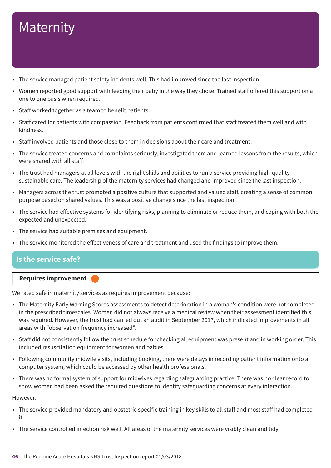- The service managed patient safety incidents well. This had improved since the last inspection.
- Women reported good support with feeding their baby in the way they chose. Trained staff offered this support on a one to one basis when required.
- Staff worked together as a team to benefit patients.
- Staff cared for patients with compassion. Feedback from patients confirmed that staff treated them well and with kindness.
- Staff involved patients and those close to them in decisions about their care and treatment.
- The service treated concerns and complaints seriously, investigated them and learned lessons from the results, which were shared with all staff.
- The trust had managers at all levels with the right skills and abilities to run a service providing high-quality sustainable care. The leadership of the maternity services had changed and improved since the last inspection.
- Managers across the trust promoted a positive culture that supported and valued staff, creating a sense of common purpose based on shared values. This was a positive change since the last inspection.
- The service had effective systems for identifying risks, planning to eliminate or reduce them, and coping with both the expected and unexpected.
- The service had suitable premises and equipment.
- The service monitored the effectiveness of care and treatment and used the findings to improve them.

## **Is the service safe?**

### **Requires improvement –––**

We rated safe in maternity services as requires improvement because:

- The Maternity Early Warning Scores assessments to detect deterioration in a woman's condition were not completed in the prescribed timescales. Women did not always receive a medical review when their assessment identified this was required. However, the trust had carried out an audit in September 2017, which indicated improvements in all areas with "observation frequency increased".
- Staff did not consistently follow the trust schedule for checking all equipment was present and in working order. This included resuscitation equipment for women and babies.
- Following community midwife visits, including booking, there were delays in recording patient information onto a computer system, which could be accessed by other health professionals.
- There was no formal system of support for midwives regarding safeguarding practice. There was no clear record to show women had been asked the required questions to identify safeguarding concerns at every interaction.

However:

- The service provided mandatory and obstetric specific training in key skills to all staff and most staff had completed it.
- The service controlled infection risk well. All areas of the maternity services were visibly clean and tidy.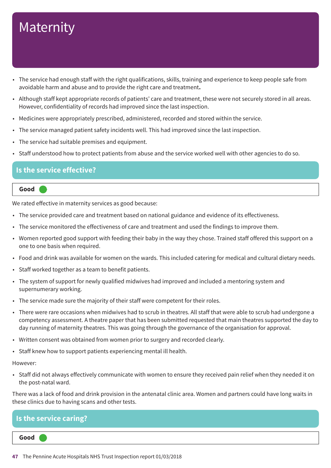- The service had enough staff with the right qualifications, skills, training and experience to keep people safe from avoidable harm and abuse and to provide the right care and treatment**.**
- Although staff kept appropriate records of patients' care and treatment, these were not securely stored in all areas. However, confidentiality of records had improved since the last inspection.
- Medicines were appropriately prescribed, administered, recorded and stored within the service.
- The service managed patient safety incidents well. This had improved since the last inspection.
- The service had suitable premises and equipment.
- Staff understood how to protect patients from abuse and the service worked well with other agencies to do so.

### **Is the service effective?**

### **Good –––**

We rated effective in maternity services as good because:

- The service provided care and treatment based on national guidance and evidence of its effectiveness.
- The service monitored the effectiveness of care and treatment and used the findings to improve them.
- Women reported good support with feeding their baby in the way they chose. Trained staff offered this support on a one to one basis when required.
- Food and drink was available for women on the wards. This included catering for medical and cultural dietary needs.
- Staff worked together as a team to benefit patients.
- The system of support for newly qualified midwives had improved and included a mentoring system and supernumerary working.
- The service made sure the majority of their staff were competent for their roles.
- There were rare occasions when midwives had to scrub in theatres. All staff that were able to scrub had undergone a competency assessment. A theatre paper that has been submitted requested that main theatres supported the day to day running of maternity theatres. This was going through the governance of the organisation for approval.
- Written consent was obtained from women prior to surgery and recorded clearly.
- Staff knew how to support patients experiencing mental ill health.

#### However:

• Staff did not always effectively communicate with women to ensure they received pain relief when they needed it on the post-natal ward.

There was a lack of food and drink provision in the antenatal clinic area. Women and partners could have long waits in these clinics due to having scans and other tests.

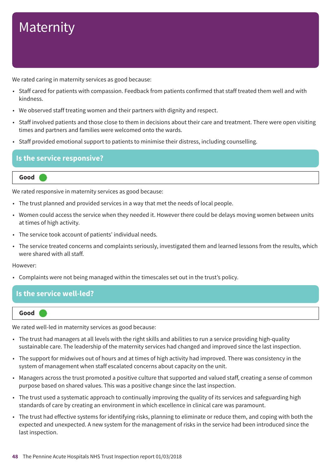We rated caring in maternity services as good because:

- Staff cared for patients with compassion. Feedback from patients confirmed that staff treated them well and with kindness.
- We observed staff treating women and their partners with dignity and respect.
- Staff involved patients and those close to them in decisions about their care and treatment. There were open visiting times and partners and families were welcomed onto the wards.
- Staff provided emotional support to patients to minimise their distress, including counselling.

### **Is the service responsive?**

#### **Good –––**

We rated responsive in maternity services as good because:

- The trust planned and provided services in a way that met the needs of local people.
- Women could access the service when they needed it. However there could be delays moving women between units at times of high activity.
- The service took account of patients' individual needs.
- The service treated concerns and complaints seriously, investigated them and learned lessons from the results, which were shared with all staff.

#### However:

• Complaints were not being managed within the timescales set out in the trust's policy.

### **Is the service well-led?**

**Good –––**

We rated well-led in maternity services as good because:

- The trust had managers at all levels with the right skills and abilities to run a service providing high-quality sustainable care. The leadership of the maternity services had changed and improved since the last inspection.
- The support for midwives out of hours and at times of high activity had improved. There was consistency in the system of management when staff escalated concerns about capacity on the unit.
- Managers across the trust promoted a positive culture that supported and valued staff, creating a sense of common purpose based on shared values. This was a positive change since the last inspection.
- The trust used a systematic approach to continually improving the quality of its services and safeguarding high standards of care by creating an environment in which excellence in clinical care was paramount.
- The trust had effective systems for identifying risks, planning to eliminate or reduce them, and coping with both the expected and unexpected. A new system for the management of risks in the service had been introduced since the last inspection.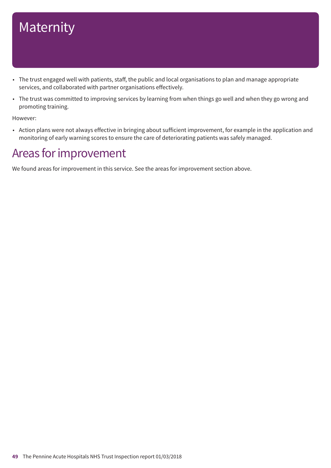- The trust engaged well with patients, staff, the public and local organisations to plan and manage appropriate services, and collaborated with partner organisations effectively.
- The trust was committed to improving services by learning from when things go well and when they go wrong and promoting training.

However:

• Action plans were not always effective in bringing about sufficient improvement, for example in the application and monitoring of early warning scores to ensure the care of deteriorating patients was safely managed.

## Areas for improvement

We found areas for improvement in this service. See the areas for improvement section above.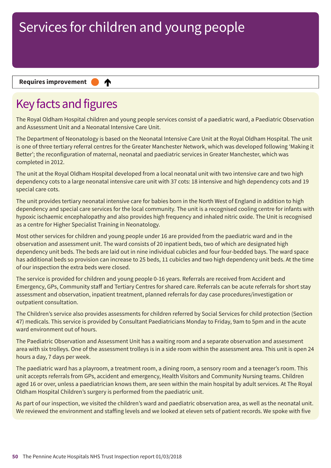∧

### **Requires improvement**

## Key facts and figures

The Royal Oldham Hospital children and young people services consist of a paediatric ward, a Paediatric Observation and Assessment Unit and a Neonatal Intensive Care Unit.

The Department of Neonatology is based on the Neonatal Intensive Care Unit at the Royal Oldham Hospital. The unit is one of three tertiary referral centres for the Greater Manchester Network, which was developed following 'Making it Better'; the reconfiguration of maternal, neonatal and paediatric services in Greater Manchester, which was completed in 2012.

The unit at the Royal Oldham Hospital developed from a local neonatal unit with two intensive care and two high dependency cots to a large neonatal intensive care unit with 37 cots: 18 intensive and high dependency cots and 19 special care cots.

The unit provides tertiary neonatal intensive care for babies born in the North West of England in addition to high dependency and special care services for the local community. The unit is a recognised cooling centre for infants with hypoxic ischaemic encephalopathy and also provides high frequency and inhaled nitric oxide. The Unit is recognised as a centre for Higher Specialist Training in Neonatology.

Most other services for children and young people under 16 are provided from the paediatric ward and in the observation and assessment unit. The ward consists of 20 inpatient beds, two of which are designated high dependency unit beds. The beds are laid out in nine individual cubicles and four four-bedded bays. The ward space has additional beds so provision can increase to 25 beds, 11 cubicles and two high dependency unit beds. At the time of our inspection the extra beds were closed.

The service is provided for children and young people 0-16 years. Referrals are received from Accident and Emergency, GPs, Community staff and Tertiary Centres for shared care. Referrals can be acute referrals for short stay assessment and observation, inpatient treatment, planned referrals for day case procedures/investigation or outpatient consultation.

The Children's service also provides assessments for children referred by Social Services for child protection (Section 47) medicals. This service is provided by Consultant Paediatricians Monday to Friday, 9am to 5pm and in the acute ward environment out of hours.

The Paediatric Observation and Assessment Unit has a waiting room and a separate observation and assessment area with six trolleys. One of the assessment trolleys is in a side room within the assessment area. This unit is open 24 hours a day, 7 days per week.

The paediatric ward has a playroom, a treatment room, a dining room, a sensory room and a teenager's room. This unit accepts referrals from GPs, accident and emergency, Health Visitors and Community Nursing teams. Children aged 16 or over, unless a paediatrician knows them, are seen within the main hospital by adult services. At The Royal Oldham Hospital Children's surgery is performed from the paediatric unit.

As part of our inspection, we visited the children's ward and paediatric observation area, as well as the neonatal unit. We reviewed the environment and staffing levels and we looked at eleven sets of patient records. We spoke with five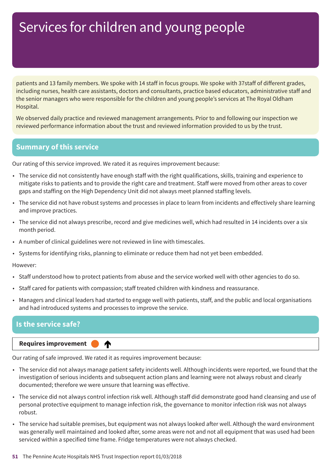patients and 13 family members. We spoke with 14 staff in focus groups. We spoke with 37staff of different grades, including nurses, health care assistants, doctors and consultants, practice based educators, administrative staff and the senior managers who were responsible for the children and young people's services at The Royal Oldham Hospital.

We observed daily practice and reviewed management arrangements. Prior to and following our inspection we reviewed performance information about the trust and reviewed information provided to us by the trust.

### **Summary of this service**

Our rating of this service improved. We rated it as requires improvement because:

- The service did not consistently have enough staff with the right qualifications, skills, training and experience to mitigate risks to patients and to provide the right care and treatment. Staff were moved from other areas to cover gaps and staffing on the High Dependency Unit did not always meet planned staffing levels.
- The service did not have robust systems and processes in place to learn from incidents and effectively share learning and improve practices.
- The service did not always prescribe, record and give medicines well, which had resulted in 14 incidents over a six month period.
- A number of clinical guidelines were not reviewed in line with timescales.
- Systems for identifying risks, planning to eliminate or reduce them had not yet been embedded.

However:

- Staff understood how to protect patients from abuse and the service worked well with other agencies to do so.
- Staff cared for patients with compassion; staff treated children with kindness and reassurance.
- Managers and clinical leaders had started to engage well with patients, staff, and the public and local organisations and had introduced systems and processes to improve the service.

### **Is the service safe?**

**Requires improvement** 

Our rating of safe improved. We rated it as requires improvement because:

∧

- The service did not always manage patient safety incidents well. Although incidents were reported, we found that the investigation of serious incidents and subsequent action plans and learning were not always robust and clearly documented; therefore we were unsure that learning was effective.
- The service did not always control infection risk well. Although staff did demonstrate good hand cleansing and use of personal protective equipment to manage infection risk, the governance to monitor infection risk was not always robust.
- The service had suitable premises, but equipment was not always looked after well. Although the ward environment was generally well maintained and looked after, some areas were not and not all equipment that was used had been serviced within a specified time frame. Fridge temperatures were not always checked.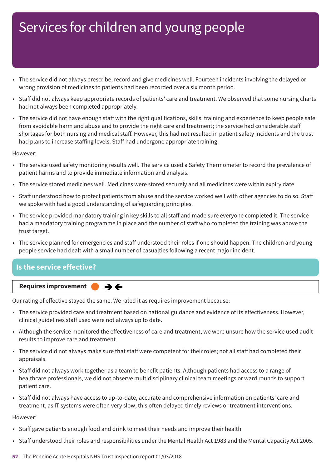- The service did not always prescribe, record and give medicines well. Fourteen incidents involving the delayed or wrong provision of medicines to patients had been recorded over a six month period.
- Staff did not always keep appropriate records of patients' care and treatment. We observed that some nursing charts had not always been completed appropriately.
- The service did not have enough staff with the right qualifications, skills, training and experience to keep people safe from avoidable harm and abuse and to provide the right care and treatment; the service had considerable staff shortages for both nursing and medical staff. However, this had not resulted in patient safety incidents and the trust had plans to increase staffing levels. Staff had undergone appropriate training.

However:

- The service used safety monitoring results well. The service used a Safety Thermometer to record the prevalence of patient harms and to provide immediate information and analysis.
- The service stored medicines well. Medicines were stored securely and all medicines were within expiry date.
- Staff understood how to protect patients from abuse and the service worked well with other agencies to do so. Staff we spoke with had a good understanding of safeguarding principles.
- The service provided mandatory training in key skills to all staff and made sure everyone completed it. The service had a mandatory training programme in place and the number of staff who completed the training was above the trust target.
- The service planned for emergencies and staff understood their roles if one should happen. The children and young people service had dealt with a small number of casualties following a recent major incident.

## **Is the service effective?**



Our rating of effective stayed the same. We rated it as requires improvement because:

- The service provided care and treatment based on national guidance and evidence of its effectiveness. However, clinical guidelines staff used were not always up to date.
- Although the service monitored the effectiveness of care and treatment, we were unsure how the service used audit results to improve care and treatment.
- The service did not always make sure that staff were competent for their roles; not all staff had completed their appraisals.
- Staff did not always work together as a team to benefit patients. Although patients had access to a range of healthcare professionals, we did not observe multidisciplinary clinical team meetings or ward rounds to support patient care.
- Staff did not always have access to up-to-date, accurate and comprehensive information on patients' care and treatment, as IT systems were often very slow; this often delayed timely reviews or treatment interventions.

However:

- Staff gave patients enough food and drink to meet their needs and improve their health.
- Staff understood their roles and responsibilities under the Mental Health Act 1983 and the Mental Capacity Act 2005.
- **52** The Pennine Acute Hospitals NHS Trust Inspection report 01/03/2018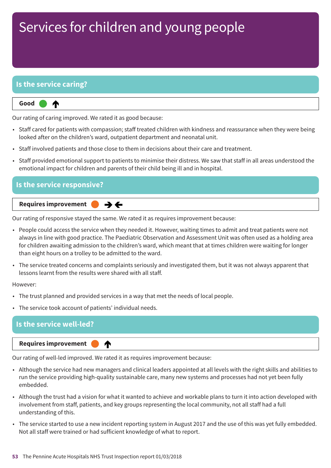## **Is the service caring?**

⋔

**Up one rating Good –––**

Our rating of caring improved. We rated it as good because:

- Staff cared for patients with compassion; staff treated children with kindness and reassurance when they were being looked after on the children's ward, outpatient department and neonatal unit.
- Staff involved patients and those close to them in decisions about their care and treatment.
- Staff provided emotional support to patients to minimise their distress. We saw that staff in all areas understood the emotional impact for children and parents of their child being ill and in hospital.

| $\blacksquare$ Is the service responsive? $\blacksquare$                                                                                                              |
|-----------------------------------------------------------------------------------------------------------------------------------------------------------------------|
| Requires improvement<br>$\rightarrow$ $\leftarrow$<br>the contract of the contract of the contract of the contract of the contract of the contract of the contract of |

Our rating of responsive stayed the same. We rated it as requires improvement because:

- People could access the service when they needed it. However, waiting times to admit and treat patients were not always in line with good practice. The Paediatric Observation and Assessment Unit was often used as a holding area for children awaiting admission to the children's ward, which meant that at times children were waiting for longer than eight hours on a trolley to be admitted to the ward.
- The service treated concerns and complaints seriously and investigated them, but it was not always apparent that lessons learnt from the results were shared with all staff.

However:

- The trust planned and provided services in a way that met the needs of local people.
- The service took account of patients' individual needs.

### **Is the service well-led?**

**Requires improvement** 

∧

Our rating of well-led improved. We rated it as requires improvement because:

- Although the service had new managers and clinical leaders appointed at all levels with the right skills and abilities to run the service providing high-quality sustainable care, many new systems and processes had not yet been fully embedded.
- Although the trust had a vision for what it wanted to achieve and workable plans to turn it into action developed with involvement from staff, patients, and key groups representing the local community, not all staff had a full understanding of this.
- The service started to use a new incident reporting system in August 2017 and the use of this was yet fully embedded. Not all staff were trained or had sufficient knowledge of what to report.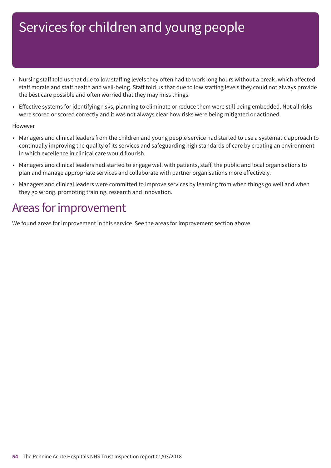- Nursing staff told us that due to low staffing levels they often had to work long hours without a break, which affected staff morale and staff health and well-being. Staff told us that due to low staffing levels they could not always provide the best care possible and often worried that they may miss things.
- Effective systems for identifying risks, planning to eliminate or reduce them were still being embedded. Not all risks were scored or scored correctly and it was not always clear how risks were being mitigated or actioned.

### However

- Managers and clinical leaders from the children and young people service had started to use a systematic approach to continually improving the quality of its services and safeguarding high standards of care by creating an environment in which excellence in clinical care would flourish.
- Managers and clinical leaders had started to engage well with patients, staff, the public and local organisations to plan and manage appropriate services and collaborate with partner organisations more effectively.
- Managers and clinical leaders were committed to improve services by learning from when things go well and when they go wrong, promoting training, research and innovation.

## Areas for improvement

We found areas for improvement in this service. See the areas for improvement section above.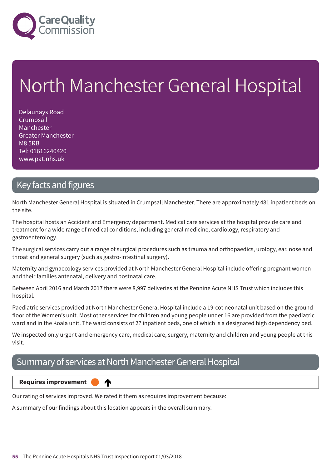

# North Manchester General Hospital

Delaunays Road **Crumpsall** Manchester Greater Manchester M8 5RB Tel: 01616240420 www.pat.nhs.uk

## Key facts and figures

North Manchester General Hospital is situated in Crumpsall Manchester. There are approximately 481 inpatient beds on the site.

The hospital hosts an Accident and Emergency department. Medical care services at the hospital provide care and treatment for a wide range of medical conditions, including general medicine, cardiology, respiratory and gastroenterology.

The surgical services carry out a range of surgical procedures such as trauma and orthopaedics, urology, ear, nose and throat and general surgery (such as gastro-intestinal surgery).

Maternity and gynaecology services provided at North Manchester General Hospital include offering pregnant women and their families antenatal, delivery and postnatal care.

Between April 2016 and March 2017 there were 8,997 deliveries at the Pennine Acute NHS Trust which includes this hospital.

Paediatric services provided at North Manchester General Hospital include a 19-cot neonatal unit based on the ground floor of the Women's unit. Most other services for children and young people under 16 are provided from the paediatric ward and in the Koala unit. The ward consists of 27 inpatient beds, one of which is a designated high dependency bed.

We inspected only urgent and emergency care, medical care, surgery, maternity and children and young people at this visit.

## Summary of services at North Manchester General Hospital



Our rating of services improved. We rated it them as requires improvement because:

A summary of our findings about this location appears in the overall summary.

♠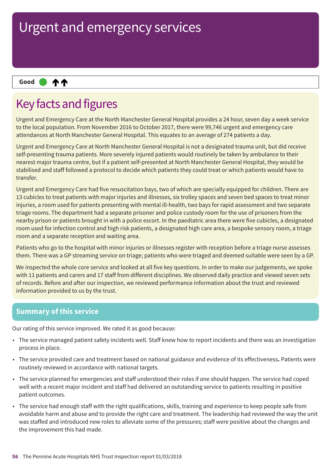#### **11 Up––– two ratings Good –––**

## Key facts and figures

Urgent and Emergency Care at the North Manchester General Hospital provides a 24 hour, seven day a week service to the local population. From November 2016 to October 2017, there were 99,746 urgent and emergency care attendances at North Manchester General Hospital. This equates to an average of 274 patients a day.

Urgent and Emergency Care at North Manchester General Hospital is not a designated trauma unit, but did receive self-presenting trauma patients. More severely injured patients would routinely be taken by ambulance to their nearest major trauma centre, but if a patient self-presented at North Manchester General Hospital, they would be stabilised and staff followed a protocol to decide which patients they could treat or which patients would have to transfer.

Urgent and Emergency Care had five resuscitation bays, two of which are specially equipped for children. There are 13 cubicles to treat patients with major injuries and illnesses, six trolley spaces and seven bed spaces to treat minor injuries, a room used for patients presenting with mental ill-health, two bays for rapid assessment and two separate triage rooms. The department had a separate prisoner and police custody room for the use of prisoners from the nearby prison or patients brought in with a police escort. In the paediatric area there were five cubicles, a designated room used for infection control and high risk patients, a designated high care area, a bespoke sensory room, a triage room and a separate reception and waiting area.

Patients who go to the hospital with minor injuries or illnesses register with reception before a triage nurse assesses them. There was a GP streaming service on triage; patients who were triaged and deemed suitable were seen by a GP.

We inspected the whole core service and looked at all five key questions. In order to make our judgements, we spoke with 11 patients and carers and 17 staff from different disciplines. We observed daily practice and viewed seven sets of records. Before and after our inspection, we reviewed performance information about the trust and reviewed information provided to us by the trust.

## **Summary of this service**

Our rating of this service improved. We rated it as good because:

- The service managed patient safety incidents well. Staff knew how to report incidents and there was an investigation process in place.
- The service provided care and treatment based on national guidance and evidence of its effectiveness**.** Patients were routinely reviewed in accordance with national targets.
- The service planned for emergencies and staff understood their roles if one should happen. The service had coped well with a recent major incident and staff had delivered an outstanding service to patients resulting in positive patient outcomes.
- The service had enough staff with the right qualifications, skills, training and experience to keep people safe from avoidable harm and abuse and to provide the right care and treatment. The leadership had reviewed the way the unit was staffed and introduced new roles to alleviate some of the pressures; staff were positive about the changes and the improvement this had made.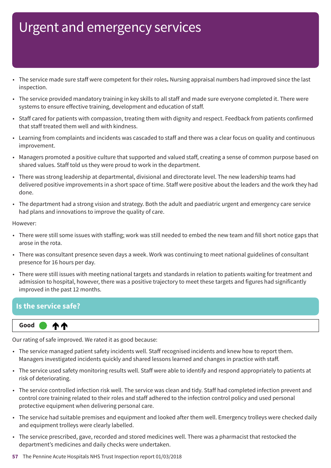- The service made sure staff were competent for their roles**.** Nursing appraisal numbers had improved since the last inspection.
- The service provided mandatory training in key skills to all staff and made sure everyone completed it. There were systems to ensure effective training, development and education of staff.
- Staff cared for patients with compassion, treating them with dignity and respect. Feedback from patients confirmed that staff treated them well and with kindness.
- Learning from complaints and incidents was cascaded to staff and there was a clear focus on quality and continuous improvement.
- Managers promoted a positive culture that supported and valued staff, creating a sense of common purpose based on shared values. Staff told us they were proud to work in the department.
- There was strong leadership at departmental, divisional and directorate level. The new leadership teams had delivered positive improvements in a short space of time. Staff were positive about the leaders and the work they had done.
- The department had a strong vision and strategy. Both the adult and paediatric urgent and emergency care service had plans and innovations to improve the quality of care.

However:

- There were still some issues with staffing; work was still needed to embed the new team and fill short notice gaps that arose in the rota.
- There was consultant presence seven days a week. Work was continuing to meet national guidelines of consultant presence for 16 hours per day.
- There were still issues with meeting national targets and standards in relation to patients waiting for treatment and admission to hospital, however, there was a positive trajectory to meet these targets and figures had significantly improved in the past 12 months.

## **Is the service safe?**



Our rating of safe improved. We rated it as good because:

- The service managed patient safety incidents well. Staff recognised incidents and knew how to report them. Managers investigated incidents quickly and shared lessons learned and changes in practice with staff.
- The service used safety monitoring results well. Staff were able to identify and respond appropriately to patients at risk of deteriorating.
- The service controlled infection risk well. The service was clean and tidy. Staff had completed infection prevent and control core training related to their roles and staff adhered to the infection control policy and used personal protective equipment when delivering personal care.
- The service had suitable premises and equipment and looked after them well. Emergency trolleys were checked daily and equipment trolleys were clearly labelled.
- The service prescribed, gave, recorded and stored medicines well. There was a pharmacist that restocked the department's medicines and daily checks were undertaken.
- **57** The Pennine Acute Hospitals NHS Trust Inspection report 01/03/2018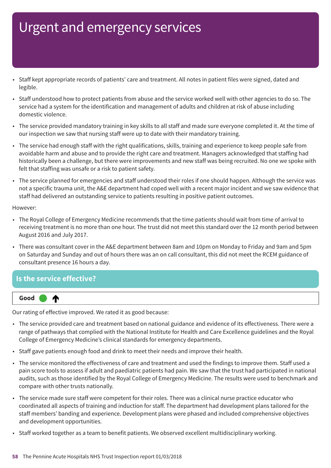- Staff kept appropriate records of patients' care and treatment. All notes in patient files were signed, dated and legible.
- Staff understood how to protect patients from abuse and the service worked well with other agencies to do so. The service had a system for the identification and management of adults and children at risk of abuse including domestic violence.
- The service provided mandatory training in key skills to all staff and made sure everyone completed it. At the time of our inspection we saw that nursing staff were up to date with their mandatory training.
- The service had enough staff with the right qualifications, skills, training and experience to keep people safe from avoidable harm and abuse and to provide the right care and treatment. Managers acknowledged that staffing had historically been a challenge, but there were improvements and new staff was being recruited. No one we spoke with felt that staffing was unsafe or a risk to patient safety.
- The service planned for emergencies and staff understood their roles if one should happen. Although the service was not a specific trauma unit, the A&E department had coped well with a recent major incident and we saw evidence that staff had delivered an outstanding service to patients resulting in positive patient outcomes.

### However:

- The Royal College of Emergency Medicine recommends that the time patients should wait from time of arrival to receiving treatment is no more than one hour. The trust did not meet this standard over the 12 month period between August 2016 and July 2017.
- There was consultant cover in the A&E department between 8am and 10pm on Monday to Friday and 9am and 5pm on Saturday and Sunday and out of hours there was an on call consultant, this did not meet the RCEM guidance of consultant presence 16 hours a day.

### **Is the service effective?**



Our rating of effective improved. We rated it as good because:

- The service provided care and treatment based on national guidance and evidence of its effectiveness. There were a range of pathways that complied with the National Institute for Health and Care Excellence guidelines and the Royal College of Emergency Medicine's clinical standards for emergency departments.
- Staff gave patients enough food and drink to meet their needs and improve their health.
- The service monitored the effectiveness of care and treatment and used the findings to improve them. Staff used a pain score tools to assess if adult and paediatric patients had pain. We saw that the trust had participated in national audits, such as those identified by the Royal College of Emergency Medicine. The results were used to benchmark and compare with other trusts nationally.
- The service made sure staff were competent for their roles. There was a clinical nurse practice educator who coordinated all aspects of training and induction for staff. The department had development plans tailored for the staff members' banding and experience. Development plans were phased and included comprehensive objectives and development opportunities.
- Staff worked together as a team to benefit patients. We observed excellent multidisciplinary working.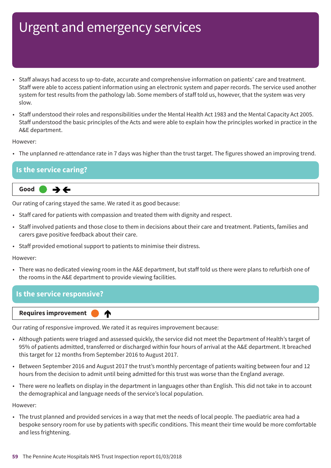- Staff always had access to up-to-date, accurate and comprehensive information on patients' care and treatment. Staff were able to access patient information using an electronic system and paper records. The service used another system for test results from the pathology lab. Some members of staff told us, however, that the system was very slow.
- Staff understood their roles and responsibilities under the Mental Health Act 1983 and the Mental Capacity Act 2005. Staff understood the basic principles of the Acts and were able to explain how the principles worked in practice in the A&E department.

However:

• The unplanned re-attendance rate in 7 days was higher than the trust target. The figures showed an improving trend.

### **Is the service caring?**



Our rating of caring stayed the same. We rated it as good because:

- Staff cared for patients with compassion and treated them with dignity and respect.
- Staff involved patients and those close to them in decisions about their care and treatment. Patients, families and carers gave positive feedback about their care.
- Staff provided emotional support to patients to minimise their distress.

However:

• There was no dedicated viewing room in the A&E department, but staff told us there were plans to refurbish one of the rooms in the A&E department to provide viewing facilities.

### **Is the service responsive?**

**Up one rating Requires improvement –––**

Our rating of responsive improved. We rated it as requires improvement because:

⋔

- Although patients were triaged and assessed quickly, the service did not meet the Department of Health's target of 95% of patients admitted, transferred or discharged within four hours of arrival at the A&E department. It breached this target for 12 months from September 2016 to August 2017.
- Between September 2016 and August 2017 the trust's monthly percentage of patients waiting between four and 12 hours from the decision to admit until being admitted for this trust was worse than the England average.
- There were no leaflets on display in the department in languages other than English. This did not take in to account the demographical and language needs of the service's local population.

However:

• The trust planned and provided services in a way that met the needs of local people. The paediatric area had a bespoke sensory room for use by patients with specific conditions. This meant their time would be more comfortable and less frightening.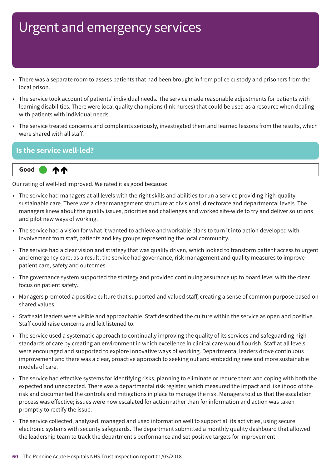- There was a separate room to assess patients that had been brought in from police custody and prisoners from the local prison.
- The service took account of patients' individual needs. The service made reasonable adjustments for patients with learning disabilities. There were local quality champions (link nurses) that could be used as a resource when dealing with patients with individual needs.
- The service treated concerns and complaints seriously, investigated them and learned lessons from the results, which were shared with all staff.

## **Is the service well-led?**



Our rating of well-led improved. We rated it as good because:

- The service had managers at all levels with the right skills and abilities to run a service providing high-quality sustainable care. There was a clear management structure at divisional, directorate and departmental levels. The managers knew about the quality issues, priorities and challenges and worked site-wide to try and deliver solutions and pilot new ways of working.
- The service had a vision for what it wanted to achieve and workable plans to turn it into action developed with involvement from staff, patients and key groups representing the local community.
- The service had a clear vision and strategy that was quality driven, which looked to transform patient access to urgent and emergency care; as a result, the service had governance, risk management and quality measures to improve patient care, safety and outcomes.
- The governance system supported the strategy and provided continuing assurance up to board level with the clear focus on patient safety.
- Managers promoted a positive culture that supported and valued staff, creating a sense of common purpose based on shared values.
- Staff said leaders were visible and approachable. Staff described the culture within the service as open and positive. Staff could raise concerns and felt listened to.
- The service used a systematic approach to continually improving the quality of its services and safeguarding high standards of care by creating an environment in which excellence in clinical care would flourish. Staff at all levels were encouraged and supported to explore innovative ways of working. Departmental leaders drove continuous improvement and there was a clear, proactive approach to seeking out and embedding new and more sustainable models of care.
- The service had effective systems for identifying risks, planning to eliminate or reduce them and coping with both the expected and unexpected. There was a departmental risk register, which measured the impact and likelihood of the risk and documented the controls and mitigations in place to manage the risk. Managers told us that the escalation process was effective; issues were now escalated for action rather than for information and action was taken promptly to rectify the issue.
- The service collected, analysed, managed and used information well to support all its activities, using secure electronic systems with security safeguards. The department submitted a monthly quality dashboard that allowed the leadership team to track the department's performance and set positive targets for improvement.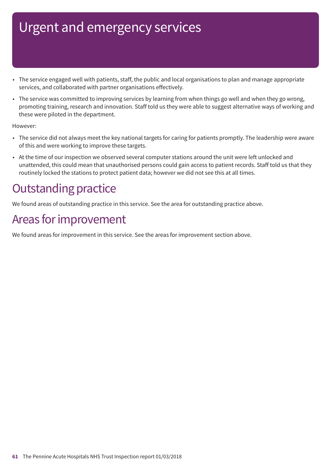- The service engaged well with patients, staff, the public and local organisations to plan and manage appropriate services, and collaborated with partner organisations effectively.
- The service was committed to improving services by learning from when things go well and when they go wrong, promoting training, research and innovation. Staff told us they were able to suggest alternative ways of working and these were piloted in the department.

However:

- The service did not always meet the key national targets for caring for patients promptly. The leadership were aware of this and were working to improve these targets.
- At the time of our inspection we observed several computer stations around the unit were left unlocked and unattended, this could mean that unauthorised persons could gain access to patient records. Staff told us that they routinely locked the stations to protect patient data; however we did not see this at all times.

## **Outstanding practice**

We found areas of outstanding practice in this service. See the area for outstanding practice above.

## Areas for improvement

We found areas for improvement in this service. See the areas for improvement section above.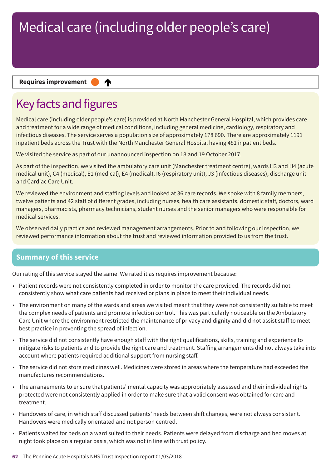### **Requires improvement**

## Key facts and figures

Medical care (including older people's care) is provided at North Manchester General Hospital, which provides care and treatment for a wide range of medical conditions, including general medicine, cardiology, respiratory and infectious diseases. The service serves a population size of approximately 178 690. There are approximately 1191 inpatient beds across the Trust with the North Manchester General Hospital having 481 inpatient beds.

We visited the service as part of our unannounced inspection on 18 and 19 October 2017.

∧

As part of the inspection, we visited the ambulatory care unit (Manchester treatment centre), wards H3 and H4 (acute medical unit), C4 (medical), E1 (medical), E4 (medical), I6 (respiratory unit), J3 (infectious diseases), discharge unit and Cardiac Care Unit.

We reviewed the environment and staffing levels and looked at 36 care records. We spoke with 8 family members, twelve patients and 42 staff of different grades, including nurses, health care assistants, domestic staff, doctors, ward managers, pharmacists, pharmacy technicians, student nurses and the senior managers who were responsible for medical services.

We observed daily practice and reviewed management arrangements. Prior to and following our inspection, we reviewed performance information about the trust and reviewed information provided to us from the trust.

## **Summary of this service**

Our rating of this service stayed the same. We rated it as requires improvement because:

- Patient records were not consistently completed in order to monitor the care provided. The records did not consistently show what care patients had received or plans in place to meet their individual needs.
- The environment on many of the wards and areas we visited meant that they were not consistently suitable to meet the complex needs of patients and promote infection control. This was particularly noticeable on the Ambulatory Care Unit where the environment restricted the maintenance of privacy and dignity and did not assist staff to meet best practice in preventing the spread of infection.
- The service did not consistently have enough staff with the right qualifications, skills, training and experience to mitigate risks to patients and to provide the right care and treatment. Staffing arrangements did not always take into account where patients required additional support from nursing staff.
- The service did not store medicines well. Medicines were stored in areas where the temperature had exceeded the manufactures recommendations.
- The arrangements to ensure that patients' mental capacity was appropriately assessed and their individual rights protected were not consistently applied in order to make sure that a valid consent was obtained for care and treatment.
- Handovers of care, in which staff discussed patients' needs between shift changes, were not always consistent. Handovers were medically orientated and not person centred.
- Patients waited for beds on a ward suited to their needs. Patients were delayed from discharge and bed moves at night took place on a regular basis, which was not in line with trust policy.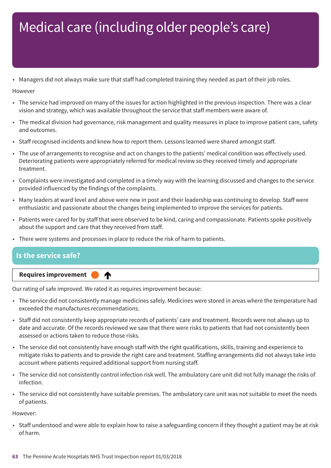• Managers did not always make sure that staff had completed training they needed as part of their job roles.

However

- The service had improved on many of the issues for action highlighted in the previous inspection. There was a clear vision and strategy, which was available throughout the service that staff members were aware of.
- The medical division had governance, risk management and quality measures in place to improve patient care, safety and outcomes.
- Staff recognised incidents and knew how to report them. Lessons learned were shared amongst staff.
- The use of arrangements to recognise and act on changes to the patients' medical condition was effectively used. Deteriorating patients were appropriately referred for medical review so they received timely and appropriate treatment.
- Complaints were investigated and completed in a timely way with the learning discussed and changes to the service provided influenced by the findings of the complaints.
- Many leaders at ward level and above were new in post and their leadership was continuing to develop. Staff were enthusiastic and passionate about the changes being implemented to improve the services for patients.
- Patients were cared for by staff that were observed to be kind, caring and compassionate. Patients spoke positively about the support and care that they received from staff.
- There were systems and processes in place to reduce the risk of harm to patients.

# **Is the service safe?**

**Up one rating Requires improvement –––** ♠

Our rating of safe improved. We rated it as requires improvement because:

- The service did not consistently manage medicines safely. Medicines were stored in areas where the temperature had exceeded the manufactures recommendations.
- Staff did not consistently keep appropriate records of patients' care and treatment. Records were not always up to date and accurate. Of the records reviewed we saw that there were risks to patients that had not consistently been assessed or actions taken to reduce those risks.
- The service did not consistently have enough staff with the right qualifications, skills, training and experience to mitigate risks to patients and to provide the right care and treatment. Staffing arrangements did not always take into account where patients required additional support from nursing staff.
- The service did not consistently control infection risk well. The ambulatory care unit did not fully manage the risks of infection.
- The service did not consistently have suitable premises. The ambulatory care unit was not suitable to meet the needs of patients.

However:

• Staff understood and were able to explain how to raise a safeguarding concern if they thought a patient may be at risk of harm.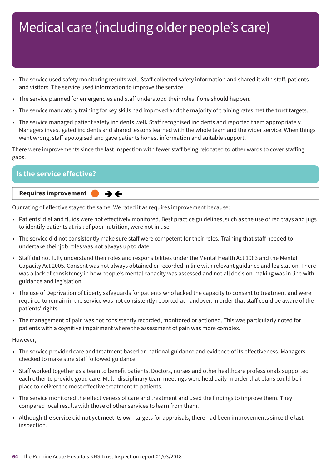- The service used safety monitoring results well. Staff collected safety information and shared it with staff, patients and visitors. The service used information to improve the service.
- The service planned for emergencies and staff understood their roles if one should happen.
- The service mandatory training for key skills had improved and the majority of training rates met the trust targets.
- The service managed patient safety incidents well**.** Staff recognised incidents and reported them appropriately. Managers investigated incidents and shared lessons learned with the whole team and the wider service. When things went wrong, staff apologised and gave patients honest information and suitable support.

There were improvements since the last inspection with fewer staff being relocated to other wards to cover staffing gaps.

| <b>s the service effective?</b>                    |  |
|----------------------------------------------------|--|
| Requires improvement<br>$\rightarrow$ $\leftarrow$ |  |

Our rating of effective stayed the same. We rated it as requires improvement because:

- Patients' diet and fluids were not effectively monitored. Best practice guidelines, such as the use of red trays and jugs to identify patients at risk of poor nutrition, were not in use.
- The service did not consistently make sure staff were competent for their roles. Training that staff needed to undertake their job roles was not always up to date.
- Staff did not fully understand their roles and responsibilities under the Mental Health Act 1983 and the Mental Capacity Act 2005. Consent was not always obtained or recorded in line with relevant guidance and legislation. There was a lack of consistency in how people's mental capacity was assessed and not all decision-making was in line with guidance and legislation.
- The use of Deprivation of Liberty safeguards for patients who lacked the capacity to consent to treatment and were required to remain in the service was not consistently reported at handover, in order that staff could be aware of the patients' rights.
- The management of pain was not consistently recorded, monitored or actioned. This was particularly noted for patients with a cognitive impairment where the assessment of pain was more complex.

However;

- The service provided care and treatment based on national guidance and evidence of its effectiveness. Managers checked to make sure staff followed guidance.
- Staff worked together as a team to benefit patients. Doctors, nurses and other healthcare professionals supported each other to provide good care. Multi-disciplinary team meetings were held daily in order that plans could be in place to deliver the most effective treatment to patients.
- The service monitored the effectiveness of care and treatment and used the findings to improve them. They compared local results with those of other services to learn from them.
- Although the service did not yet meet its own targets for appraisals, there had been improvements since the last inspection.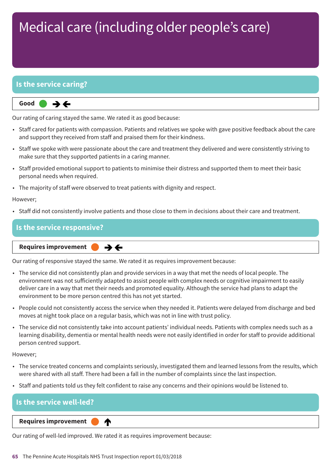## **Is the service caring?**



Our rating of caring stayed the same. We rated it as good because:

- Staff cared for patients with compassion. Patients and relatives we spoke with gave positive feedback about the care and support they received from staff and praised them for their kindness.
- Staff we spoke with were passionate about the care and treatment they delivered and were consistently striving to make sure that they supported patients in a caring manner.
- Staff provided emotional support to patients to minimise their distress and supported them to meet their basic personal needs when required.
- The majority of staff were observed to treat patients with dignity and respect.

### However;

• Staff did not consistently involve patients and those close to them in decisions about their care and treatment.

### **Is the service responsive?**

**Same–––rating Requires improvement –––**  $\rightarrow$   $\leftarrow$ 

Our rating of responsive stayed the same. We rated it as requires improvement because:

- The service did not consistently plan and provide services in a way that met the needs of local people. The environment was not sufficiently adapted to assist people with complex needs or cognitive impairment to easily deliver care in a way that met their needs and promoted equality. Although the service had plans to adapt the environment to be more person centred this has not yet started.
- People could not consistently access the service when they needed it. Patients were delayed from discharge and bed moves at night took place on a regular basis, which was not in line with trust policy.
- The service did not consistently take into account patients' individual needs. Patients with complex needs such as a learning disability, dementia or mental health needs were not easily identified in order for staff to provide additional person centred support.

However;

- The service treated concerns and complaints seriously, investigated them and learned lessons from the results, which were shared with all staff. There had been a fall in the number of complaints since the last inspection.
- Staff and patients told us they felt confident to raise any concerns and their opinions would be listened to.

## **Is the service well-led?**

**Requires improvement** 

Our rating of well-led improved. We rated it as requires improvement because:

♠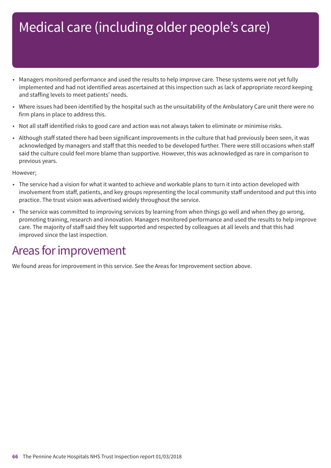- Managers monitored performance and used the results to help improve care. These systems were not yet fully implemented and had not identified areas ascertained at this inspection such as lack of appropriate record keeping and staffing levels to meet patients' needs.
- Where issues had been identified by the hospital such as the unsuitability of the Ambulatory Care unit there were no firm plans in place to address this.
- Not all staff identified risks to good care and action was not always taken to eliminate or minimise risks.
- Although staff stated there had been significant improvements in the culture that had previously been seen, it was acknowledged by managers and staff that this needed to be developed further. There were still occasions when staff said the culture could feel more blame than supportive. However, this was acknowledged as rare in comparison to previous years.

However;

- The service had a vision for what it wanted to achieve and workable plans to turn it into action developed with involvement from staff, patients, and key groups representing the local community staff understood and put this into practice. The trust vision was advertised widely throughout the service.
- The service was committed to improving services by learning from when things go well and when they go wrong, promoting training, research and innovation. Managers monitored performance and used the results to help improve care. The majority of staff said they felt supported and respected by colleagues at all levels and that this had improved since the last inspection.

## Areas for improvement

We found areas for improvement in this service. See the Areas for Improvement section above.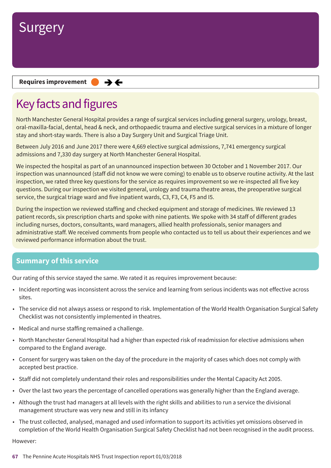

### **Requires improvement**  $\rightarrow$   $\leftarrow$

## Key facts and figures

North Manchester General Hospital provides a range of surgical services including general surgery, urology, breast, oral-maxilla-facial, dental, head & neck, and orthopaedic trauma and elective surgical services in a mixture of longer stay and short-stay wards. There is also a Day Surgery Unit and Surgical Triage Unit.

Between July 2016 and June 2017 there were 4,669 elective surgical admissions, 7,741 emergency surgical admissions and 7,330 day surgery at North Manchester General Hospital.

We inspected the hospital as part of an unannounced inspection between 30 October and 1 November 2017. Our inspection was unannounced (staff did not know we were coming) to enable us to observe routine activity. At the last inspection, we rated three key questions for the service as requires improvement so we re-inspected all five key questions. During our inspection we visited general, urology and trauma theatre areas, the preoperative surgical service, the surgical triage ward and five inpatient wards, C3, F3, C4, F5 and I5.

During the inspection we reviewed staffing and checked equipment and storage of medicines. We reviewed 13 patient records, six prescription charts and spoke with nine patients. We spoke with 34 staff of different grades including nurses, doctors, consultants, ward managers, allied health professionals, senior managers and administrative staff. We received comments from people who contacted us to tell us about their experiences and we reviewed performance information about the trust.

### **Summary of this service**

Our rating of this service stayed the same. We rated it as requires improvement because:

- Incident reporting was inconsistent across the service and learning from serious incidents was not effective across sites.
- The service did not always assess or respond to risk. Implementation of the World Health Organisation Surgical Safety Checklist was not consistently implemented in theatres.
- Medical and nurse staffing remained a challenge.
- North Manchester General Hospital had a higher than expected risk of readmission for elective admissions when compared to the England average.
- Consent for surgery was taken on the day of the procedure in the majority of cases which does not comply with accepted best practice.
- Staff did not completely understand their roles and responsibilities under the Mental Capacity Act 2005.
- Over the last two years the percentage of cancelled operations was generally higher than the England average.
- Although the trust had managers at all levels with the right skills and abilities to run a service the divisional management structure was very new and still in its infancy
- The trust collected, analysed, managed and used information to support its activities yet omissions observed in completion of the World Health Organisation Surgical Safety Checklist had not been recognised in the audit process.

However: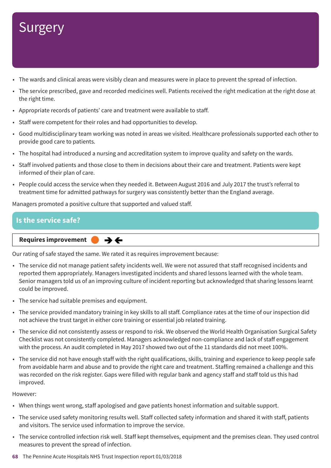- The wards and clinical areas were visibly clean and measures were in place to prevent the spread of infection.
- The service prescribed, gave and recorded medicines well. Patients received the right medication at the right dose at the right time.
- Appropriate records of patients' care and treatment were available to staff.
- Staff were competent for their roles and had opportunities to develop.
- Good multidisciplinary team working was noted in areas we visited. Healthcare professionals supported each other to provide good care to patients.
- The hospital had introduced a nursing and accreditation system to improve quality and safety on the wards.
- Staff involved patients and those close to them in decisions about their care and treatment. Patients were kept informed of their plan of care.
- People could access the service when they needed it. Between August 2016 and July 2017 the trust's referral to treatment time for admitted pathways for surgery was consistently better than the England average.

Managers promoted a positive culture that supported and valued staff.

## **Is the service safe?**

**Requires improvement**  $\rightarrow$   $\leftarrow$ 

Our rating of safe stayed the same. We rated it as requires improvement because:

- The service did not manage patient safety incidents well. We were not assured that staff recognised incidents and reported them appropriately. Managers investigated incidents and shared lessons learned with the whole team. Senior managers told us of an improving culture of incident reporting but acknowledged that sharing lessons learnt could be improved.
- The service had suitable premises and equipment.
- The service provided mandatory training in key skills to all staff. Compliance rates at the time of our inspection did not achieve the trust target in either core training or essential job related training.
- The service did not consistently assess or respond to risk. We observed the World Health Organisation Surgical Safety Checklist was not consistently completed. Managers acknowledged non-compliance and lack of staff engagement with the process. An audit completed in May 2017 showed two out of the 11 standards did not meet 100%.
- The service did not have enough staff with the right qualifications, skills, training and experience to keep people safe from avoidable harm and abuse and to provide the right care and treatment. Staffing remained a challenge and this was recorded on the risk register. Gaps were filled with regular bank and agency staff and staff told us this had improved.

### However:

- When things went wrong, staff apologised and gave patients honest information and suitable support.
- The service used safety monitoring results well. Staff collected safety information and shared it with staff, patients and visitors. The service used information to improve the service.
- The service controlled infection risk well. Staff kept themselves, equipment and the premises clean. They used control measures to prevent the spread of infection.
- **68** The Pennine Acute Hospitals NHS Trust Inspection report 01/03/2018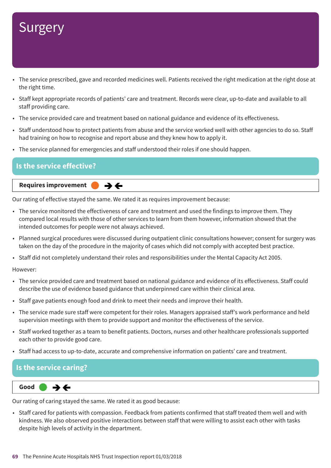- The service prescribed, gave and recorded medicines well. Patients received the right medication at the right dose at the right time.
- Staff kept appropriate records of patients' care and treatment. Records were clear, up-to-date and available to all staff providing care.
- The service provided care and treatment based on national guidance and evidence of its effectiveness.
- Staff understood how to protect patients from abuse and the service worked well with other agencies to do so. Staff had training on how to recognise and report abuse and they knew how to apply it.
- The service planned for emergencies and staff understood their roles if one should happen.

### **Is the service effective?**

### **Requires improvement**

Our rating of effective stayed the same. We rated it as requires improvement because:

 $\rightarrow$   $\leftarrow$ 

- The service monitored the effectiveness of care and treatment and used the findings to improve them. They compared local results with those of other services to learn from them however, information showed that the intended outcomes for people were not always achieved.
- Planned surgical procedures were discussed during outpatient clinic consultations however; consent for surgery was taken on the day of the procedure in the majority of cases which did not comply with accepted best practice.
- Staff did not completely understand their roles and responsibilities under the Mental Capacity Act 2005.

### However:

- The service provided care and treatment based on national guidance and evidence of its effectiveness. Staff could describe the use of evidence based guidance that underpinned care within their clinical area.
- Staff gave patients enough food and drink to meet their needs and improve their health.
- The service made sure staff were competent for their roles. Managers appraised staff's work performance and held supervision meetings with them to provide support and monitor the effectiveness of the service.
- Staff worked together as a team to benefit patients. Doctors, nurses and other healthcare professionals supported each other to provide good care.
- Staff had access to up-to-date, accurate and comprehensive information on patients' care and treatment.

### **Is the service caring?**

$$
\fbox{Good} \qquad \Rightarrow
$$

Our rating of caring stayed the same. We rated it as good because:

• Staff cared for patients with compassion. Feedback from patients confirmed that staff treated them well and with kindness. We also observed positive interactions between staff that were willing to assist each other with tasks despite high levels of activity in the department.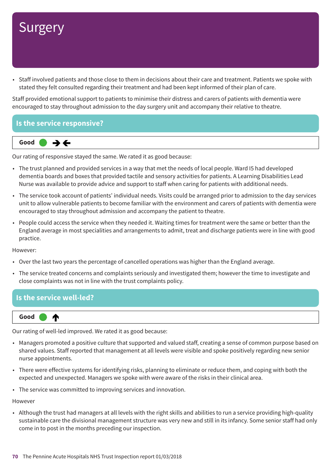• Staff involved patients and those close to them in decisions about their care and treatment. Patients we spoke with stated they felt consulted regarding their treatment and had been kept informed of their plan of care.

Staff provided emotional support to patients to minimise their distress and carers of patients with dementia were encouraged to stay throughout admission to the day surgery unit and accompany their relative to theatre.





Our rating of responsive stayed the same. We rated it as good because:

- The trust planned and provided services in a way that met the needs of local people. Ward I5 had developed dementia boards and boxes that provided tactile and sensory activities for patients. A Learning Disabilities Lead Nurse was available to provide advice and support to staff when caring for patients with additional needs.
- The service took account of patients' individual needs. Visits could be arranged prior to admission to the day services unit to allow vulnerable patients to become familiar with the environment and carers of patients with dementia were encouraged to stay throughout admission and accompany the patient to theatre.
- People could access the service when they needed it. Waiting times for treatment were the same or better than the England average in most specialities and arrangements to admit, treat and discharge patients were in line with good practice.

However:

- Over the last two years the percentage of cancelled operations was higher than the England average.
- The service treated concerns and complaints seriously and investigated them; however the time to investigate and close complaints was not in line with the trust complaints policy.

### **Is the service well-led?**



Our rating of well-led improved. We rated it as good because:

- Managers promoted a positive culture that supported and valued staff, creating a sense of common purpose based on shared values. Staff reported that management at all levels were visible and spoke positively regarding new senior nurse appointments.
- There were effective systems for identifying risks, planning to eliminate or reduce them, and coping with both the expected and unexpected. Managers we spoke with were aware of the risks in their clinical area.
- The service was committed to improving services and innovation.

However

• Although the trust had managers at all levels with the right skills and abilities to run a service providing high-quality sustainable care the divisional management structure was very new and still in its infancy. Some senior staff had only come in to post in the months preceding our inspection.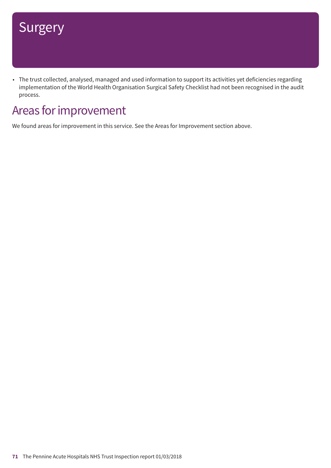• The trust collected, analysed, managed and used information to support its activities yet deficiencies regarding implementation of the World Health Organisation Surgical Safety Checklist had not been recognised in the audit process.

## Areas for improvement

We found areas for improvement in this service. See the Areas for Improvement section above.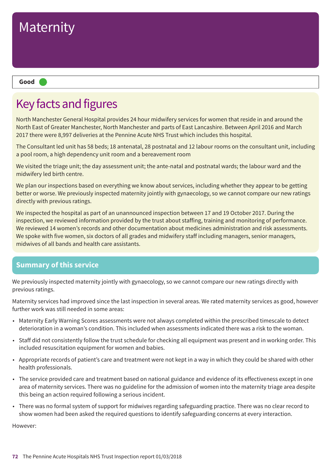

#### **Good –––**

## Key facts and figures

North Manchester General Hospital provides 24 hour midwifery services for women that reside in and around the North East of Greater Manchester, North Manchester and parts of East Lancashire. Between April 2016 and March 2017 there were 8,997 deliveries at the Pennine Acute NHS Trust which includes this hospital.

The Consultant led unit has 58 beds; 18 antenatal, 28 postnatal and 12 labour rooms on the consultant unit, including a pool room, a high dependency unit room and a bereavement room

We visited the triage unit; the day assessment unit; the ante-natal and postnatal wards; the labour ward and the midwifery led birth centre.

We plan our inspections based on everything we know about services, including whether they appear to be getting better or worse. We previously inspected maternity jointly with gynaecology, so we cannot compare our new ratings directly with previous ratings.

We inspected the hospital as part of an unannounced inspection between 17 and 19 October 2017. During the inspection, we reviewed information provided by the trust about staffing, training and monitoring of performance. We reviewed 14 women's records and other documentation about medicines administration and risk assessments. We spoke with five women, six doctors of all grades and midwifery staff including managers, senior managers, midwives of all bands and health care assistants.

## **Summary of this service**

We previously inspected maternity jointly with gynaecology, so we cannot compare our new ratings directly with previous ratings.

Maternity services had improved since the last inspection in several areas. We rated maternity services as good, however further work was still needed in some areas:

- Maternity Early Warning Scores assessments were not always completed within the prescribed timescale to detect deterioration in a woman's condition. This included when assessments indicated there was a risk to the woman.
- Staff did not consistently follow the trust schedule for checking all equipment was present and in working order. This included resuscitation equipment for women and babies.
- Appropriate records of patient's care and treatment were not kept in a way in which they could be shared with other health professionals.
- The service provided care and treatment based on national guidance and evidence of its effectiveness except in one area of maternity services. There was no guideline for the admission of women into the maternity triage area despite this being an action required following a serious incident.
- There was no formal system of support for midwives regarding safeguarding practice. There was no clear record to show women had been asked the required questions to identify safeguarding concerns at every interaction.

However: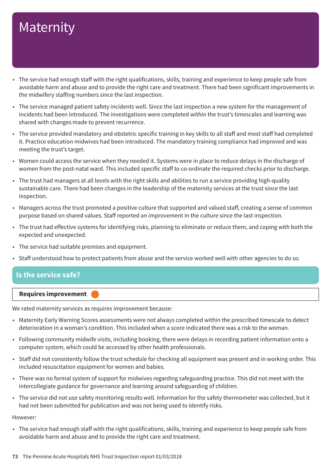- The service had enough staff with the right qualifications, skills, training and experience to keep people safe from avoidable harm and abuse and to provide the right care and treatment. There had been significant improvements in the midwifery staffing numbers since the last inspection.
- The service managed patient safety incidents well. Since the last inspection a new system for the management of incidents had been introduced. The investigations were completed within the trust's timescales and learning was shared with changes made to prevent recurrence.
- The service provided mandatory and obstetric specific training in key skills to all staff and most staff had completed it. Practice education midwives had been introduced. The mandatory training compliance had improved and was meeting the trust's target.
- Women could access the service when they needed it. Systems were in place to reduce delays in the discharge of women from the post-natal ward. This included specific staff to co-ordinate the required checks prior to discharge.
- The trust had managers at all levels with the right skills and abilities to run a service providing high-quality sustainable care. There had been changes in the leadership of the maternity services at the trust since the last inspection.
- Managers across the trust promoted a positive culture that supported and valued staff, creating a sense of common purpose based on shared values. Staff reported an improvement in the culture since the last inspection.
- The trust had effective systems for identifying risks, planning to eliminate or reduce them, and coping with both the expected and unexpected.
- The service had suitable premises and equipment.
- Staff understood how to protect patients from abuse and the service worked well with other agencies to do so.

### **Is the service safe?**

#### **Requires improvement –––**

We rated maternity services as requires improvement because:

- Maternity Early Warning Scores assessments were not always completed within the prescribed timescale to detect deterioration in a woman's condition. This included when a score indicated there was a risk to the woman.
- Following community midwife visits, including booking, there were delays in recording patient information onto a computer system, which could be accessed by other health professionals.
- Staff did not consistently follow the trust schedule for checking all equipment was present and in working order. This included resuscitation equipment for women and babies.
- There was no formal system of support for midwives regarding safeguarding practice. This did not meet with the intercollegiate guidance for governance and learning around safeguarding of children.
- The service did not use safety monitoring results well. Information for the safety thermometer was collected, but it had not been submitted for publication and was not being used to identify risks.

#### However:

• The service had enough staff with the right qualifications, skills, training and experience to keep people safe from avoidable harm and abuse and to provide the right care and treatment.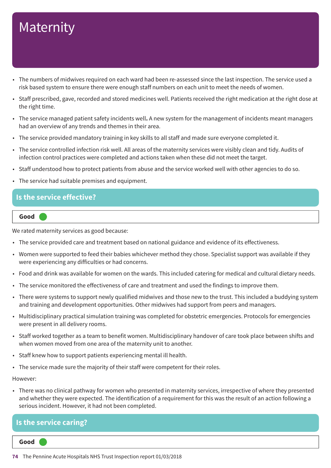- The numbers of midwives required on each ward had been re-assessed since the last inspection. The service used a risk based system to ensure there were enough staff numbers on each unit to meet the needs of women.
- Staff prescribed, gave, recorded and stored medicines well. Patients received the right medication at the right dose at the right time.
- The service managed patient safety incidents well**.** A new system for the management of incidents meant managers had an overview of any trends and themes in their area.
- The service provided mandatory training in key skills to all staff and made sure everyone completed it.
- The service controlled infection risk well. All areas of the maternity services were visibly clean and tidy. Audits of infection control practices were completed and actions taken when these did not meet the target.
- Staff understood how to protect patients from abuse and the service worked well with other agencies to do so.
- The service had suitable premises and equipment.

#### **Is the service effective?**

#### **Good –––**

We rated maternity services as good because:

- The service provided care and treatment based on national guidance and evidence of its effectiveness.
- Women were supported to feed their babies whichever method they chose. Specialist support was available if they were experiencing any difficulties or had concerns.
- Food and drink was available for women on the wards. This included catering for medical and cultural dietary needs.
- The service monitored the effectiveness of care and treatment and used the findings to improve them.
- There were systems to support newly qualified midwives and those new to the trust. This included a buddying system and training and development opportunities. Other midwives had support from peers and managers.
- Multidisciplinary practical simulation training was completed for obstetric emergencies. Protocols for emergencies were present in all delivery rooms.
- Staff worked together as a team to benefit women. Multidisciplinary handover of care took place between shifts and when women moved from one area of the maternity unit to another.
- Staff knew how to support patients experiencing mental ill health.
- The service made sure the majority of their staff were competent for their roles.

#### However:

• There was no clinical pathway for women who presented in maternity services, irrespective of where they presented and whether they were expected. The identification of a requirement for this was the result of an action following a serious incident. However, it had not been completed.

### **Is the service caring?**

**Good –––**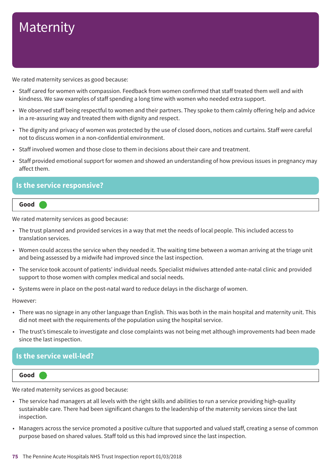We rated maternity services as good because:

- Staff cared for women with compassion. Feedback from women confirmed that staff treated them well and with kindness. We saw examples of staff spending a long time with women who needed extra support.
- We observed staff being respectful to women and their partners. They spoke to them calmly offering help and advice in a re-assuring way and treated them with dignity and respect.
- The dignity and privacy of women was protected by the use of closed doors, notices and curtains. Staff were careful not to discuss women in a non-confidential environment.
- Staff involved women and those close to them in decisions about their care and treatment.
- Staff provided emotional support for women and showed an understanding of how previous issues in pregnancy may affect them.

### **Is the service responsive?**



We rated maternity services as good because:

- The trust planned and provided services in a way that met the needs of local people. This included access to translation services.
- Women could access the service when they needed it. The waiting time between a woman arriving at the triage unit and being assessed by a midwife had improved since the last inspection.
- The service took account of patients' individual needs. Specialist midwives attended ante-natal clinic and provided support to those women with complex medical and social needs.
- Systems were in place on the post-natal ward to reduce delays in the discharge of women.

However:

- There was no signage in any other language than English. This was both in the main hospital and maternity unit. This did not meet with the requirements of the population using the hospital service.
- The trust's timescale to investigate and close complaints was not being met although improvements had been made since the last inspection.

### **Is the service well-led?**

**Good –––**

We rated maternity services as good because:

- The service had managers at all levels with the right skills and abilities to run a service providing high-quality sustainable care. There had been significant changes to the leadership of the maternity services since the last inspection.
- Managers across the service promoted a positive culture that supported and valued staff, creating a sense of common purpose based on shared values. Staff told us this had improved since the last inspection.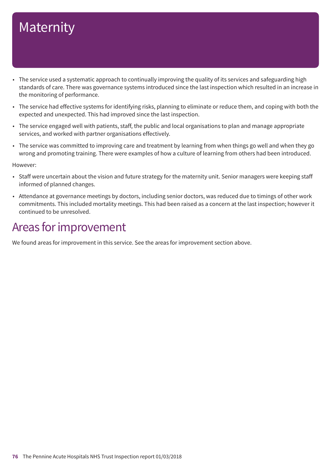- The service used a systematic approach to continually improving the quality of its services and safeguarding high standards of care. There was governance systems introduced since the last inspection which resulted in an increase in the monitoring of performance.
- The service had effective systems for identifying risks, planning to eliminate or reduce them, and coping with both the expected and unexpected. This had improved since the last inspection.
- The service engaged well with patients, staff, the public and local organisations to plan and manage appropriate services, and worked with partner organisations effectively.
- The service was committed to improving care and treatment by learning from when things go well and when they go wrong and promoting training. There were examples of how a culture of learning from others had been introduced.

However:

- Staff were uncertain about the vision and future strategy for the maternity unit. Senior managers were keeping staff informed of planned changes.
- Attendance at governance meetings by doctors, including senior doctors, was reduced due to timings of other work commitments. This included mortality meetings. This had been raised as a concern at the last inspection; however it continued to be unresolved.

### Areas for improvement

We found areas for improvement in this service. See the areas for improvement section above.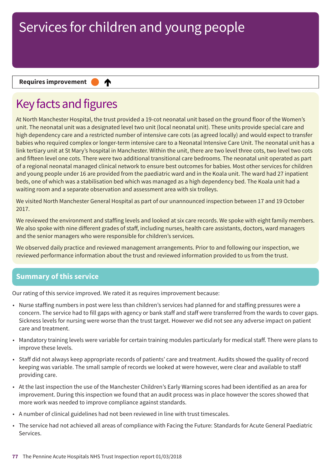♠

#### **Requires improvement**

### Key facts and figures

At North Manchester Hospital, the trust provided a 19-cot neonatal unit based on the ground floor of the Women's unit. The neonatal unit was a designated level two unit (local neonatal unit). These units provide special care and high dependency care and a restricted number of intensive care cots (as agreed locally) and would expect to transfer babies who required complex or longer-term intensive care to a Neonatal Intensive Care Unit. The neonatal unit has a link tertiary unit at St Mary's hospital in Manchester. Within the unit, there are two level three cots, two level two cots and fifteen level one cots. There were two additional transitional care bedrooms. The neonatal unit operated as part of a regional neonatal managed clinical network to ensure best outcomes for babies. Most other services for children and young people under 16 are provided from the paediatric ward and in the Koala unit. The ward had 27 inpatient beds, one of which was a stabilisation bed which was managed as a high dependency bed. The Koala unit had a waiting room and a separate observation and assessment area with six trolleys.

We visited North Manchester General Hospital as part of our unannounced inspection between 17 and 19 October 2017.

We reviewed the environment and staffing levels and looked at six care records. We spoke with eight family members. We also spoke with nine different grades of staff, including nurses, health care assistants, doctors, ward managers and the senior managers who were responsible for children's services.

We observed daily practice and reviewed management arrangements. Prior to and following our inspection, we reviewed performance information about the trust and reviewed information provided to us from the trust.

### **Summary of this service**

Our rating of this service improved. We rated it as requires improvement because:

- Nurse staffing numbers in post were less than children's services had planned for and staffing pressures were a concern. The service had to fill gaps with agency or bank staff and staff were transferred from the wards to cover gaps. Sickness levels for nursing were worse than the trust target. However we did not see any adverse impact on patient care and treatment.
- Mandatory training levels were variable for certain training modules particularly for medical staff. There were plans to improve these levels.
- Staff did not always keep appropriate records of patients' care and treatment. Audits showed the quality of record keeping was variable. The small sample of records we looked at were however, were clear and available to staff providing care.
- At the last inspection the use of the Manchester Children's Early Warning scores had been identified as an area for improvement. During this inspection we found that an audit process was in place however the scores showed that more work was needed to improve compliance against standards.
- A number of clinical guidelines had not been reviewed in line with trust timescales.
- The service had not achieved all areas of compliance with Facing the Future: Standards for Acute General Paediatric Services.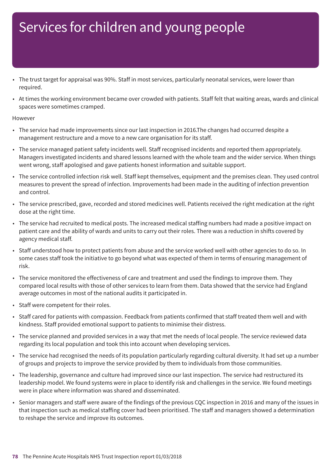- The trust target for appraisal was 90%. Staff in most services, particularly neonatal services, were lower than required.
- At times the working environment became over crowded with patients. Staff felt that waiting areas, wards and clinical spaces were sometimes cramped.

#### However

- The service had made improvements since our last inspection in 2016.The changes had occurred despite a management restructure and a move to a new care organisation for its staff.
- The service managed patient safety incidents well. Staff recognised incidents and reported them appropriately. Managers investigated incidents and shared lessons learned with the whole team and the wider service. When things went wrong, staff apologised and gave patients honest information and suitable support.
- The service controlled infection risk well. Staff kept themselves, equipment and the premises clean. They used control measures to prevent the spread of infection. Improvements had been made in the auditing of infection prevention and control.
- The service prescribed, gave, recorded and stored medicines well. Patients received the right medication at the right dose at the right time.
- The service had recruited to medical posts. The increased medical staffing numbers had made a positive impact on patient care and the ability of wards and units to carry out their roles. There was a reduction in shifts covered by agency medical staff.
- Staff understood how to protect patients from abuse and the service worked well with other agencies to do so. In some cases staff took the initiative to go beyond what was expected of them in terms of ensuring management of risk.
- The service monitored the effectiveness of care and treatment and used the findings to improve them. They compared local results with those of other services to learn from them. Data showed that the service had England average outcomes in most of the national audits it participated in.
- Staff were competent for their roles.
- Staff cared for patients with compassion. Feedback from patients confirmed that staff treated them well and with kindness. Staff provided emotional support to patients to minimise their distress.
- The service planned and provided services in a way that met the needs of local people. The service reviewed data regarding its local population and took this into account when developing services.
- The service had recognised the needs of its population particularly regarding cultural diversity. It had set up a number of groups and projects to improve the service provided by them to individuals from those communities.
- The leadership, governance and culture had improved since our last inspection. The service had restructured its leadership model. We found systems were in place to identify risk and challenges in the service. We found meetings were in place where information was shared and disseminated.
- Senior managers and staff were aware of the findings of the previous CQC inspection in 2016 and many of the issues in that inspection such as medical staffing cover had been prioritised. The staff and managers showed a determination to reshape the service and improve its outcomes.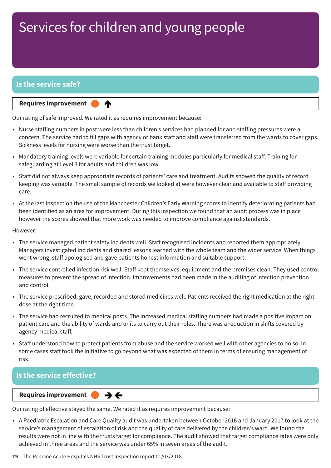### **Is the service safe?**

**Requires improvement** 

♠

Our rating of safe improved. We rated it as requires improvement because:

- Nurse staffing numbers in post were less than children's services had planned for and staffing pressures were a concern. The service had to fill gaps with agency or bank staff and staff were transferred from the wards to cover gaps. Sickness levels for nursing were worse than the trust target.
- Mandatory training levels were variable for certain training modules particularly for medical staff. Training for safeguarding at Level 3 for adults and children was low.
- Staff did not always keep appropriate records of patients' care and treatment. Audits showed the quality of record keeping was variable. The small sample of records we looked at were however clear and available to staff providing care.
- At the last inspection the use of the Manchester Children's Early Warning scores to identify deteriorating patients had been identified as an area for improvement. During this inspection we found that an audit process was in place however the scores showed that more work was needed to improve compliance against standards.

However:

- The service managed patient safety incidents well. Staff recognised incidents and reported them appropriately. Managers investigated incidents and shared lessons learned with the whole team and the wider service. When things went wrong, staff apologised and gave patients honest information and suitable support.
- The service controlled infection risk well. Staff kept themselves, equipment and the premises clean. They used control measures to prevent the spread of infection. Improvements had been made in the auditing of infection prevention and control.
- The service prescribed, gave, recorded and stored medicines well. Patients received the right medication at the right dose at the right time.
- The service had recruited to medical posts. The increased medical staffing numbers had made a positive impact on patient care and the ability of wards and units to carry out their roles. There was a reduction in shifts covered by agency medical staff.
- Staff understood how to protect patients from abuse and the service worked well with other agencies to do so. In some cases staff took the initiative to go beyond what was expected of them in terms of ensuring management of risk.

### **Is the service effective?**

**Requires improvement**  $\rightarrow$   $\leftarrow$ 

Our rating of effective stayed the same. We rated it as requires improvement because:

• A Paediatric Escalation and Care Quality audit was undertaken between October 2016 and January 2017 to look at the service's management of escalation of risk and the quality of care delivered by the children's ward. We found the results were not in line with the trusts target for compliance. The audit showed that target compliance rates were only achieved in three areas and the service was under 65% in seven areas of the audit.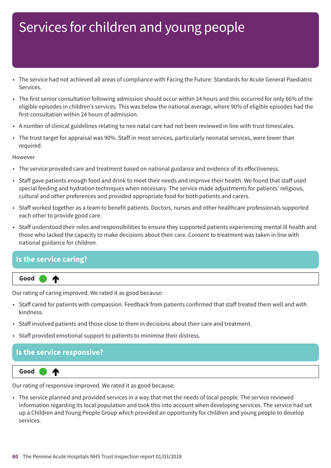- The service had not achieved all areas of compliance with Facing the Future: Standards for Acute General Paediatric Services.
- The first senior consultation following admission should occur within 24 hours and this occurred for only 66% of the eligible episodes in children's services. This was below the national average, where 90% of eligible episodes had the first consultation within 24 hours of admission.
- A number of clinical guidelines relating to neo natal care had not been reviewed in line with trust timescales.
- The trust target for appraisal was 90%. Staff in most services, particularly neonatal services, were lower than required.

#### However

- The service provided care and treatment based on national guidance and evidence of its effectiveness.
- Staff gave patients enough food and drink to meet their needs and improve their health. We found that staff used special feeding and hydration techniques when necessary. The service made adjustments for patients' religious, cultural and other preferences and provided appropriate food for both patients and carers.
- Staff worked together as a team to benefit patients. Doctors, nurses and other healthcare professionals supported each other to provide good care.
- Staff understood their roles and responsibilities to ensure they supported patients experiencing mental ill health and those who lacked the capacity to make decisions about their care. Consent to treatment was taken in line with national guidance for children.

### **Is the service caring?**



Our rating of caring improved. We rated it as good because:

- Staff cared for patients with compassion. Feedback from patients confirmed that staff treated them well and with kindness.
- Staff involved patients and those close to them in decisions about their care and treatment.
- Staff provided emotional support to patients to minimise their distress.

### **Is the service responsive?**



Our rating of responsive improved. We rated it as good because:

• The service planned and provided services in a way that met the needs of local people. The service reviewed information regarding its local population and took this into account when developing services. The service had set up a Children and Young People Group which provided an opportunity for children and young people to develop services.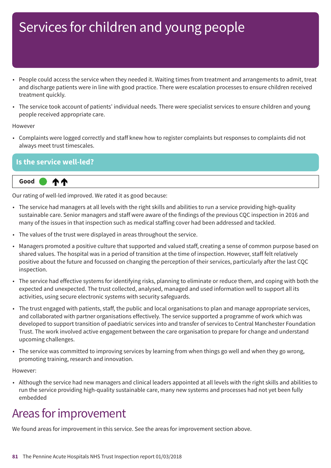- People could access the service when they needed it. Waiting times from treatment and arrangements to admit, treat and discharge patients were in line with good practice. There were escalation processes to ensure children received treatment quickly.
- The service took account of patients' individual needs. There were specialist services to ensure children and young people received appropriate care.

#### However

• Complaints were logged correctly and staff knew how to register complaints but responses to complaints did not always meet trust timescales.

### **Is the service well-led?**



Our rating of well-led improved. We rated it as good because:

- The service had managers at all levels with the right skills and abilities to run a service providing high-quality sustainable care. Senior managers and staff were aware of the findings of the previous CQC inspection in 2016 and many of the issues in that inspection such as medical staffing cover had been addressed and tackled.
- The values of the trust were displayed in areas throughout the service.
- Managers promoted a positive culture that supported and valued staff, creating a sense of common purpose based on shared values. The hospital was in a period of transition at the time of inspection. However, staff felt relatively positive about the future and focussed on changing the perception of their services, particularly after the last CQC inspection.
- The service had effective systems for identifying risks, planning to eliminate or reduce them, and coping with both the expected and unexpected. The trust collected, analysed, managed and used information well to support all its activities, using secure electronic systems with security safeguards.
- The trust engaged with patients, staff, the public and local organisations to plan and manage appropriate services, and collaborated with partner organisations effectively. The service supported a programme of work which was developed to support transition of paediatric services into and transfer of services to Central Manchester Foundation Trust. The work involved active engagement between the care organisation to prepare for change and understand upcoming challenges.
- The service was committed to improving services by learning from when things go well and when they go wrong, promoting training, research and innovation.

#### However:

• Although the service had new managers and clinical leaders appointed at all levels with the right skills and abilities to run the service providing high-quality sustainable care, many new systems and processes had not yet been fully embedded

### Areas for improvement

We found areas for improvement in this service. See the areas for improvement section above.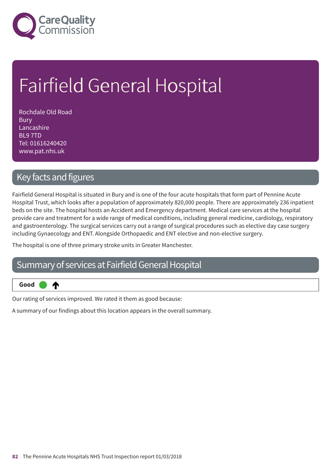

# Fairfield General Hospital

Rochdale Old Road **Bury** Lancashire BL9 7TD Tel: 01616240420 www.pat.nhs.uk

### Key facts and figures

⋔

Fairfield General Hospital is situated in Bury and is one of the four acute hospitals that form part of Pennine Acute Hospital Trust, which looks after a population of approximately 820,000 people. There are approximately 236 inpatient beds on the site. The hospital hosts an Accident and Emergency department. Medical care services at the hospital provide care and treatment for a wide range of medical conditions, including general medicine, cardiology, respiratory and gastroenterology. The surgical services carry out a range of surgical procedures such as elective day case surgery including Gynaecology and ENT. Alongside Orthopaedic and ENT elective and non-elective surgery.

The hospital is one of three primary stroke units in Greater Manchester.

### Summary of services at Fairfield General Hospital

**Up one rating Good –––**

Our rating of services improved. We rated it them as good because:

A summary of our findings about this location appears in the overall summary.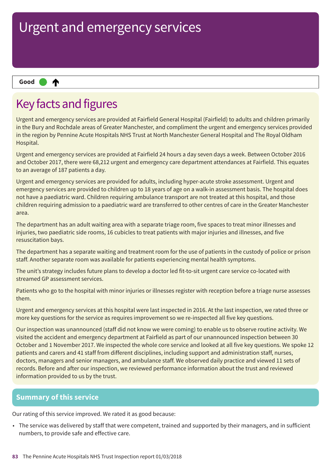₳ **Up one rating Good –––**

### Key facts and figures

Urgent and emergency services are provided at Fairfield General Hospital (Fairfield) to adults and children primarily in the Bury and Rochdale areas of Greater Manchester, and compliment the urgent and emergency services provided in the region by Pennine Acute Hospitals NHS Trust at North Manchester General Hospital and The Royal Oldham Hospital.

Urgent and emergency services are provided at Fairfield 24 hours a day seven days a week. Between October 2016 and October 2017, there were 68,212 urgent and emergency care department attendances at Fairfield. This equates to an average of 187 patients a day.

Urgent and emergency services are provided for adults, including hyper-acute stroke assessment. Urgent and emergency services are provided to children up to 18 years of age on a walk-in assessment basis. The hospital does not have a paediatric ward. Children requiring ambulance transport are not treated at this hospital, and those children requiring admission to a paediatric ward are transferred to other centres of care in the Greater Manchester area.

The department has an adult waiting area with a separate triage room, five spaces to treat minor illnesses and injuries, two paediatric side rooms, 16 cubicles to treat patients with major injuries and illnesses, and five resuscitation bays.

The department has a separate waiting and treatment room for the use of patients in the custody of police or prison staff. Another separate room was available for patients experiencing mental health symptoms.

The unit's strategy includes future plans to develop a doctor led fit-to-sit urgent care service co-located with streamed GP assessment services.

Patients who go to the hospital with minor injuries or illnesses register with reception before a triage nurse assesses them.

Urgent and emergency services at this hospital were last inspected in 2016. At the last inspection, we rated three or more key questions for the service as requires improvement so we re-inspected all five key questions.

Our inspection was unannounced (staff did not know we were coming) to enable us to observe routine activity. We visited the accident and emergency department at Fairfield as part of our unannounced inspection between 30 October and 1 November 2017. We inspected the whole core service and looked at all five key questions. We spoke 12 patients and carers and 41 staff from different disciplines, including support and administration staff, nurses, doctors, managers and senior managers, and ambulance staff. We observed daily practice and viewed 11 sets of records. Before and after our inspection, we reviewed performance information about the trust and reviewed information provided to us by the trust.

### **Summary of this service**

Our rating of this service improved. We rated it as good because:

• The service was delivered by staff that were competent, trained and supported by their managers, and in sufficient numbers, to provide safe and effective care.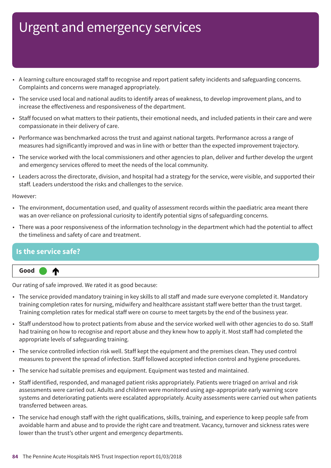- A learning culture encouraged staff to recognise and report patient safety incidents and safeguarding concerns. Complaints and concerns were managed appropriately.
- The service used local and national audits to identify areas of weakness, to develop improvement plans, and to increase the effectiveness and responsiveness of the department.
- Staff focused on what matters to their patients, their emotional needs, and included patients in their care and were compassionate in their delivery of care.
- Performance was benchmarked across the trust and against national targets. Performance across a range of measures had significantly improved and was in line with or better than the expected improvement trajectory.
- The service worked with the local commissioners and other agencies to plan, deliver and further develop the urgent and emergency services offered to meet the needs of the local community.
- Leaders across the directorate, division, and hospital had a strategy for the service, were visible, and supported their staff. Leaders understood the risks and challenges to the service.

However:

- The environment, documentation used, and quality of assessment records within the paediatric area meant there was an over-reliance on professional curiosity to identify potential signs of safeguarding concerns.
- There was a poor responsiveness of the information technology in the department which had the potential to affect the timeliness and safety of care and treatment.

### **Is the service safe?**

⋔



Our rating of safe improved. We rated it as good because:

- The service provided mandatory training in key skills to all staff and made sure everyone completed it. Mandatory training completion rates for nursing, midwifery and healthcare assistant staff were better than the trust target. Training completion rates for medical staff were on course to meet targets by the end of the business year.
- Staff understood how to protect patients from abuse and the service worked well with other agencies to do so. Staff had training on how to recognise and report abuse and they knew how to apply it. Most staff had completed the appropriate levels of safeguarding training.
- The service controlled infection risk well. Staff kept the equipment and the premises clean. They used control measures to prevent the spread of infection. Staff followed accepted infection control and hygiene procedures.
- The service had suitable premises and equipment. Equipment was tested and maintained.
- Staff identified, responded, and managed patient risks appropriately. Patients were triaged on arrival and risk assessments were carried out. Adults and children were monitored using age-appropriate early warning score systems and deteriorating patients were escalated appropriately. Acuity assessments were carried out when patients transferred between areas.
- The service had enough staff with the right qualifications, skills, training, and experience to keep people safe from avoidable harm and abuse and to provide the right care and treatment. Vacancy, turnover and sickness rates were lower than the trust's other urgent and emergency departments.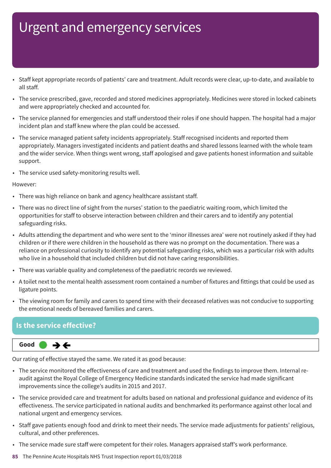- Staff kept appropriate records of patients' care and treatment. Adult records were clear, up-to-date, and available to all staff.
- The service prescribed, gave, recorded and stored medicines appropriately. Medicines were stored in locked cabinets and were appropriately checked and accounted for.
- The service planned for emergencies and staff understood their roles if one should happen. The hospital had a major incident plan and staff knew where the plan could be accessed.
- The service managed patient safety incidents appropriately. Staff recognised incidents and reported them appropriately. Managers investigated incidents and patient deaths and shared lessons learned with the whole team and the wider service. When things went wrong, staff apologised and gave patients honest information and suitable support.
- The service used safety-monitoring results well.

#### However:

- There was high reliance on bank and agency healthcare assistant staff.
- There was no direct line of sight from the nurses' station to the paediatric waiting room, which limited the opportunities for staff to observe interaction between children and their carers and to identify any potential safeguarding risks.
- Adults attending the department and who were sent to the 'minor illnesses area' were not routinely asked if they had children or if there were children in the household as there was no prompt on the documentation. There was a reliance on professional curiosity to identify any potential safeguarding risks, which was a particular risk with adults who live in a household that included children but did not have caring responsibilities.
- There was variable quality and completeness of the paediatric records we reviewed.
- A toilet next to the mental health assessment room contained a number of fixtures and fittings that could be used as ligature points.
- The viewing room for family and carers to spend time with their deceased relatives was not conducive to supporting the emotional needs of bereaved families and carers.

### **Is the service effective?**



Our rating of effective stayed the same. We rated it as good because:

- The service monitored the effectiveness of care and treatment and used the findings to improve them. Internal reaudit against the Royal College of Emergency Medicine standards indicated the service had made significant improvements since the college's audits in 2015 and 2017.
- The service provided care and treatment for adults based on national and professional guidance and evidence of its effectiveness. The service participated in national audits and benchmarked its performance against other local and national urgent and emergency services.
- Staff gave patients enough food and drink to meet their needs. The service made adjustments for patients' religious, cultural, and other preferences.
- The service made sure staff were competent for their roles. Managers appraised staff's work performance.
- **85** The Pennine Acute Hospitals NHS Trust Inspection report 01/03/2018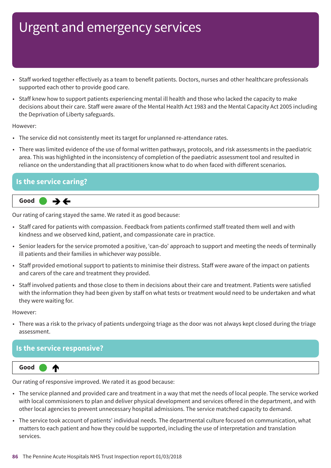- Staff worked together effectively as a team to benefit patients. Doctors, nurses and other healthcare professionals supported each other to provide good care.
- Staff knew how to support patients experiencing mental ill health and those who lacked the capacity to make decisions about their care. Staff were aware of the Mental Health Act 1983 and the Mental Capacity Act 2005 including the Deprivation of Liberty safeguards.

#### However:

- The service did not consistently meet its target for unplanned re-attendance rates.
- There was limited evidence of the use of formal written pathways, protocols, and risk assessments in the paediatric area. This was highlighted in the inconsistency of completion of the paediatric assessment tool and resulted in reliance on the understanding that all practitioners know what to do when faced with different scenarios.

### **Is the service caring?**



Our rating of caring stayed the same. We rated it as good because:

- Staff cared for patients with compassion. Feedback from patients confirmed staff treated them well and with kindness and we observed kind, patient, and compassionate care in practice.
- Senior leaders for the service promoted a positive, 'can-do' approach to support and meeting the needs of terminally ill patients and their families in whichever way possible.
- Staff provided emotional support to patients to minimise their distress. Staff were aware of the impact on patients and carers of the care and treatment they provided.
- Staff involved patients and those close to them in decisions about their care and treatment. Patients were satisfied with the information they had been given by staff on what tests or treatment would need to be undertaken and what they were waiting for.

However:

• There was a risk to the privacy of patients undergoing triage as the door was not always kept closed during the triage assessment.

### **Is the service responsive?**



Our rating of responsive improved. We rated it as good because:

- The service planned and provided care and treatment in a way that met the needs of local people. The service worked with local commissioners to plan and deliver physical development and services offered in the department, and with other local agencies to prevent unnecessary hospital admissions. The service matched capacity to demand.
- The service took account of patients' individual needs. The departmental culture focused on communication, what matters to each patient and how they could be supported, including the use of interpretation and translation services.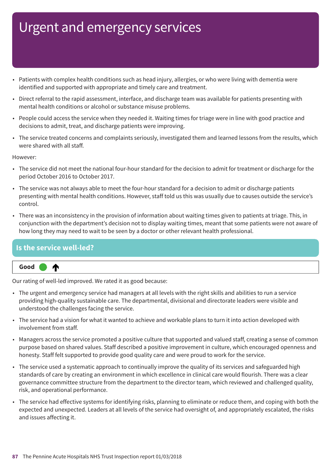- Patients with complex health conditions such as head injury, allergies, or who were living with dementia were identified and supported with appropriate and timely care and treatment.
- Direct referral to the rapid assessment, interface, and discharge team was available for patients presenting with mental health conditions or alcohol or substance misuse problems.
- People could access the service when they needed it. Waiting times for triage were in line with good practice and decisions to admit, treat, and discharge patients were improving.
- The service treated concerns and complaints seriously, investigated them and learned lessons from the results, which were shared with all staff.

However:

- The service did not meet the national four-hour standard for the decision to admit for treatment or discharge for the period October 2016 to October 2017.
- The service was not always able to meet the four-hour standard for a decision to admit or discharge patients presenting with mental health conditions. However, staff told us this was usually due to causes outside the service's control.
- There was an inconsistency in the provision of information about waiting times given to patients at triage. This, in conjunction with the department's decision not to display waiting times, meant that some patients were not aware of how long they may need to wait to be seen by a doctor or other relevant health professional.

### **Is the service well-led?**



Our rating of well-led improved. We rated it as good because:

- The urgent and emergency service had managers at all levels with the right skills and abilities to run a service providing high-quality sustainable care. The departmental, divisional and directorate leaders were visible and understood the challenges facing the service.
- The service had a vision for what it wanted to achieve and workable plans to turn it into action developed with involvement from staff.
- Managers across the service promoted a positive culture that supported and valued staff, creating a sense of common purpose based on shared values. Staff described a positive improvement in culture, which encouraged openness and honesty. Staff felt supported to provide good quality care and were proud to work for the service.
- The service used a systematic approach to continually improve the quality of its services and safeguarded high standards of care by creating an environment in which excellence in clinical care would flourish. There was a clear governance committee structure from the department to the director team, which reviewed and challenged quality, risk, and operational performance.
- The service had effective systems for identifying risks, planning to eliminate or reduce them, and coping with both the expected and unexpected. Leaders at all levels of the service had oversight of, and appropriately escalated, the risks and issues affecting it.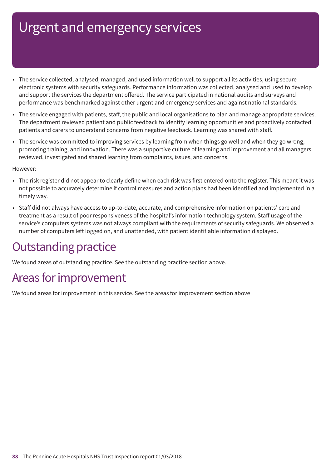- The service collected, analysed, managed, and used information well to support all its activities, using secure electronic systems with security safeguards. Performance information was collected, analysed and used to develop and support the services the department offered. The service participated in national audits and surveys and performance was benchmarked against other urgent and emergency services and against national standards.
- The service engaged with patients, staff, the public and local organisations to plan and manage appropriate services. The department reviewed patient and public feedback to identify learning opportunities and proactively contacted patients and carers to understand concerns from negative feedback. Learning was shared with staff.
- The service was committed to improving services by learning from when things go well and when they go wrong, promoting training, and innovation. There was a supportive culture of learning and improvement and all managers reviewed, investigated and shared learning from complaints, issues, and concerns.

However:

- The risk register did not appear to clearly define when each risk was first entered onto the register. This meant it was not possible to accurately determine if control measures and action plans had been identified and implemented in a timely way.
- Staff did not always have access to up-to-date, accurate, and comprehensive information on patients' care and treatment as a result of poor responsiveness of the hospital's information technology system. Staff usage of the service's computers systems was not always compliant with the requirements of security safeguards. We observed a number of computers left logged on, and unattended, with patient identifiable information displayed.

### **Outstanding practice**

We found areas of outstanding practice. See the outstanding practice section above.

### Areas for improvement

We found areas for improvement in this service. See the areas for improvement section above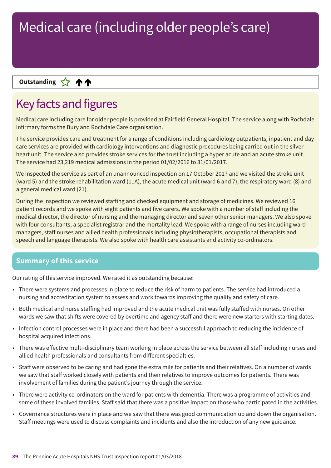### **Up––– two ratings Outstanding**

### Key facts and figures

Medical care including care for older people is provided at Fairfield General Hospital. The service along with Rochdale Infirmary forms the Bury and Rochdale Care organisation.

The service provides care and treatment for a range of conditions including cardiology outpatients, inpatient and day care services are provided with cardiology interventions and diagnostic procedures being carried out in the silver heart unit. The service also provides stroke services for the trust including a hyper acute and an acute stroke unit. The service had 23,219 medical admissions in the period 01/02/2016 to 31/01/2017.

We inspected the service as part of an unannounced inspection on 17 October 2017 and we visited the stroke unit (ward 5) and the stroke rehabilitation ward (11A), the acute medical unit (ward 6 and 7), the respiratory ward (8) and a general medical ward (21).

During the inspection we reviewed staffing and checked equipment and storage of medicines. We reviewed 16 patient records and we spoke with eight patients and five carers. We spoke with a number of staff including the medical director, the director of nursing and the managing director and seven other senior managers. We also spoke with four consultants, a specialist registrar and the mortality lead. We spoke with a range of nurses including ward managers, staff nurses and allied health professionals including physiotherapists, occupational therapists and speech and language therapists. We also spoke with health care assistants and activity co-ordinators.

### **Summary of this service**

Our rating of this service improved. We rated it as outstanding because:

- There were systems and processes in place to reduce the risk of harm to patients. The service had introduced a nursing and accreditation system to assess and work towards improving the quality and safety of care.
- Both medical and nurse staffing had improved and the acute medical unit was fully staffed with nurses. On other wards we saw that shifts were covered by overtime and agency staff and there were new starters with starting dates.
- Infection control processes were in place and there had been a successful approach to reducing the incidence of hospital acquired infections.
- There was effective multi-disciplinary team working in place across the service between all staff including nurses and allied health professionals and consultants from different specialties.
- Staff were observed to be caring and had gone the extra mile for patients and their relatives. On a number of wards we saw that staff worked closely with patients and their relatives to improve outcomes for patients. There was involvement of families during the patient's journey through the service.
- There were activity co-ordinators on the ward for patients with dementia. There was a programme of activities and some of these involved families. Staff said that there was a positive impact on those who participated in the activities.
- Governance structures were in place and we saw that there was good communication up and down the organisation. Staff meetings were used to discuss complaints and incidents and also the introduction of any new guidance.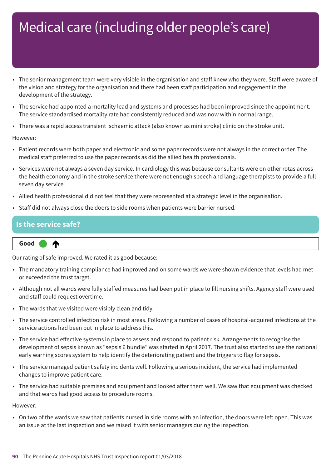- The senior management team were very visible in the organisation and staff knew who they were. Staff were aware of the vision and strategy for the organisation and there had been staff participation and engagement in the development of the strategy.
- The service had appointed a mortality lead and systems and processes had been improved since the appointment. The service standardised mortality rate had consistently reduced and was now within normal range.
- There was a rapid access transient ischaemic attack (also known as mini stroke) clinic on the stroke unit.

#### However:

- Patient records were both paper and electronic and some paper records were not always in the correct order. The medical staff preferred to use the paper records as did the allied health professionals.
- Services were not always a seven day service. In cardiology this was because consultants were on other rotas across the health economy and in the stroke service there were not enough speech and language therapists to provide a full seven day service.
- Allied health professional did not feel that they were represented at a strategic level in the organisation.
- Staff did not always close the doors to side rooms when patients were barrier nursed.

#### **Is the service safe?**

**Up one rating Good –––** ₼

Our rating of safe improved. We rated it as good because:

- The mandatory training compliance had improved and on some wards we were shown evidence that levels had met or exceeded the trust target.
- Although not all wards were fully staffed measures had been put in place to fill nursing shifts. Agency staff were used and staff could request overtime.
- The wards that we visited were visibly clean and tidy.
- The service controlled infection risk in most areas. Following a number of cases of hospital-acquired infections at the service actions had been put in place to address this.
- The service had effective systems in place to assess and respond to patient risk. Arrangements to recognise the development of sepsis known as "sepsis 6 bundle" was started in April 2017. The trust also started to use the national early warning scores system to help identify the deteriorating patient and the triggers to flag for sepsis.
- The service managed patient safety incidents well. Following a serious incident, the service had implemented changes to improve patient care.
- The service had suitable premises and equipment and looked after them well. We saw that equipment was checked and that wards had good access to procedure rooms.

However:

• On two of the wards we saw that patients nursed in side rooms with an infection, the doors were left open. This was an issue at the last inspection and we raised it with senior managers during the inspection.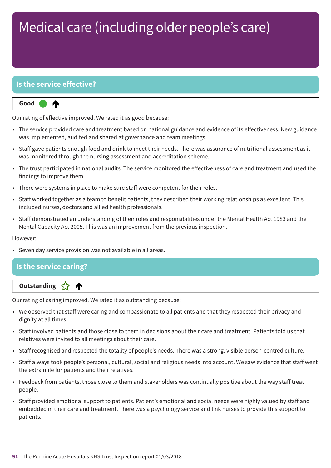### **Is the service effective?**

⋔

#### **Up one rating Good –––**

Our rating of effective improved. We rated it as good because:

- The service provided care and treatment based on national guidance and evidence of its effectiveness. New guidance was implemented, audited and shared at governance and team meetings.
- Staff gave patients enough food and drink to meet their needs. There was assurance of nutritional assessment as it was monitored through the nursing assessment and accreditation scheme.
- The trust participated in national audits. The service monitored the effectiveness of care and treatment and used the findings to improve them.
- There were systems in place to make sure staff were competent for their roles.
- Staff worked together as a team to benefit patients, they described their working relationships as excellent. This included nurses, doctors and allied health professionals.
- Staff demonstrated an understanding of their roles and responsibilities under the Mental Health Act 1983 and the Mental Capacity Act 2005. This was an improvement from the previous inspection.

#### However:

• Seven day service provision was not available in all areas.

### **Is the service caring?**

**Letter Cone Extending** 

Our rating of caring improved. We rated it as outstanding because:

- We observed that staff were caring and compassionate to all patients and that they respected their privacy and dignity at all times.
- Staff involved patients and those close to them in decisions about their care and treatment. Patients told us that relatives were invited to all meetings about their care.
- Staff recognised and respected the totality of people's needs. There was a strong, visible person-centred culture.
- Staff always took people's personal, cultural, social and religious needs into account. We saw evidence that staff went the extra mile for patients and their relatives.
- Feedback from patients, those close to them and stakeholders was continually positive about the way staff treat people.
- Staff provided emotional support to patients. Patient's emotional and social needs were highly valued by staff and embedded in their care and treatment. There was a psychology service and link nurses to provide this support to patients.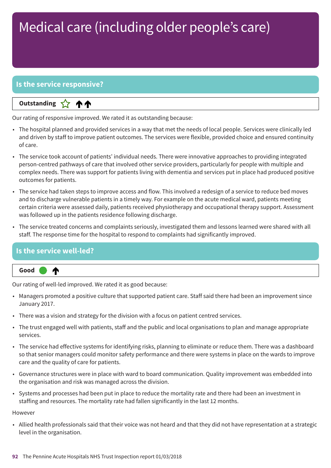### **Is the service responsive?**

**Up––– two ratings Outstanding** 个个

Our rating of responsive improved. We rated it as outstanding because:

- The hospital planned and provided services in a way that met the needs of local people. Services were clinically led and driven by staff to improve patient outcomes. The services were flexible, provided choice and ensured continuity of care.
- The service took account of patients' individual needs. There were innovative approaches to providing integrated person-centred pathways of care that involved other service providers, particularly for people with multiple and complex needs. There was support for patients living with dementia and services put in place had produced positive outcomes for patients.
- The service had taken steps to improve access and flow. This involved a redesign of a service to reduce bed moves and to discharge vulnerable patients in a timely way. For example on the acute medical ward, patients meeting certain criteria were assessed daily, patients received physiotherapy and occupational therapy support. Assessment was followed up in the patients residence following discharge.
- The service treated concerns and complaints seriously, investigated them and lessons learned were shared with all staff. The response time for the hospital to respond to complaints had significantly improved.

### **Is the service well-led?**

₼



Our rating of well-led improved. We rated it as good because:

- Managers promoted a positive culture that supported patient care. Staff said there had been an improvement since January 2017.
- There was a vision and strategy for the division with a focus on patient centred services.
- The trust engaged well with patients, staff and the public and local organisations to plan and manage appropriate services.
- The service had effective systems for identifying risks, planning to eliminate or reduce them. There was a dashboard so that senior managers could monitor safety performance and there were systems in place on the wards to improve care and the quality of care for patients.
- Governance structures were in place with ward to board communication. Quality improvement was embedded into the organisation and risk was managed across the division.
- Systems and processes had been put in place to reduce the mortality rate and there had been an investment in staffing and resources. The mortality rate had fallen significantly in the last 12 months.

#### However

• Allied health professionals said that their voice was not heard and that they did not have representation at a strategic level in the organisation.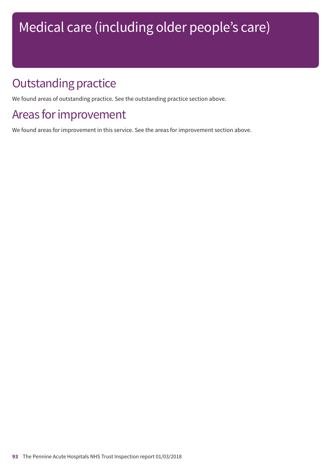### **Outstanding practice**

We found areas of outstanding practice. See the outstanding practice section above.

### Areas for improvement

We found areas for improvement in this service. See the areas for improvement section above.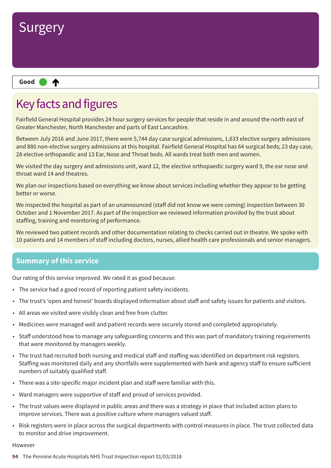

### Key facts and figures

Fairfield General Hospital provides 24 hour surgery services for people that reside in and around the north east of Greater Manchester, North Manchester and parts of East Lancashire.

Between July 2016 and June 2017, there were 5,744 day case surgical admissions, 1,633 elective surgery admissions and 880 non-elective surgery admissions at this hospital. Fairfield General Hospital has 64 surgical beds; 23 day case, 28 elective orthopaedic and 13 Ear, Nose and Throat beds. All wards treat both men and women.

We visited the day surgery and admissions unit, ward 12, the elective orthopaedic surgery ward 9, the ear nose and throat ward 14 and theatres.

We plan our inspections based on everything we know about services including whether they appear to be getting better or worse.

We inspected the hospital as part of an unannounced (staff did not know we were coming) inspection between 30 October and 1 November 2017. As part of the inspection we reviewed information provided by the trust about staffing, training and monitoring of performance.

We reviewed two patient records and other documentation relating to checks carried out in theatre. We spoke with 10 patients and 14 members of staff including doctors, nurses, allied health care professionals and senior managers.

### **Summary of this service**

Our rating of this service improved. We rated it as good because:

- The service had a good record of reporting patient safety incidents.
- The trust's 'open and honest' boards displayed information about staff and safety issues for patients and visitors.
- All areas we visited were visibly clean and free from clutter.
- Medicines were managed well and patient records were securely stored and completed appropriately.
- Staff understood how to manage any safeguarding concerns and this was part of mandatory training requirements that were monitored by managers weekly.
- The trust had recruited both nursing and medical staff and staffing was identified on department risk registers. Staffing was monitored daily and any shortfalls were supplemented with bank and agency staff to ensure sufficient numbers of suitably qualified staff.
- There was a site-specific major incident plan and staff were familiar with this.
- Ward managers were supportive of staff and proud of services provided.
- The trust values were displayed in public areas and there was a strategy in place that included action plans to improve services. There was a positive culture where managers valued staff.
- Risk registers were in place across the surgical departments with control measures in place. The trust collected data to monitor and drive improvement.

#### **HOWAVAR**

**94** The Pennine Acute Hospitals NHS Trust Inspection report 01/03/2018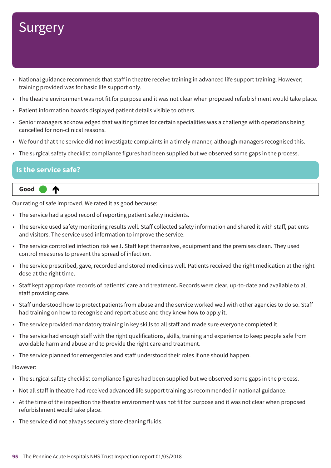# **Surgery**

- National guidance recommends that staff in theatre receive training in advanced life support training. However; training provided was for basic life support only.
- The theatre environment was not fit for purpose and it was not clear when proposed refurbishment would take place.
- Patient information boards displayed patient details visible to others.
- Senior managers acknowledged that waiting times for certain specialities was a challenge with operations being cancelled for non-clinical reasons.
- We found that the service did not investigate complaints in a timely manner, although managers recognised this.
- The surgical safety checklist compliance figures had been supplied but we observed some gaps in the process.

### **Is the service safe?**



Our rating of safe improved. We rated it as good because:

- The service had a good record of reporting patient safety incidents.
- The service used safety monitoring results well. Staff collected safety information and shared it with staff, patients and visitors. The service used information to improve the service.
- The service controlled infection risk well**.** Staff kept themselves, equipment and the premises clean. They used control measures to prevent the spread of infection.
- The service prescribed, gave, recorded and stored medicines well. Patients received the right medication at the right dose at the right time.
- Staff kept appropriate records of patients' care and treatment**.** Records were clear, up-to-date and available to all staff providing care.
- Staff understood how to protect patients from abuse and the service worked well with other agencies to do so. Staff had training on how to recognise and report abuse and they knew how to apply it.
- The service provided mandatory training in key skills to all staff and made sure everyone completed it.
- The service had enough staff with the right qualifications, skills, training and experience to keep people safe from avoidable harm and abuse and to provide the right care and treatment.
- The service planned for emergencies and staff understood their roles if one should happen.

#### However:

- The surgical safety checklist compliance figures had been supplied but we observed some gaps in the process.
- Not all staff in theatre had received advanced life support training as recommended in national guidance.
- At the time of the inspection the theatre environment was not fit for purpose and it was not clear when proposed refurbishment would take place.
- The service did not always securely store cleaning fluids.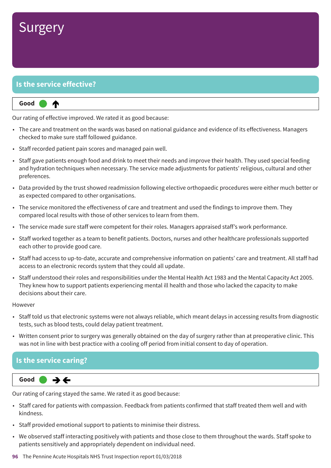### **Surgery**

### **Is the service effective?**

#### **Up one rating Good –––** ⋔

Our rating of effective improved. We rated it as good because:

- The care and treatment on the wards was based on national guidance and evidence of its effectiveness. Managers checked to make sure staff followed guidance.
- Staff recorded patient pain scores and managed pain well.
- Staff gave patients enough food and drink to meet their needs and improve their health. They used special feeding and hydration techniques when necessary. The service made adjustments for patients' religious, cultural and other preferences.
- Data provided by the trust showed readmission following elective orthopaedic procedures were either much better or as expected compared to other organisations.
- The service monitored the effectiveness of care and treatment and used the findings to improve them. They compared local results with those of other services to learn from them.
- The service made sure staff were competent for their roles. Managers appraised staff's work performance.
- Staff worked together as a team to benefit patients. Doctors, nurses and other healthcare professionals supported each other to provide good care.
- Staff had access to up-to-date, accurate and comprehensive information on patients' care and treatment. All staff had access to an electronic records system that they could all update.
- Staff understood their roles and responsibilities under the Mental Health Act 1983 and the Mental Capacity Act 2005. They knew how to support patients experiencing mental ill health and those who lacked the capacity to make decisions about their care.

#### However

- Staff told us that electronic systems were not always reliable, which meant delays in accessing results from diagnostic tests, such as blood tests, could delay patient treatment.
- Written consent prior to surgery was generally obtained on the day of surgery rather than at preoperative clinic. This was not in line with best practice with a cooling off period from initial consent to day of operation.

#### **Is the service caring?**



Our rating of caring stayed the same. We rated it as good because:

- Staff cared for patients with compassion. Feedback from patients confirmed that staff treated them well and with kindness.
- Staff provided emotional support to patients to minimise their distress.
- We observed staff interacting positively with patients and those close to them throughout the wards. Staff spoke to patients sensitively and appropriately dependent on individual need.
- **96** The Pennine Acute Hospitals NHS Trust Inspection report 01/03/2018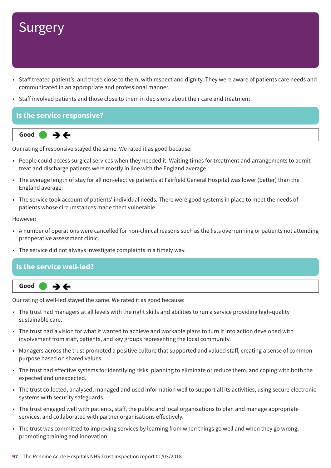# **Surgery**

- Staff treated patient's, and those close to them, with respect and dignity. They were aware of patients care needs and communicated in an appropriate and professional manner.
- Staff involved patients and those close to them in decisions about their care and treatment.

### **Is the service responsive?**



Our rating of responsive stayed the same. We rated it as good because:

- People could access surgical services when they needed it. Waiting times for treatment and arrangements to admit treat and discharge patients were mostly in line with the England average.
- The average length of stay for all non-elective patients at Fairfield General Hospital was lower (better) than the England average.
- The service took account of patients' individual needs. There were good systems in place to meet the needs of patients whose circumstances made them vulnerable.

However:

- A number of operations were cancelled for non-clinical reasons such as the lists overrunning or patients not attending preoperative assessment clinic.
- The service did not always investigate complaints in a timely way.

### **Is the service well-led?**  $\rightarrow \leftarrow$ **Same–––rating Good –––**

Our rating of well-led stayed the same. We rated it as good because:

- The trust had managers at all levels with the right skills and abilities to run a service providing high-quality sustainable care.
- The trust had a vision for what it wanted to achieve and workable plans to turn it into action developed with involvement from staff, patients, and key groups representing the local community.
- Managers across the trust promoted a positive culture that supported and valued staff, creating a sense of common purpose based on shared values.
- The trust had effective systems for identifying risks, planning to eliminate or reduce them, and coping with both the expected and unexpected.
- The trust collected, analysed, managed and used information well to support all its activities, using secure electronic systems with security safeguards.
- The trust engaged well with patients, staff, the public and local organisations to plan and manage appropriate services, and collaborated with partner organisations effectively.
- The trust was committed to improving services by learning from when things go well and when they go wrong, promoting training and innovation.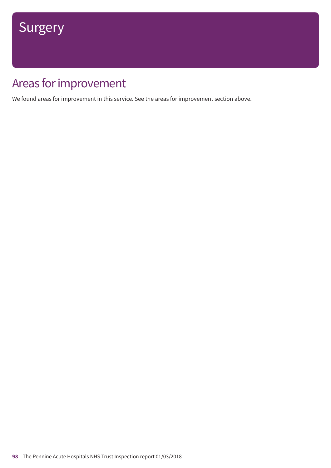### Areas for improvement

We found areas for improvement in this service. See the areas for improvement section above.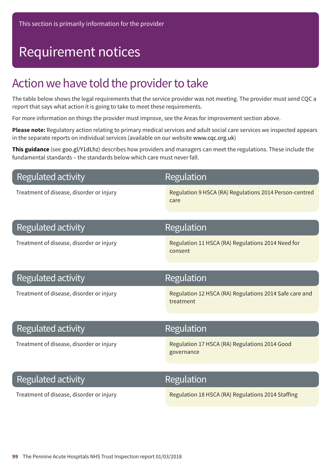# Requirement notices

### Action we have told the provider to take

The table below shows the legal requirements that the service provider was not meeting. The provider must send CQC a report that says what action it is going to take to meet these requirements.

For more information on things the provider must improve, see the Areas for improvement section above.

**Please note:** Regulatory action relating to primary medical services and adult social care services we inspected appears in the separate reports on individual services (available on our website www.cqc.org.uk)

**This guidance** (see goo.gl/Y1dLhz) describes how providers and managers can meet the regulations. These include the fundamental standards – the standards below which care must never fall.

| Regulated activity |  |
|--------------------|--|
|--------------------|--|

### Regulation

Treatment of disease, disorder or injury Regulation 9 HSCA (RA) Regulations 2014 Person-centred care

| <b>Regulated activity</b>                | Regulation                                                          |
|------------------------------------------|---------------------------------------------------------------------|
| Treatment of disease, disorder or injury | Regulation 11 HSCA (RA) Regulations 2014 Need for<br>consent        |
| Regulated activity                       | <b>Regulation</b>                                                   |
| Treatment of disease, disorder or injury | Regulation 12 HSCA (RA) Regulations 2014 Safe care and<br>treatment |
|                                          |                                                                     |
| Regulated activity                       | Regulation                                                          |
| Treatment of disease, disorder or injury | Regulation 17 HSCA (RA) Regulations 2014 Good<br>governance         |
|                                          |                                                                     |
| Regulated activity                       | Regulation                                                          |

Treatment of disease, disorder or injury Regulation 18 HSCA (RA) Regulations 2014 Staffing